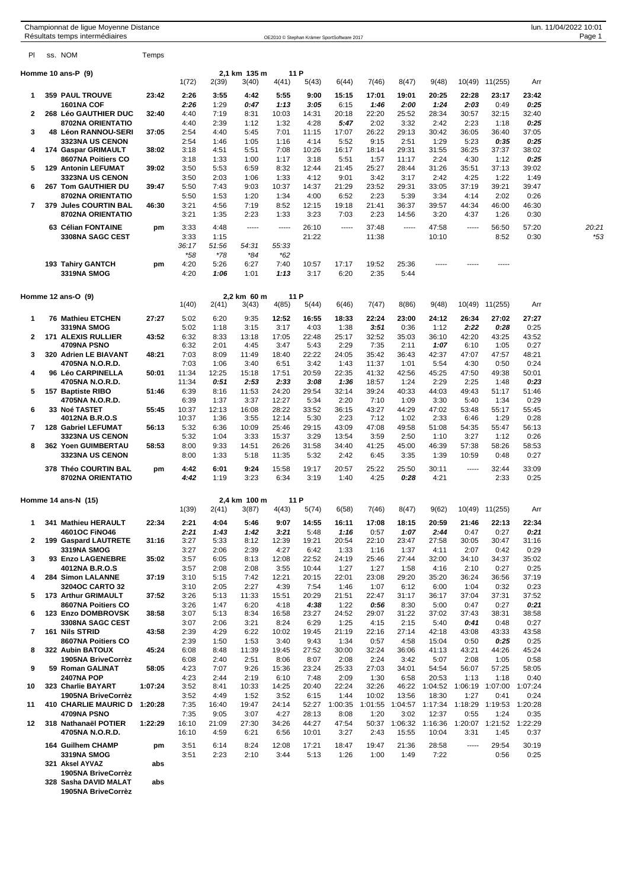|                | Championnat de ligue Moyenne Distance<br>Résultats temps intermédiaires |         |                |               |                       |                |                |                                            |                 |                 |                |                                         |                         |               | lun. 11/04/2022 10:01<br>Page 1 |
|----------------|-------------------------------------------------------------------------|---------|----------------|---------------|-----------------------|----------------|----------------|--------------------------------------------|-----------------|-----------------|----------------|-----------------------------------------|-------------------------|---------------|---------------------------------|
| PI.            | ss. NOM                                                                 | Temps   |                |               |                       |                |                | OE2010 © Stephan Krämer SportSoftware 2017 |                 |                 |                |                                         |                         |               |                                 |
|                |                                                                         |         |                |               |                       |                |                |                                            |                 |                 |                |                                         |                         |               |                                 |
|                | Homme 10 ans-P (9)                                                      |         | 1(72)          | 2(39)         | 2,1 km 135 m<br>3(40) | 4(41)          | 11 P<br>5(43)  | 6(44)                                      | 7(46)           | 8(47)           | 9(48)          | 10(49)                                  | 11(255)                 | Arr           |                                 |
| 1              | <b>359 PAUL TROUVE</b>                                                  | 23:42   | 2:26           | 3:55          | 4:42                  | 5:55           | 9:00           | 15:15                                      | 17:01           | 19:01           | 20:25          | 22:28                                   | 23:17                   | 23:42         |                                 |
| $\mathbf{2}$   | <b>1601NA COF</b><br>268 Léo GAUTHIER DUC                               | 32:40   | 2:26<br>4:40   | 1:29<br>7:19  | 0:47<br>8:31          | 1:13<br>10:03  | 3:05<br>14:31  | 6:15<br>20:18                              | 1:46<br>22:20   | 2:00<br>25:52   | 1:24<br>28:34  | 2:03<br>30:57                           | 0:49<br>32:15           | 0:25<br>32:40 |                                 |
|                | 8702NA ORIENTATIO                                                       |         | 4:40           | 2:39          | 1:12                  | 1:32           | 4:28           | 5:47                                       | 2:02            | 3:32            | 2:42           | 2:23                                    | 1:18                    | 0:25          |                                 |
| 3              | <b>48 Léon RANNOU-SERI</b>                                              | 37:05   | 2:54           | 4:40          | 5:45                  | 7:01           | 11:15          | 17:07                                      | 26:22           | 29:13           | 30:42          | 36:05                                   | 36:40                   | 37:05         |                                 |
| 4              | <b>3323NA US CENON</b><br>174 Gaspar GRIMAULT                           | 38:02   | 2:54<br>3:18   | 1:46<br>4:51  | 1:05<br>5:51          | 1:16<br>7:08   | 4:14<br>10:26  | 5:52<br>16:17                              | 9:15<br>18:14   | 2:51<br>29:31   | 1:29<br>31:55  | 5:23<br>36:25                           | 0:35<br>37:37           | 0:25<br>38:02 |                                 |
|                | 8607NA Poitiers CO                                                      |         | 3:18           | 1:33          | 1:00                  | 1:17           | 3:18           | 5:51                                       | 1:57            | 11:17           | 2:24           | 4:30                                    | 1:12                    | 0:25          |                                 |
| 5              | <b>129 Antonin LEFUMAT</b>                                              | 39:02   | 3:50           | 5:53          | 6:59                  | 8:32           | 12:44          | 21:45                                      | 25:27           | 28:44           | 31:26          | 35:51                                   | 37:13                   | 39:02         |                                 |
| 6              | <b>3323NA US CENON</b><br>267 Tom GAUTHIER DU                           | 39:47   | 3:50<br>5:50   | 2:03<br>7:43  | 1:06<br>9:03          | 1:33<br>10:37  | 4:12<br>14:37  | 9:01<br>21:29                              | 3:42<br>23:52   | 3:17<br>29:31   | 2:42<br>33:05  | 4:25<br>37:19                           | 1:22<br>39:21           | 1:49<br>39:47 |                                 |
|                | 8702NA ORIENTATIO                                                       |         | 5:50           | 1:53          | 1:20                  | 1:34           | 4:00           | 6:52                                       | 2:23            | 5:39            | 3:34           | 4:14                                    | 2:02                    | 0:26          |                                 |
| $\overline{7}$ | 379 Jules COURTIN BAL                                                   | 46:30   | 3:21           | 4:56          | 7:19                  | 8:52           | 12:15          | 19:18                                      | 21:41           | 36:37           | 39:57          | 44:34                                   | 46:00                   | 46:30         |                                 |
|                | 8702NA ORIENTATIO                                                       |         | 3:21           | 1:35          | 2:23                  | 1:33           | 3:23           | 7:03                                       | 2:23            | 14:56           | 3:20           | 4:37                                    | 1:26                    | 0:30          |                                 |
|                | 63 Célian FONTAINE<br>3308NA SAGC CEST                                  | pm      | 3:33<br>3:33   | 4:48<br>1:15  | -----                 | -----          | 26:10<br>21:22 | -----                                      | 37:48<br>11:38  | -----           | 47:58<br>10:10 | -----                                   | 56:50<br>8:52           | 57:20<br>0:30 | 20:21<br>*53                    |
|                |                                                                         |         | 36:17          | 51:56         | 54:31                 | 55:33          |                |                                            |                 |                 |                |                                         |                         |               |                                 |
|                |                                                                         |         | $*58$          | $*78$         | *84                   | *62            |                |                                            |                 |                 |                |                                         |                         |               |                                 |
|                | 193 Tahiry GANTCH<br>3319NA SMOG                                        | pm      | 4:20<br>4:20   | 5:26<br>1:06  | 6:27<br>1:01          | 7:40<br>1:13   | 10:57<br>3:17  | 17:17<br>6:20                              | 19:52<br>2:35   | 25:36<br>5:44   | -----          |                                         |                         |               |                                 |
|                |                                                                         |         |                |               |                       |                |                |                                            |                 |                 |                |                                         |                         |               |                                 |
|                | Homme $12$ ans-O $(9)$                                                  |         | 1(40)          | 2(41)         | 2.2 km 60 m<br>3(43)  | 4(85)          | 11 P<br>5(44)  | 6(46)                                      | 7(47)           | 8(86)           | 9(48)          | 10(49)                                  | 11(255)                 | Arr           |                                 |
| 1              | <b>76 Mathieu ETCHEN</b>                                                | 27:27   | 5:02           | 6:20          | 9:35                  | 12:52          | 16:55          | 18:33                                      | 22:24           | 23:00           | 24:12          | 26:34                                   | 27:02                   | 27:27         |                                 |
|                | <b>3319NA SMOG</b>                                                      |         | 5:02           | 1:18          | 3:15                  | 3:17           | 4:03           | 1:38                                       | 3:51            | 0:36            | 1:12           | 2:22                                    | 0:28                    | 0:25          |                                 |
| $\mathbf{2}$   | <b>171 ALEXIS RULLIER</b><br>4709NA PSNO                                | 43:52   | 6:32<br>6:32   | 8:33<br>2:01  | 13:18<br>4:45         | 17:05<br>3:47  | 22:48<br>5:43  | 25:17<br>2:29                              | 32:52<br>7:35   | 35:03<br>2:11   | 36:10<br>1:07  | 42:20<br>6:10                           | 43:25<br>1:05           | 43:52<br>0:27 |                                 |
| 3              | 320 Adrien LE BIAVANT                                                   | 48:21   | 7:03           | 8:09          | 11:49                 | 18:40          | 22:22          | 24:05                                      | 35:42           | 36:43           | 42:37          | 47:07                                   | 47:57                   | 48:21         |                                 |
|                | 4705NA N.O.R.D.                                                         |         | 7:03           | 1:06          | 3:40                  | 6:51           | 3:42           | 1:43                                       | 11:37           | 1:01            | 5:54           | 4:30                                    | 0:50                    | 0:24          |                                 |
| 4              | 96 Léo CARPINELLA<br>4705NA N.O.R.D.                                    | 50:01   | 11:34<br>11:34 | 12:25<br>0:51 | 15:18<br>2:53         | 17:51<br>2:33  | 20:59<br>3:08  | 22:35<br>1:36                              | 41:32<br>18:57  | 42:56<br>1:24   | 45:25<br>2:29  | 47:50<br>2:25                           | 49:38<br>1:48           | 50:01<br>0:23 |                                 |
| 5              | 157 Baptiste RIBO                                                       | 51:46   | 6:39           | 8:16          | 11:53                 | 24:20          | 29:54          | 32:14                                      | 39:24           | 40:33           | 44:03          | 49:43                                   | 51:17                   | 51:46         |                                 |
|                | 4705NA N.O.R.D.                                                         |         | 6:39           | 1:37          | 3:37                  | 12:27          | 5:34           | 2:20                                       | 7:10            | 1:09            | 3:30           | 5:40                                    | 1:34                    | 0:29          |                                 |
| 6              | 33 Noé TASTET<br>4012NA B.R.O.S                                         | 55:45   | 10:37<br>10:37 | 12:13<br>1:36 | 16:08<br>3:55         | 28:22<br>12:14 | 33:52<br>5:30  | 36:15<br>2:23                              | 43:27<br>7:12   | 44:29<br>1:02   | 47:02<br>2:33  | 53:48<br>6:46                           | 55:17<br>1:29           | 55:45<br>0:28 |                                 |
| 7              | <b>128 Gabriel LEFUMAT</b>                                              | 56:13   | 5:32           | 6:36          | 10:09                 | 25:46          | 29:15          | 43:09                                      | 47:08           | 49:58           | 51:08          | 54:35                                   | 55:47                   | 56:13         |                                 |
|                | <b>3323NA US CENON</b>                                                  |         | 5:32           | 1:04          | 3:33                  | 15:37          | 3:29           | 13:54                                      | 3:59            | 2:50            | 1:10           | 3:27                                    | 1:12                    | 0:26          |                                 |
| 8              | 362 Yoen GUIMBERTAU<br><b>3323NA US CENON</b>                           | 58:53   | 8:00<br>8:00   | 9:33<br>1:33  | 14:51<br>5:18         | 26:26<br>11:35 | 31:58<br>5:32  | 34:40<br>2:42                              | 41:25<br>6:45   | 45:00<br>3:35   | 46:39<br>1:39  | 57:38<br>10:59                          | 58:26<br>0:48           | 58:53<br>0:27 |                                 |
|                | 378 Théo COURTIN BAL                                                    | pm      | 4:42           | 6:01          | 9:24                  | 15:58          | 19:17          | 20:57                                      | 25:22           | 25:50           | 30:11          | $- - - - -$                             | 32:44                   | 33:09         |                                 |
|                | 8702NA ORIENTATIO                                                       |         | 4:42           | 1:19          | 3:23                  | 6:34           | 3:19           | 1:40                                       | 4:25            | 0:28            | 4:21           |                                         | 2:33                    | 0:25          |                                 |
|                | Homme 14 ans-N (15)                                                     |         |                |               | 2,4 km 100 m          |                | 11 P           |                                            |                 |                 |                |                                         |                         |               |                                 |
|                |                                                                         |         | 1(39)          | 2(41)         | 3(87)                 | 4(43)          | 5(74)          | 6(58)                                      | 7(46)           | 8(47)           | 9(62)          | 10(49)                                  | 11(255)                 | Arr           |                                 |
| 1              | 341 Mathieu HERAULT                                                     | 22:34   | 2:21           | 4:04          | 5:46                  | 9:07           | 14:55          | 16:11                                      | 17:08           | 18:15           | 20:59          | 21:46                                   | 22:13                   | 22:34         |                                 |
| $\overline{2}$ | 4601OC FINO46<br>199 Gaspard LAUTRETE                                   | 31:16   | 2:21<br>3:27   | 1:43<br>5:33  | 1:42<br>8:12          | 3:21<br>12:39  | 5:48<br>19:21  | 1:16<br>20:54                              | 0:57<br>22:10   | 1:07<br>23:47   | 2:44<br>27:58  | 0:47<br>30:05                           | 0:27<br>30:47           | 0:21<br>31:16 |                                 |
|                | 3319NA SMOG                                                             |         | 3:27           | 2:06          | 2:39                  | 4:27           | 6:42           | 1:33                                       | 1:16            | 1:37            | 4:11           | 2:07                                    | 0:42                    | 0:29          |                                 |
| 3              | 93 Enzo LAGENEBRE<br>4012NA B.R.O.S                                     | 35:02   | 3:57<br>3:57   | 6:05<br>2:08  | 8:13<br>2:08          | 12:08<br>3:55  | 22:52<br>10:44 | 24:19<br>1:27                              | 25:46<br>1:27   | 27:44<br>1:58   | 32:00<br>4:16  | 34:10<br>2:10                           | 34:37<br>0:27           | 35:02<br>0:25 |                                 |
| 4              | 284 Simon LALANNE                                                       | 37:19   | 3:10           | 5:15          | 7:42                  | 12:21          | 20:15          | 22:01                                      | 23:08           | 29:20           | 35:20          | 36:24                                   | 36:56                   | 37:19         |                                 |
|                | <b>3204OC CARTO 32</b>                                                  |         | 3:10           | 2:05          | 2:27                  | 4:39           | 7:54           | 1:46                                       | 1:07            | 6:12            | 6:00           | 1:04                                    | 0:32                    | 0:23          |                                 |
| 5              | 173 Arthur GRIMAULT<br>8607NA Poitiers CO                               | 37:52   | 3:26<br>3:26   | 5:13<br>1:47  | 11:33<br>6:20         | 15:51<br>4:18  | 20:29<br>4:38  | 21:51<br>1:22                              | 22:47<br>0:56   | 31:17<br>8:30   | 36:17<br>5:00  | 37:04<br>0:47                           | 37:31<br>0:27           | 37:52<br>0:21 |                                 |
| 6              | 123 Enzo DOMBROVSK                                                      | 38:58   | 3:07           | 5:13          | 8:34                  | 16:58          | 23:27          | 24:52                                      | 29:07           | 31:22           | 37:02          | 37:43                                   | 38:31                   | 38:58         |                                 |
|                | 3308NA SAGC CEST                                                        |         | 3:07           | 2:06          | 3:21                  | 8:24           | 6:29           | 1:25                                       | 4:15            | 2:15            | 5:40           | 0:41                                    | 0:48                    | 0:27          |                                 |
| 7              | 161 Nils STRID<br>8607NA Poitiers CO                                    | 43:58   | 2:39<br>2:39   | 4:29<br>1:50  | 6:22<br>1:53          | 10:02<br>3:40  | 19:45<br>9:43  | 21:19<br>1:34                              | 22:16<br>0:57   | 27:14<br>4:58   | 42:18<br>15:04 | 43:08<br>0:50                           | 43:33<br>0:25           | 43:58<br>0:25 |                                 |
| 8              | 322 Aubin BATOUX                                                        | 45:24   | 6:08           | 8:48          | 11:39                 | 19:45          | 27:52          | 30:00                                      | 32:24           | 36:06           | 41:13          | 43:21                                   | 44:26                   | 45:24         |                                 |
|                | 1905NA BriveCorrèz                                                      |         | 6:08           | 2:40          | 2:51                  | 8:06           | 8:07           | 2:08                                       | 2:24            | 3:42            | 5:07           | 2:08                                    | 1:05                    | 0:58          |                                 |
| 9              | 59 Roman GALINAT<br><b>2407NA POP</b>                                   | 58:05   | 4:23<br>4:23   | 7:07<br>2:44  | 9:26<br>2:19          | 15:36<br>6:10  | 23:24<br>7:48  | 25:33<br>2:09                              | 27:03<br>1:30   | 34:01<br>6:58   | 54:54<br>20:53 | 56:07<br>1:13                           | 57:25<br>1:18           | 58:05<br>0:40 |                                 |
| 10             | 323 Charlie BAYART                                                      | 1:07:24 | 3:52           | 8:41          | 10:33                 | 14:25          | 20:40          | 22:24                                      | 32:26           | 46:22           | 1:04:52        |                                         | 1:06:19 1:07:00 1:07:24 |               |                                 |
|                | 1905NA BriveCorrèz                                                      |         | 3:52           | 4:49          | 1:52                  | 3:52           | 6:15           | 1:44                                       | 10:02           | 13:56           | 18:30          | 1:27                                    | 0:41                    | 0:24          |                                 |
| 11             | <b>410 CHARLIE MAURIC D</b><br>4709NA PSNO                              | 1:20:28 | 7:35<br>7:35   | 16:40<br>9:05 | 19:47<br>3:07         | 24:14<br>4:27  | 52:27<br>28:13 | 1:00:35<br>8:08                            | 1:01:55<br>1:20 | 1:04:57<br>3:02 | 12:37          | 1:17:34 1:18:29 1:19:53 1:20:28<br>0:55 | 1:24                    | 0:35          |                                 |
| 12             | 318 Nathanaël POTIER                                                    | 1:22:29 | 16:10          | 21:09         | 27:30                 | 34:26          | 44:27          | 47:54                                      | 50:37           | 1:06:32         | 1:16:36        |                                         | 1:20:07 1:21:52 1:22:29 |               |                                 |
|                | 4705NA N.O.R.D.                                                         |         | 16:10          | 4:59          | 6:21                  | 6:56           | 10:01          | 3:27                                       | 2:43            | 15:55           | 10:04          | 3:31                                    | 1:45                    | 0:37          |                                 |
|                | 164 Guilhem CHAMP<br>3319NA SMOG                                        | pm      | 3:51           | 6:14<br>2:23  | 8:24                  | 12:08          | 17:21          | 18:47                                      | 19:47           | 21:36           | 28:58<br>7:22  | -----                                   | 29:54                   | 30:19         |                                 |
|                | 321 Aksel AYVAZ                                                         | abs     | 3:51           |               | 2:10                  | 3:44           | 5:13           | 1:26                                       | 1:00            | 1:49            |                |                                         | 0:56                    | 0:25          |                                 |
|                | 1905NA BriveCorrèz                                                      |         |                |               |                       |                |                |                                            |                 |                 |                |                                         |                         |               |                                 |

**328 Sasha DAVID MALAT abs**

**1905NA BriveCorrèz**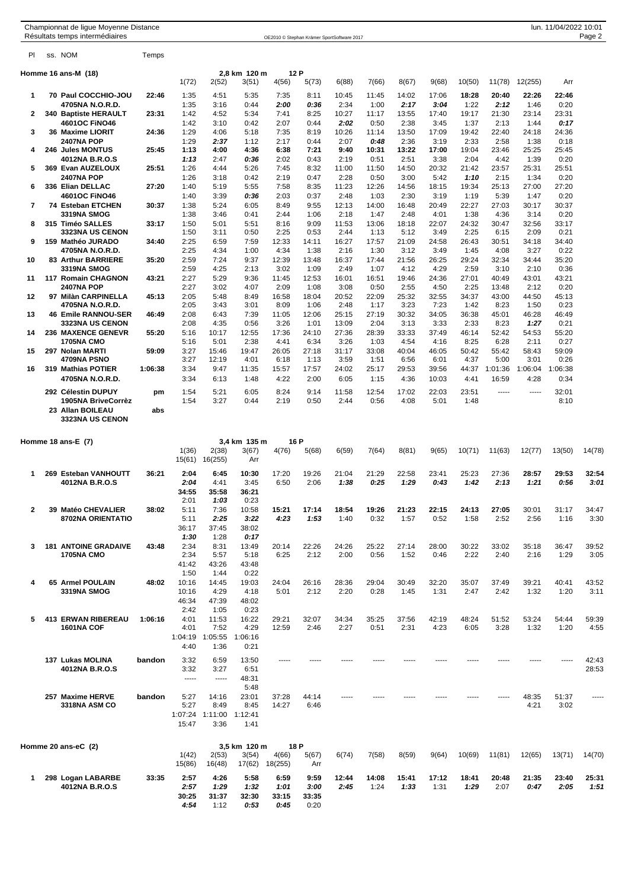| Championnat de ligue Moyenne Distance |  |
|---------------------------------------|--|
| Zácultate tamne intarmádiairae        |  |

| PI             | ss. NOM                                                      | Temps     |                         |                                 |                              |                       |                       |                |               |               |               |               |                 |                 |                 |                |
|----------------|--------------------------------------------------------------|-----------|-------------------------|---------------------------------|------------------------------|-----------------------|-----------------------|----------------|---------------|---------------|---------------|---------------|-----------------|-----------------|-----------------|----------------|
|                | Homme 16 ans-M(18)                                           |           | 1(72)                   | 2(52)                           | 2,8 km 120 m<br>3(51)        | 12 P<br>4(56)         | 5(73)                 | 6(88)          | 7(66)         | 8(67)         | 9(68)         | 10(50)        | 11(78)          | 12(255)         | Arr             |                |
| 1              | 70 Paul COCCHIO-JOU<br>4705NA N.O.R.D.                       | 22:46     | 1:35<br>1:35            | 4:51<br>3:16                    | 5:35<br>0:44                 | 7:35<br>2:00          | 8:11<br>0:36          | 10:45<br>2:34  | 11:45<br>1:00 | 14:02<br>2:17 | 17:06<br>3:04 | 18:28<br>1:22 | 20:40<br>2:12   | 22:26<br>1:46   | 22:46<br>0:20   |                |
| $\mathbf{2}$   | 340 Baptiste HERAULT<br>4601OC FINO46                        | 23:31     | 1:42<br>1:42            | 4:52<br>3:10                    | 5:34<br>0:42                 | 7:41<br>2:07          | 8:25<br>0:44          | 10:27<br>2:02  | 11:17<br>0:50 | 13:55<br>2:38 | 17:40<br>3:45 | 19:17<br>1:37 | 21:30<br>2:13   | 23:14<br>1:44   | 23:31<br>0:17   |                |
| 3              | 36 Maxime LIORIT<br><b>2407NA POP</b>                        | 24:36     | 1:29<br>1:29            | 4:06<br>2:37                    | 5:18<br>1:12                 | 7:35<br>2:17          | 8:19<br>0:44          | 10:26<br>2:07  | 11:14<br>0:48 | 13:50<br>2:36 | 17:09<br>3:19 | 19:42<br>2:33 | 22:40<br>2:58   | 24:18<br>1:38   | 24:36<br>0:18   |                |
| 4              | 246 Jules MONTUS<br>4012NA B.R.O.S                           | 25:45     | 1:13<br>1:13            | 4:00<br>2:47                    | 4:36<br>0:36                 | 6:38<br>2:02          | 7:21<br>0:43          | 9:40<br>2:19   | 10:31<br>0:51 | 13:22<br>2:51 | 17:00<br>3:38 | 19:04<br>2:04 | 23:46<br>4:42   | 25:25<br>1:39   | 25:45<br>0:20   |                |
| 5              | 369 Evan AUZELOUX<br><b>2407NA POP</b>                       | 25:51     | 1:26<br>1:26            | 4:44<br>3:18                    | 5:26<br>0:42                 | 7:45<br>2:19          | 8:32<br>0:47          | 11:00<br>2:28  | 11:50<br>0:50 | 14:50<br>3:00 | 20:32<br>5:42 | 21:42<br>1:10 | 23:57<br>2:15   | 25:31<br>1:34   | 25:51<br>0:20   |                |
| 6              | 336 Elian DELLAC<br>4601OC FINO46                            | 27:20     | 1:40<br>1:40            | 5:19<br>3:39                    | 5:55<br>0:36                 | 7:58<br>2:03          | 8:35<br>0:37          | 11:23<br>2:48  | 12:26<br>1:03 | 14:56<br>2:30 | 18:15<br>3:19 | 19:34<br>1:19 | 25:13<br>5:39   | 27:00<br>1:47   | 27:20<br>0:20   |                |
| 7              | 74 Esteban ETCHEN<br><b>3319NA SMOG</b>                      | 30:37     | 1:38<br>1:38            | 5:24<br>3:46                    | 6:05<br>0:41                 | 8:49<br>2:44          | 9:55<br>1:06          | 12:13<br>2:18  | 14:00<br>1:47 | 16:48<br>2:48 | 20:49<br>4:01 | 22:27<br>1:38 | 27:03<br>4:36   | 30:17<br>3:14   | 30:37<br>0:20   |                |
| 8              | 315 Timéo SALLES<br><b>3323NA US CENON</b>                   | 33:17     | 1:50<br>1:50            | 5:01<br>3:11                    | 5:51<br>0:50                 | 8:16<br>2:25          | 9:09<br>0:53          | 11:53<br>2:44  | 13:06<br>1:13 | 18:18<br>5:12 | 22:07<br>3:49 | 24:32<br>2:25 | 30:47<br>6:15   | 32:56<br>2:09   | 33:17<br>0:21   |                |
| 9              | 159 Mathéo JURADO<br>4705NA N.O.R.D.                         | 34:40     | 2:25<br>2:25            | 6:59<br>4:34                    | 7:59<br>1:00                 | 12:33<br>4:34         | 14:11<br>1:38         | 16:27<br>2:16  | 17:57<br>1:30 | 21:09<br>3:12 | 24:58<br>3:49 | 26:43<br>1:45 | 30:51<br>4:08   | 34:18<br>3:27   | 34:40<br>0:22   |                |
| 10             | 83 Arthur BARRIERE<br><b>3319NA SMOG</b>                     | 35:20     | 2:59<br>2:59            | 7:24<br>4:25                    | 9:37<br>2:13                 | 12:39<br>3:02         | 13:48<br>1:09         | 16:37<br>2:49  | 17:44<br>1:07 | 21:56<br>4:12 | 26:25<br>4:29 | 29:24<br>2:59 | 32:34<br>3:10   | 34:44<br>2:10   | 35:20<br>0:36   |                |
| 11             | 117 Romain CHAGNON                                           | 43:21     | 2:27                    | 5:29                            | 9:36                         | 11:45                 | 12:53                 | 16:01          | 16:51         | 19:46         | 24:36         | 27:01         | 40:49           | 43:01           | 43:21           |                |
| 12             | <b>2407NA POP</b><br>97 Milàn CARPINELLA                     | 45:13     | 2:27<br>2:05            | 3:02<br>5:48                    | 4:07<br>8:49                 | 2:09<br>16:58         | 1:08<br>18:04         | 3:08<br>20:52  | 0:50<br>22:09 | 2:55<br>25:32 | 4:50<br>32:55 | 2:25<br>34:37 | 13:48<br>43:00  | 2:12<br>44:50   | 0:20<br>45:13   |                |
| 13             | 4705NA N.O.R.D.<br><b>46 Emile RANNOU-SER</b>                | 46:49     | 2:05<br>2:08            | 3:43<br>6:43                    | 3:01<br>7:39                 | 8:09<br>11:05         | 1:06<br>12:06         | 2:48<br>25:15  | 1:17<br>27:19 | 3:23<br>30:32 | 7:23<br>34:05 | 1:42<br>36:38 | 8:23<br>45:01   | 1:50<br>46:28   | 0:23<br>46:49   |                |
| 14             | <b>3323NA US CENON</b><br><b>236 MAXENCE GENEVR</b>          | 55:20     | 2:08<br>5:16            | 4:35<br>10:17                   | 0:56<br>12:55                | 3:26<br>17:36         | 1:01<br>24:10         | 13:09<br>27:36 | 2:04<br>28:39 | 3:13<br>33:33 | 3:33<br>37:49 | 2:33<br>46:14 | 8:23<br>52:42   | 1:27<br>54:53   | 0:21<br>55:20   |                |
| 15             | <b>1705NA CMO</b><br>297 Nolan MARTI                         | 59:09     | 5:16<br>3:27            | 5:01<br>15:46                   | 2:38<br>19:47                | 4:41<br>26:05         | 6:34<br>27:18         | 3:26<br>31:17  | 1:03<br>33:08 | 4:54<br>40:04 | 4:16<br>46:05 | 8:25<br>50:42 | 6:28<br>55:42   | 2:11<br>58:43   | 0:27<br>59:09   |                |
| 16             | 4709NA PSNO<br>319 Mathias POTIER                            | 1:06:38   | 3:27<br>3:34            | 12:19<br>9:47                   | 4:01<br>11:35                | 6:18<br>15:57         | 1:13<br>17:57         | 3:59<br>24:02  | 1:51<br>25:17 | 6:56<br>29:53 | 6:01<br>39:56 | 4:37<br>44:37 | 5:00<br>1:01:36 | 3:01<br>1:06:04 | 0:26<br>1:06:38 |                |
|                | 4705NA N.O.R.D.                                              |           | 3:34                    | 6:13                            | 1:48                         | 4:22                  | 2:00                  | 6:05           | 1:15          | 4:36          | 10:03         | 4:41          | 16:59           | 4:28            | 0:34            |                |
|                | 292 Célestin DUPUY<br>1905NA BriveCorrèz<br>23 Allan BOILEAU | pm<br>abs | 1:54<br>1:54            | 5:21<br>3:27                    | 6:05<br>0:44                 | 8:24<br>2:19          | 9:14<br>0:50          | 11:58<br>2:44  | 12:54<br>0:56 | 17:02<br>4:08 | 22:03<br>5:01 | 23:51<br>1:48 | -----           | -----           | 32:01<br>8:10   |                |
|                | <b>3323NA US CENON</b>                                       |           |                         |                                 |                              |                       |                       |                |               |               |               |               |                 |                 |                 |                |
|                | Homme 18 ans-E(7)                                            |           | 1(36)<br>15(61)         | 2(38)<br>16(255)                | 3,4 km 135 m<br>3(67)<br>Arr | 16 P<br>4(76)         | 5(68)                 | 6(59)          | 7(64)         | 8(81)         | 9(65)         | 10(71)        | 11(63)          | 12(77)          | 13(50)          | 14(78)         |
| 1              | 269 Esteban VANHOUTT<br>4012NA B.R.O.S                       | 36:21     | 2:04<br>2:04<br>34:55   | 6:45<br>4:41<br>35:58           | 10:30<br>3:45<br>36:21       | 17:20<br>6:50         | 19:26<br>2:06         | 21:04<br>1:38  | 21:29<br>0:25 | 22:58<br>1:29 | 23:41<br>0:43 | 25:23<br>1:42 | 27:36<br>2:13   | 28:57<br>1:21   | 29:53<br>0:56   | 32:54<br>3:01  |
| $\overline{2}$ | 39 Matéo CHEVALIER                                           | 38:02     | 2:01<br>5:11            | 1:03<br>7:36                    | 0:23<br>10:58                | 15:21                 | 17:14                 | 18:54          | 19:26         | 21:23         | 22:15         | 24:13         | 27:05           | 30:01           | 31:17           | 34:47          |
|                | 8702NA ORIENTATIO                                            |           | 5:11<br>36:17<br>1:30   | 2:25<br>37:45<br>1:28           | 3:22<br>38:02<br>0:17        | 4:23                  | 1:53                  | 1:40           | 0:32          | 1:57          | 0:52          | 1:58          | 2:52            | 2:56            | 1:16            | 3:30           |
| 3              | <b>181 ANTOINE GRADAIVE</b><br><b>1705NA CMO</b>             | 43:48     | 2:34<br>2:34            | 8:31<br>5:57                    | 13:49<br>5:18                | 20:14<br>6:25         | 22:26<br>2:12         | 24:26<br>2:00  | 25:22<br>0:56 | 27:14<br>1:52 | 28:00<br>0:46 | 30:22<br>2:22 | 33:02<br>2:40   | 35:18<br>2:16   | 36:47<br>1:29   | 39:52<br>3:05  |
|                |                                                              |           | 41:42<br>1:50           | 43:26<br>1:44                   | 43:48<br>0:22                |                       |                       |                |               |               |               |               |                 |                 |                 |                |
| 4              | 65 Armel POULAIN<br><b>3319NA SMOG</b>                       | 48:02     | 10:16<br>10:16<br>46:34 | 14:45<br>4:29<br>47:39          | 19:03<br>4:18<br>48:02       | 24:04<br>5:01         | 26:16<br>2:12         | 28:36<br>2:20  | 29:04<br>0:28 | 30:49<br>1:45 | 32:20<br>1:31 | 35:07<br>2:47 | 37:49<br>2:42   | 39:21<br>1:32   | 40:41<br>1:20   | 43:52<br>3:11  |
| 5              | <b>413 ERWAN RIBEREAU</b>                                    | 1:06:16   | 2:42<br>4:01            | 1:05<br>11:53                   | 0:23<br>16:22                | 29:21                 | 32:07                 | 34:34          | 35:25         | 37:56         | 42:19         | 48:24         | 51:52           | 53:24           | 54:44           | 59:39          |
|                | 1601NA COF                                                   |           | 4:01<br>1:04:19<br>4:40 | 7:52<br>1:05:55<br>1:36         | 4:29<br>1:06:16<br>0:21      | 12:59                 | 2:46                  | 2:27           | 0:51          | 2:31          | 4:23          | 6:05          | 3:28            | 1:32            | 1:20            | 4:55           |
|                | 137 Lukas MOLINA<br>4012NA B.R.O.S                           | bandon    | 3:32<br>3:32<br>1.111   | 6:59<br>3:27<br>1.1111          | 13:50<br>6:51<br>48:31       | -----                 |                       |                |               |               |               |               |                 |                 | -----           | 42:43<br>28:53 |
|                | 257 Maxime HERVE                                             | bandon    | 5:27                    | 14:16                           | 5:48<br>23:01                | 37:28                 | 44:14                 |                |               |               |               |               |                 | 48:35           | 51:37           |                |
|                | 3318NA ASM CO                                                |           | 5:27<br>15:47           | 8:49<br>1:07:24 1:11:00<br>3:36 | 8:45<br>1:12:41<br>1:41      | 14:27                 | 6:46                  |                |               |               |               |               |                 | 4:21            | 3:02            |                |
|                | Homme 20 ans-eC (2)                                          |           | 1(42)                   | 2(53)                           | 3,5 km 120 m<br>3(54)        | 18 P<br>4(66)         | 5(67)                 | 6(74)          | 7(58)         | 8(59)         | 9(64)         | 10(69)        | 11(81)          | 12(65)          | 13(71)          | 14(70)         |
| 1              | 298 Logan LABARBE                                            | 33:35     | 15(86)<br>2:57          | 16(48)<br>4:26                  | 17(62)<br>5:58               | 18(255)<br>6:59       | Arr<br>9:59           | 12:44          | 14:08         | 15:41         | 17:12         | 18:41         | 20:48           | 21:35           | 23:40           | 25:31          |
|                | 4012NA B.R.O.S                                               |           | 2:57<br>30:25<br>4:54   | 1:29<br>31:37<br>1:12           | 1:32<br>32:30<br>0:53        | 1:01<br>33:15<br>0:45 | 3:00<br>33:35<br>0:20 | 2:45           | 1:24          | 1:33          | 1:31          | 1:29          | 2:07            | 0:47            | 2:05            | 1:51           |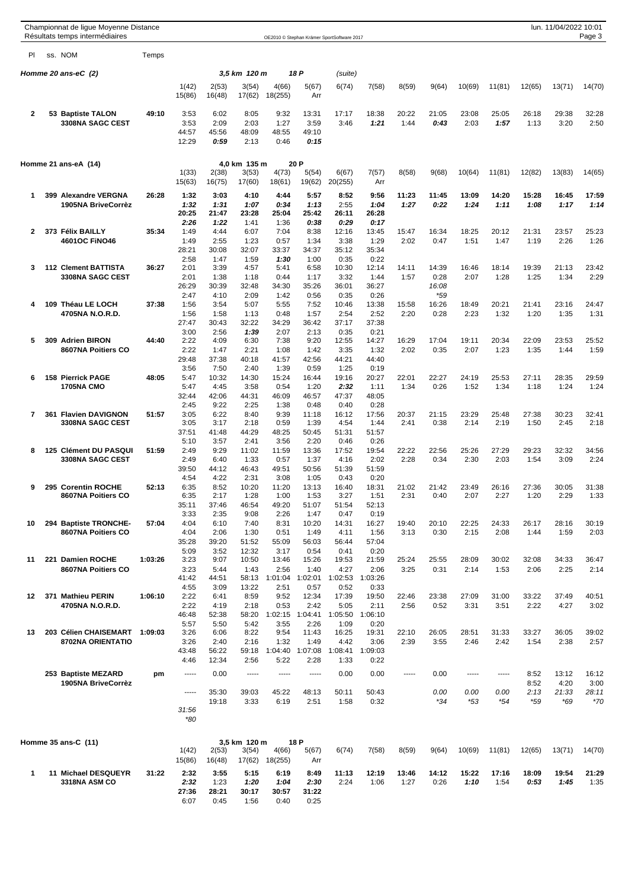|              | Championnat de ligue Moyenne Distance<br>Résultats temps intermédiaires |         |                                       |                                       |                                       |                                       |                                       | OE2010 © Stephan Krämer SportSoftware 2017 |                                        |               |                        |                      |                      |                             | lun. 11/04/2022 10:01         | Page 3                          |
|--------------|-------------------------------------------------------------------------|---------|---------------------------------------|---------------------------------------|---------------------------------------|---------------------------------------|---------------------------------------|--------------------------------------------|----------------------------------------|---------------|------------------------|----------------------|----------------------|-----------------------------|-------------------------------|---------------------------------|
| PI           | ss. NOM                                                                 | Temps   |                                       |                                       |                                       |                                       |                                       |                                            |                                        |               |                        |                      |                      |                             |                               |                                 |
|              | Homme 20 ans-eC (2)                                                     |         |                                       |                                       | 3,5 km 120 m                          |                                       | 18 P                                  | (suite)                                    |                                        |               |                        |                      |                      |                             |                               |                                 |
|              |                                                                         |         | 1(42)<br>15(86)                       | 2(53)<br>16(48)                       | 3(54)<br>17(62)                       | 4(66)<br>18(255)                      | 5(67)<br>Arr                          | 6(74)                                      | 7(58)                                  | 8(59)         | 9(64)                  | 10(69)               | 11(81)               | 12(65)                      | 13(71)                        | 14(70)                          |
| $\mathbf{2}$ | 53 Baptiste TALON<br><b>3308NA SAGC CEST</b>                            | 49:10   | 3:53<br>3:53<br>44:57<br>12:29        | 6:02<br>2:09<br>45:56<br>0:59         | 8:05<br>2:03<br>48:09<br>2:13         | 9:32<br>1:27<br>48:55<br>0:46         | 13:31<br>3:59<br>49:10<br>0:15        | 17:17<br>3:46                              | 18:38<br>1:21                          | 20:22<br>1:44 | 21:05<br>0:43          | 23:08<br>2:03        | 25:05<br>1:57        | 26:18<br>1:13               | 29:38<br>3:20                 | 32:28<br>2:50                   |
|              | Homme 21 ans-eA (14)                                                    |         | 1(33)<br>15(63)                       | 2(38)<br>16(75)                       | 4,0 km 135 m<br>3(53)<br>17(60)       | 4(73)<br>18(61)                       | 20 P<br>5(54)<br>19(62)               | 6(67)<br>20(255)                           | 7(57)<br>Arr                           | 8(58)         | 9(68)                  | 10(64)               | 11(81)               | 12(82)                      | 13(83)                        | 14(65)                          |
| 1            | 399 Alexandre VERGNA<br>1905NA BriveCorrèz                              | 26:28   | 1:32<br>1:32<br>20:25                 | 3:03<br>1:31<br>21:47                 | 4:10<br>1:07<br>23:28                 | 4:44<br>0:34<br>25:04                 | 5:57<br>1:13<br>25:42                 | 8:52<br>2:55<br>26:11                      | 9:56<br>1:04<br>26:28                  | 11:23<br>1:27 | 11:45<br>0:22          | 13:09<br>1:24        | 14:20<br>1:11        | 15:28<br>1:08               | 16:45<br>1:17                 | 17:59<br>1:14                   |
| 2            | 373 Félix BAILLY<br>4601OC FINO46                                       | 35:34   | 2:26<br>1:49<br>1:49<br>28:21         | 1:22<br>4:44<br>2:55<br>30:08         | 1:41<br>6:07<br>1:23<br>32:07         | 1:36<br>7:04<br>0:57<br>33:37         | 0:38<br>8:38<br>1:34<br>34:37         | 0:29<br>12:16<br>3:38<br>35:12             | 0:17<br>13:45<br>1:29<br>35:34         | 15:47<br>2:02 | 16:34<br>0:47          | 18:25<br>1:51        | 20:12<br>1:47        | 21:31<br>1:19               | 23:57<br>2:26                 | 25:23<br>1:26                   |
| 3            | <b>112 Clement BATTISTA</b><br><b>3308NA SAGC CEST</b>                  | 36:27   | 2:58<br>2:01<br>2:01<br>26:29         | 1:47<br>3:39<br>1:38<br>30:39         | 1:59<br>4:57<br>1:18<br>32:48         | 1:30<br>5:41<br>0:44<br>34:30         | 1:00<br>6:58<br>1:17<br>35:26         | 0:35<br>10:30<br>3:32<br>36:01             | 0:22<br>12:14<br>1:44<br>36:27         | 14:11<br>1:57 | 14:39<br>0:28<br>16:08 | 16:46<br>2:07        | 18:14<br>1:28        | 19:39<br>1:25               | 21:13<br>1:34                 | 23:42<br>2:29                   |
| 4            | 109 Théau LE LOCH<br>4705NA N.O.R.D.                                    | 37:38   | 2:47<br>1:56<br>1:56<br>27:47<br>3:00 | 4:10<br>3:54<br>1:58<br>30:43<br>2:56 | 2:09<br>5:07<br>1:13<br>32:22<br>1:39 | 1:42<br>5:55<br>0:48<br>34:29<br>2:07 | 0:56<br>7:52<br>1:57<br>36:42<br>2:13 | 0:35<br>10:46<br>2:54<br>37:17<br>0:35     | 0:26<br>13:38<br>2:52<br>37:38<br>0:21 | 15:58<br>2:20 | *59<br>16:26<br>0:28   | 18:49<br>2:23        | 20:21<br>1:32        | 21:41<br>1:20               | 23:16<br>1:35                 | 24:47<br>1:31                   |
| 5            | 309 Adrien BIRON<br>8607NA Poitiers CO                                  | 44:40   | 2:22<br>2:22<br>29:48<br>3:56         | 4:09<br>1:47<br>37:38<br>7:50         | 6:30<br>2:21<br>40:18<br>2:40         | 7:38<br>1:08<br>41:57<br>1:39         | 9:20<br>1:42<br>42:56<br>0:59         | 12:55<br>3:35<br>44:21<br>1:25             | 14:27<br>1:32<br>44:40<br>0:19         | 16:29<br>2:02 | 17:04<br>0:35          | 19:11<br>2:07        | 20:34<br>1:23        | 22:09<br>1:35               | 23:53<br>1:44                 | 25:52<br>1:59                   |
| 6            | 158 Pierrick PAGE<br><b>1705NA CMO</b>                                  | 48:05   | 5:47<br>5:47<br>32:44<br>2:45         | 10:32<br>4:45<br>42:06<br>9:22        | 14:30<br>3:58<br>44:31<br>2:25        | 15:24<br>0:54<br>46:09<br>1:38        | 16:44<br>1:20<br>46:57<br>0:48        | 19:16<br>2:32<br>47:37<br>0:40             | 20:27<br>1:11<br>48:05<br>0:28         | 22:01<br>1:34 | 22:27<br>0:26          | 24:19<br>1:52        | 25:53<br>1:34        | 27:11<br>1:18               | 28:35<br>1:24                 | 29:59<br>1:24                   |
| 7            | 361 Flavien DAVIGNON<br><b>3308NA SAGC CEST</b>                         | 51:57   | 3:05<br>3:05<br>37:51<br>5:10         | 6:22<br>3:17<br>41:48<br>3:57         | 8:40<br>2:18<br>44:29<br>2:41         | 9:39<br>0:59<br>48:25<br>3:56         | 11:18<br>1:39<br>50:45<br>2:20        | 16:12<br>4:54<br>51:31<br>0:46             | 17:56<br>1:44<br>51:57<br>0:26         | 20:37<br>2:41 | 21:15<br>0:38          | 23:29<br>2:14        | 25:48<br>2:19        | 27:38<br>1:50               | 30:23<br>2:45                 | 32:41<br>2:18                   |
| 8            | 125 Clément DU PASQUI<br><b>3308NA SAGC CEST</b>                        | 51:59   | 2:49<br>2:49<br>39:50<br>4:54         | 9:29<br>6:40<br>44:12<br>4:22         | 11:02<br>1:33<br>46:43<br>2:31        | 11:59<br>0:57<br>49:51<br>3:08        | 13:36<br>1:37<br>50:56<br>1:05        | 17:52<br>4:16<br>51:39<br>0:43             | 19:54<br>2:02<br>51:59<br>0:20         | 22:22<br>2:28 | 22:56<br>0:34          | 25:26<br>2:30        | 27:29<br>2:03        | 29:23<br>1:54               | 32:32<br>3:09                 | 34:56<br>2:24                   |
| 9            | 295 Corentin ROCHE<br>8607NA Poitiers CO                                | 52:13   | 6:35<br>6:35<br>35:11<br>3:33         | 8:52<br>2:17<br>37:46<br>2:35         | 10:20<br>1:28<br>46:54<br>9:08        | 11:20<br>1:00<br>49:20<br>2:26        | 13:13<br>1:53<br>51:07<br>1:47        | 16:40<br>3:27<br>51:54<br>0:47             | 18:31<br>1:51<br>52:13<br>0:19         | 21:02<br>2:31 | 21:42<br>0:40          | 23:49<br>2:07        | 26:16<br>2:27        | 27:36<br>1:20               | 30:05<br>2:29                 | 31:38<br>1:33                   |
| 10           | 294 Baptiste TRONCHE-<br>8607NA Poitiers CO                             | 57:04   | 4:04<br>4:04<br>35:28<br>5:09         | 6:10<br>2:06<br>39:20<br>3:52         | 7:40<br>1:30<br>51:52<br>12:32        | 8:31<br>0:51<br>55:09<br>3:17         | 10:20<br>1:49<br>56:03<br>0:54        | 14:31<br>4:11<br>56:44<br>0:41             | 16:27<br>1:56<br>57:04<br>0:20         | 19:40<br>3:13 | 20:10<br>0:30          | 22:25<br>2:15        | 24:33<br>2:08        | 26:17<br>1:44               | 28:16<br>1:59                 | 30:19<br>2:03                   |
| 11           | 221 Damien ROCHE<br>8607NA Poitiers CO                                  | 1:03:26 | 3:23<br>3:23<br>41:42<br>4:55         | 9:07<br>5:44<br>44:51<br>3:09         | 10:50<br>1:43<br>58:13<br>13:22       | 13:46<br>2:56<br>1:01:04<br>2:51      | 15:26<br>1:40<br>1:02:01<br>0:57      | 19:53<br>4:27<br>1:02:53<br>0:52           | 21:59<br>2:06<br>1:03:26<br>0:33       | 25:24<br>3:25 | 25:55<br>0:31          | 28:09<br>2:14        | 30:02<br>1:53        | 32:08<br>2:06               | 34:33<br>2:25                 | 36:47<br>2:14                   |
| 12           | 371 Mathieu PERIN<br>4705NA N.O.R.D.                                    | 1:06:10 | 2:22<br>2:22<br>46:48<br>5:57         | 6:41<br>4:19<br>52:38<br>5:50         | 8:59<br>2:18<br>58:20<br>5:42         | 9:52<br>0:53<br>1:02:15<br>3:55       | 12:34<br>2:42<br>1:04:41<br>2:26      | 17:39<br>5:05<br>1:05:50<br>1:09           | 19:50<br>2:11<br>1:06:10<br>0:20       | 22:46<br>2:56 | 23:38<br>0:52          | 27:09<br>3:31        | 31:00<br>3:51        | 33:22<br>2:22               | 37:49<br>4:27                 | 40:51<br>3:02                   |
| 13           | 203 Célien CHAISEMART<br>8702NA ORIENTATIO                              | 1:09:03 | 3:26<br>3:26<br>43:48<br>4:46         | 6:06<br>2:40<br>56:22<br>12:34        | 8:22<br>2:16<br>59:18<br>2:56         | 9:54<br>1:32<br>1:04:40<br>5:22       | 11:43<br>1:49<br>1:07:08<br>2:28      | 16:25<br>4:42<br>1:08:41<br>1:33           | 19:31<br>3:06<br>1:09:03<br>0:22       | 22:10<br>2:39 | 26:05<br>3:55          | 28:51<br>2:46        | 31:33<br>2:42        | 33:27<br>1:54               | 36:05<br>2:38                 | 39:02<br>2:57                   |
|              | 253 Baptiste MEZARD<br>1905NA BriveCorrèz                               | pm      | -----<br>-----<br>31:56<br>*80        | 0.00<br>35:30<br>19:18                | -----<br>39:03<br>3:33                | -----<br>45:22<br>6:19                | -----<br>48:13<br>2:51                | 0.00<br>50:11<br>1:58                      | 0.00<br>50:43<br>0:32                  | -----         | 0.00<br>0.00<br>$*34$  | -----<br>0.00<br>*53 | -----<br>0.00<br>*54 | 8:52<br>8:52<br>2:13<br>*59 | 13:12<br>4:20<br>21:33<br>*69 | 16:12<br>3:00<br>28:11<br>$*70$ |
|              | Homme 35 ans-C (11)                                                     |         | 1(42)<br>15(86)                       | 2(53)<br>16(48)                       | 3,5 km 120 m<br>3(54)<br>17(62)       | 4(66)<br>18(255)                      | 18 P<br>5(67)<br>Arr                  | 6(74)                                      | 7(58)                                  | 8(59)         | 9(64)                  | 10(69)               | 11(81)               | 12(65)                      | 13(71)                        | 14(70)                          |
| 1            | 11 Michael DESQUEYR<br>3318NA ASM CO                                    | 31:22   | 2:32<br>2:32<br>27:36<br>6:07         | 3:55<br>1:23<br>28:21<br>0:45         | 5:15<br>1:20<br>30:17<br>1:56         | 6:19<br>1:04<br>30:57<br>0:40         | 8:49<br>2:30<br>31:22<br>0:25         | 11:13<br>2:24                              | 12:19<br>1:06                          | 13:46<br>1:27 | 14:12<br>0:26          | 15:22<br>1:10        | 17:16<br>1:54        | 18:09<br>0:53               | 19:54<br>1:45                 | 21:29<br>1:35                   |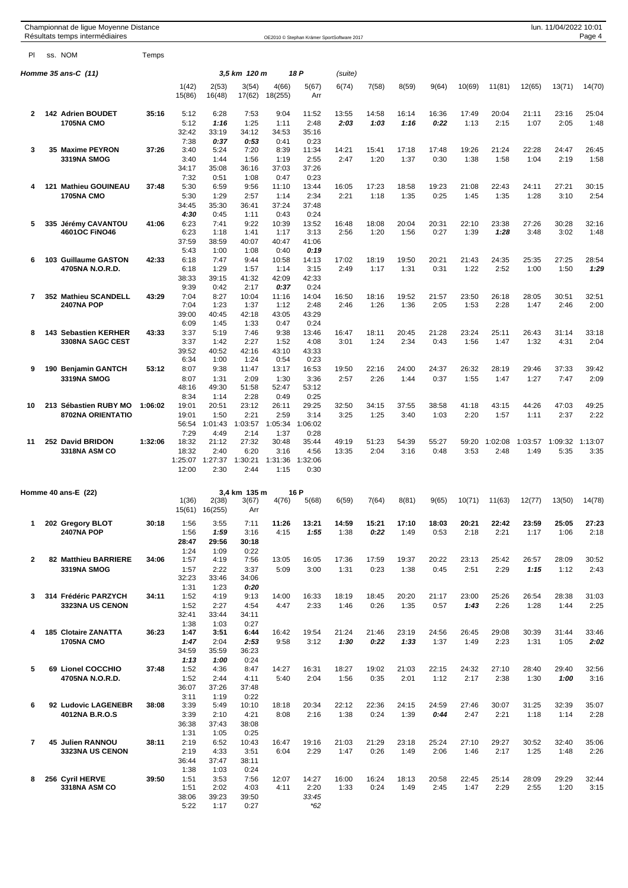|                |     | Championnat de lique Moyenne Distance<br>Résultats temps intermédiaires |         |                 |                  |                 |                  | OE2010 © Stephan Krämer SportSoftware 2017 |         |       |       |       |        |         |         | lun. 11/04/2022 10:01 | Page 4  |
|----------------|-----|-------------------------------------------------------------------------|---------|-----------------|------------------|-----------------|------------------|--------------------------------------------|---------|-------|-------|-------|--------|---------|---------|-----------------------|---------|
| PI             |     | ss. NOM                                                                 | Temps   |                 |                  |                 |                  |                                            |         |       |       |       |        |         |         |                       |         |
|                |     | Homme 35 ans-C (11)                                                     |         |                 |                  | 3,5 km 120 m    |                  | 18 P                                       | (suite) |       |       |       |        |         |         |                       |         |
|                |     |                                                                         |         | 1(42)<br>15(86) | 2(53)<br>16(48)  | 3(54)<br>17(62) | 4(66)<br>18(255) | 5(67)<br>Arr                               | 6(74)   | 7(58) | 8(59) | 9(64) | 10(69) | 11(81)  | 12(65)  | 13(71)                | 14(70)  |
| $\mathbf{2}$   |     | 142 Adrien BOUDET                                                       | 35:16   | 5:12            | 6:28             | 7:53            | 9:04             | 11:52                                      | 13:55   | 14:58 | 16:14 | 16:36 | 17:49  | 20:04   | 21:11   | 23:16                 | 25:04   |
|                |     | <b>1705NA CMO</b>                                                       |         | 5:12            | 1:16             | 1:25            | 1:11             | 2:48                                       | 2:03    | 1:03  | 1:16  | 0:22  | 1:13   | 2:15    | 1:07    | 2:05                  | 1:48    |
|                |     |                                                                         |         | 32:42<br>7:38   | 33:19<br>0:37    | 34:12<br>0:53   | 34:53<br>0:41    | 35:16<br>0:23                              |         |       |       |       |        |         |         |                       |         |
| 3              |     | 35 Maxime PEYRON                                                        | 37:26   | 3:40            | 5:24             | 7:20            | 8:39             | 11:34                                      | 14:21   | 15:41 | 17:18 | 17:48 | 19:26  | 21:24   | 22:28   | 24:47                 | 26:45   |
|                |     | <b>3319NA SMOG</b>                                                      |         | 3:40            | 1:44             | 1:56            | 1:19             | 2:55                                       | 2:47    | 1:20  | 1:37  | 0:30  | 1:38   | 1:58    | 1:04    | 2:19                  | 1:58    |
|                |     |                                                                         |         | 34:17<br>7:32   | 35:08<br>0:51    | 36:16<br>1:08   | 37:03<br>0:47    | 37:26<br>0:23                              |         |       |       |       |        |         |         |                       |         |
| 4              |     | 121 Mathieu GOUINEAU                                                    | 37:48   | 5:30            | 6:59             | 9:56            | 11:10            | 13:44                                      | 16:05   | 17:23 | 18:58 | 19:23 | 21:08  | 22:43   | 24:11   | 27:21                 | 30:15   |
|                |     | <b>1705NA CMO</b>                                                       |         | 5:30            | 1:29             | 2:57            | 1:14             | 2:34                                       | 2:21    | 1:18  | 1:35  | 0:25  | 1:45   | 1:35    | 1:28    | 3:10                  | 2:54    |
|                |     |                                                                         |         | 34:45<br>4:30   | 35:30<br>0:45    | 36:41<br>1:11   | 37:24<br>0:43    | 37:48<br>0:24                              |         |       |       |       |        |         |         |                       |         |
| 5              | 335 | Jérémy CAVANTOU                                                         | 41:06   | 6:23            | 7:41             | 9:22            | 10:39            | 13:52                                      | 16:48   | 18:08 | 20:04 | 20:31 | 22:10  | 23:38   | 27:26   | 30:28                 | 32:16   |
|                |     | 4601OC FINO46                                                           |         | 6:23            | 1:18             | 1:41            | 1:17             | 3:13                                       | 2:56    | 1:20  | 1:56  | 0:27  | 1:39   | 1:28    | 3:48    | 3:02                  | 1:48    |
|                |     |                                                                         |         | 37:59<br>5:43   | 38:59<br>1:00    | 40:07<br>1:08   | 40:47<br>0:40    | 41:06<br>0:19                              |         |       |       |       |        |         |         |                       |         |
| 6              |     | 103 Guillaume GASTON                                                    | 42:33   | 6:18            | 7:47             | 9:44            | 10:58            | 14:13                                      | 17:02   | 18:19 | 19:50 | 20:21 | 21:43  | 24:35   | 25:35   | 27:25                 | 28:54   |
|                |     | 4705NA N.O.R.D.                                                         |         | 6:18            | 1:29             | 1:57            | 1:14             | 3:15                                       | 2:49    | 1:17  | 1:31  | 0:31  | 1:22   | 2:52    | 1:00    | 1:50                  | 1:29    |
|                |     |                                                                         |         | 38:33<br>9:39   | 39:15<br>0:42    | 41:32<br>2:17   | 42:09<br>0:37    | 42:33<br>0:24                              |         |       |       |       |        |         |         |                       |         |
| 7              |     | 352 Mathieu SCANDELL                                                    | 43:29   | 7:04            | 8:27             | 10:04           | 11:16            | 14:04                                      | 16:50   | 18:16 | 19:52 | 21:57 | 23:50  | 26:18   | 28:05   | 30:51                 | 32:51   |
|                |     | <b>2407NA POP</b>                                                       |         | 7:04            | 1:23             | 1:37            | 1:12             | 2:48                                       | 2:46    | 1:26  | 1:36  | 2:05  | 1:53   | 2:28    | 1:47    | 2:46                  | 2:00    |
|                |     |                                                                         |         | 39:00<br>6:09   | 40:45<br>1:45    | 42:18<br>1:33   | 43:05<br>0:47    | 43:29<br>0:24                              |         |       |       |       |        |         |         |                       |         |
| 8              |     | 143 Sebastien KERHER                                                    | 43:33   | 3:37            | 5:19             | 7:46            | 9:38             | 13:46                                      | 16:47   | 18:11 | 20:45 | 21:28 | 23:24  | 25:11   | 26:43   | 31:14                 | 33:18   |
|                |     | <b>3308NA SAGC CEST</b>                                                 |         | 3:37            | 1:42             | 2:27            | 1:52             | 4:08                                       | 3:01    | 1:24  | 2:34  | 0:43  | 1:56   | 1:47    | 1:32    | 4:31                  | 2:04    |
|                |     |                                                                         |         | 39:52<br>6:34   | 40:52<br>1:00    | 42:16<br>1:24   | 43:10<br>0:54    | 43:33<br>0:23                              |         |       |       |       |        |         |         |                       |         |
| 9              |     | 190 Benjamin GANTCH                                                     | 53:12   | 8:07            | 9:38             | 11:47           | 13:17            | 16:53                                      | 19:50   | 22:16 | 24:00 | 24:37 | 26:32  | 28:19   | 29:46   | 37:33                 | 39:42   |
|                |     | 3319NA SMOG                                                             |         | 8:07            | 1:31             | 2:09            | 1:30             | 3:36                                       | 2:57    | 2:26  | 1:44  | 0:37  | 1:55   | 1:47    | 1:27    | 7:47                  | 2:09    |
|                |     |                                                                         |         | 48:16<br>8:34   | 49:30<br>1:14    | 51:58<br>2:28   | 52:47<br>0:49    | 53:12<br>0:25                              |         |       |       |       |        |         |         |                       |         |
| 10             |     | 213 Sébastien RUBY MO                                                   | 1:06:02 | 19:01           | 20:51            | 23:12           | 26:11            | 29:25                                      | 32:50   | 34:15 | 37:55 | 38:58 | 41:18  | 43:15   | 44:26   | 47:03                 | 49:25   |
|                |     | 8702NA ORIENTATIO                                                       |         | 19:01           | 1:50             | 2:21            | 2:59             | 3:14                                       | 3:25    | 1:25  | 3:40  | 1:03  | 2:20   | 1:57    | 1:11    | 2:37                  | 2:22    |
|                |     |                                                                         |         | 56:54           | 1:01:43          | 1:03:57         | 1:05:34          | 1:06:02                                    |         |       |       |       |        |         |         |                       |         |
| 11             |     | 252 David BRIDON                                                        | 1:32:06 | 7:29<br>18:32   | 4:49<br>21:12    | 2:14<br>27:32   | 1:37<br>30:48    | 0:28<br>35:44                              | 49:19   | 51:23 | 54:39 | 55:27 | 59:20  | 1:02:08 | 1:03:57 | 1:09:32               | 1:13:07 |
|                |     | 3318NA ASM CO                                                           |         | 18:32           | 2:40             | 6:20            | 3:16             | 4:56                                       | 13:35   | 2:04  | 3:16  | 0:48  | 3:53   | 2:48    | 1:49    | 5:35                  | 3:35    |
|                |     |                                                                         |         | 1:25:07         | 1:27:37          | 1:30:21         | 1:31:36          | 1:32:06                                    |         |       |       |       |        |         |         |                       |         |
|                |     |                                                                         |         | 12:00           | 2:30             | 2:44            | 1:15             | 0:30                                       |         |       |       |       |        |         |         |                       |         |
|                |     | Homme 40 ans-E (22)                                                     |         |                 |                  | 3,4 km 135 m    |                  | 16 P                                       |         |       |       |       |        |         |         |                       |         |
|                |     |                                                                         |         | 1(36)<br>15(61) | 2(38)<br>16(255) | 3(67)<br>Arr    | 4(76)            | 5(68)                                      | 6(59)   | 7(64) | 8(81) | 9(65) | 10(71) | 11(63)  | 12(77)  | 13(50)                | 14(78)  |
| 1              |     | 202 Gregory BLOT                                                        | 30:18   | 1:56            | 3:55             | 7:11            | 11:26            | 13:21                                      | 14:59   | 15:21 | 17:10 | 18:03 | 20:21  | 22:42   | 23:59   | 25:05                 | 27:23   |
|                |     | <b>2407NA POP</b>                                                       |         | 1:56            | 1:59             | 3:16            | 4:15             | 1:55                                       | 1:38    | 0:22  | 1:49  | 0:53  | 2:18   | 2:21    | 1:17    | 1:06                  | 2:18    |
|                |     |                                                                         |         | 28:47<br>1:24   | 29:56<br>1:09    | 30:18<br>0:22   |                  |                                            |         |       |       |       |        |         |         |                       |         |
| $\overline{2}$ |     | 82 Matthieu BARRIERE                                                    | 34:06   | 1:57            | 4:19             | 7:56            | 13:05            | 16:05                                      | 17:36   | 17:59 | 19:37 | 20:22 | 23:13  | 25:42   | 26:57   | 28:09                 | 30:52   |
|                |     | 3319NA SMOG                                                             |         | 1:57            | 2:22             | 3:37            | 5:09             | 3:00                                       | 1:31    | 0:23  | 1:38  | 0:45  | 2:51   | 2:29    | 1:15    | 1:12                  | 2:43    |
|                |     |                                                                         |         | 32:23<br>1:31   | 33:46<br>1:23    | 34:06<br>0:20   |                  |                                            |         |       |       |       |        |         |         |                       |         |
| 3              |     | 314 Frédéric PARZYCH                                                    | 34:11   | 1:52            | 4:19             | 9:13            | 14:00            | 16:33                                      | 18:19   | 18:45 | 20:20 | 21:17 | 23:00  | 25:26   | 26:54   | 28:38                 | 31:03   |
|                |     | <b>3323NA US CENON</b>                                                  |         | 1:52            | 2:27             | 4:54            | 4:47             | 2:33                                       | 1:46    | 0:26  | 1:35  | 0:57  | 1:43   | 2:26    | 1:28    | 1:44                  | 2:25    |
|                |     |                                                                         |         | 32:41<br>1:38   | 33:44<br>1:03    | 34:11<br>0:27   |                  |                                            |         |       |       |       |        |         |         |                       |         |
| 4              |     | <b>185 Clotaire ZANATTA</b>                                             | 36:23   | 1:47            | 3:51             | 6:44            | 16:42            | 19:54                                      | 21:24   | 21:46 | 23:19 | 24:56 | 26:45  | 29:08   | 30:39   | 31:44                 | 33:46   |
|                |     | <b>1705NA CMO</b>                                                       |         | 1:47            | 2:04             | 2:53            | 9:58             | 3:12                                       | 1:30    | 0:22  | 1:33  | 1:37  | 1:49   | 2:23    | 1:31    | 1:05                  | 2:02    |
|                |     |                                                                         |         | 34:59<br>1:13   | 35:59<br>1:00    | 36:23<br>0:24   |                  |                                            |         |       |       |       |        |         |         |                       |         |
| 5              |     | 69 Lionel COCCHIO                                                       | 37:48   | 1:52            | 4:36             | 8:47            | 14:27            | 16:31                                      | 18:27   | 19:02 | 21:03 | 22:15 | 24:32  | 27:10   | 28:40   | 29:40                 | 32:56   |
|                |     | 4705NA N.O.R.D.                                                         |         | 1:52            | 2:44             | 4:11            | 5:40             | 2:04                                       | 1:56    | 0:35  | 2:01  | 1:12  | 2:17   | 2:38    | 1:30    | 1:00                  | 3:16    |
|                |     |                                                                         |         | 36:07<br>3:11   | 37:26<br>1:19    | 37:48<br>0:22   |                  |                                            |         |       |       |       |        |         |         |                       |         |
| 6              |     | 92 Ludovic LAGENEBR                                                     | 38:08   | 3:39            | 5:49             | 10:10           | 18:18            | 20:34                                      | 22:12   | 22:36 | 24:15 | 24:59 | 27:46  | 30:07   | 31:25   | 32:39                 | 35:07   |
|                |     | 4012NA B.R.O.S                                                          |         | 3:39            | 2:10             | 4:21            | 8:08             | 2:16                                       | 1:38    | 0:24  | 1:39  | 0:44  | 2:47   | 2:21    | 1:18    | 1:14                  | 2:28    |
|                |     |                                                                         |         | 36:38<br>1:31   | 37:43<br>1:05    | 38:08<br>0:25   |                  |                                            |         |       |       |       |        |         |         |                       |         |
| $\overline{7}$ |     | 45 Julien RANNOU                                                        | 38:11   | 2:19            | 6:52             | 10:43           | 16:47            | 19:16                                      | 21:03   | 21:29 | 23:18 | 25:24 | 27:10  | 29:27   | 30:52   | 32:40                 | 35:06   |
|                |     | 3323NA US CENON                                                         |         | 2:19            | 4:33             | 3:51            | 6:04             | 2:29                                       | 1:47    | 0:26  | 1:49  | 2:06  | 1:46   | 2:17    | 1:25    | 1:48                  | 2:26    |
|                |     |                                                                         |         | 36:44<br>1:38   | 37:47<br>1:03    | 38:11<br>0:24   |                  |                                            |         |       |       |       |        |         |         |                       |         |
| 8              |     | 256 Cyril HERVE                                                         | 39:50   | 1:51            | 3:53             | 7:56            | 12:07            | 14:27                                      | 16:00   | 16:24 | 18:13 | 20:58 | 22:45  | 25:14   | 28:09   | 29:29                 | 32:44   |
|                |     | 3318NA ASM CO                                                           |         | 1:51            | 2:02             | 4:03            | 4:11             | 2:20                                       | 1:33    | 0:24  | 1:49  | 2:45  | 1:47   | 2:29    | 2:55    | 1:20                  | 3:15    |
|                |     |                                                                         |         | 38:06<br>5:22   | 39:23<br>1:17    | 39:50<br>0:27   |                  | 33:45<br>$*62$                             |         |       |       |       |        |         |         |                       |         |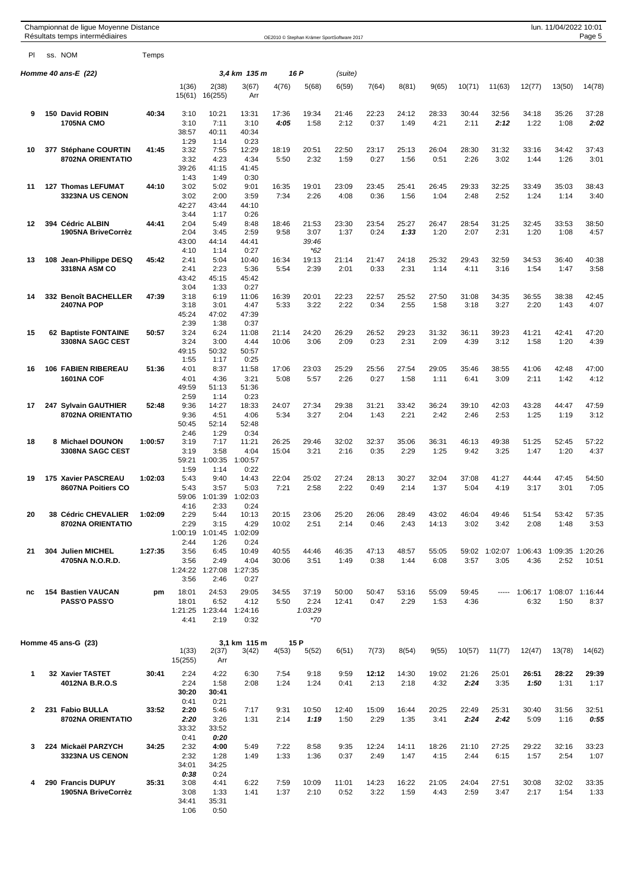|              | Championnat de ligue Moyenne Distance<br>Résultats temps intermédiaires |         |                  |                  |                 |              | OE2010 © Stephan Krämer SportSoftware 2017 |               |               |               |               |               |               |               | lun. 11/04/2022 10:01 | Page 5        |
|--------------|-------------------------------------------------------------------------|---------|------------------|------------------|-----------------|--------------|--------------------------------------------|---------------|---------------|---------------|---------------|---------------|---------------|---------------|-----------------------|---------------|
| PI           | ss. NOM                                                                 | Temps   |                  |                  |                 |              |                                            |               |               |               |               |               |               |               |                       |               |
|              | Homme 40 ans-E (22)                                                     |         |                  |                  | 3,4 km 135 m    |              | 16 P                                       | (suite)       |               |               |               |               |               |               |                       |               |
|              |                                                                         |         | 1(36)<br>15(61)  | 2(38)<br>16(255) | 3(67)<br>Arr    | 4(76)        | 5(68)                                      | 6(59)         | 7(64)         | 8(81)         | 9(65)         | 10(71)        | 11(63)        | 12(77)        | 13(50)                | 14(78)        |
| 9            | 150 David ROBIN                                                         | 40:34   | 3:10             | 10:21            | 13:31           | 17:36        | 19:34                                      | 21:46         | 22:23         | 24:12         | 28:33         | 30:44         | 32:56         | 34:18         | 35:26                 | 37:28         |
|              | <b>1705NA CMO</b>                                                       |         | 3:10             | 7:11             | 3:10            | 4:05         | 1:58                                       | 2:12          | 0:37          | 1:49          | 4:21          | 2:11          | 2:12          | 1:22          | 1:08                  | 2:02          |
|              |                                                                         |         | 38:57<br>1:29    | 40:11<br>1:14    | 40:34<br>0:23   |              |                                            |               |               |               |               |               |               |               |                       |               |
| 10           | 377 Stéphane COURTIN                                                    | 41:45   | 3:32             | 7:55             | 12:29           | 18:19        | 20:51                                      | 22:50         | 23:17         | 25:13         | 26:04         | 28:30         | 31:32         | 33:16         | 34:42                 | 37:43         |
|              | 8702NA ORIENTATIO                                                       |         | 3:32             | 4:23             | 4:34            | 5:50         | 2:32                                       | 1:59          | 0:27          | 1:56          | 0:51          | 2:26          | 3:02          | 1:44          | 1:26                  | 3:01          |
|              |                                                                         |         | 39:26<br>1:43    | 41:15<br>1:49    | 41:45<br>0:30   |              |                                            |               |               |               |               |               |               |               |                       |               |
| 11           | <b>127 Thomas LEFUMAT</b>                                               | 44:10   | 3:02             | 5:02             | 9:01            | 16:35        | 19:01                                      | 23:09         | 23:45         | 25:41         | 26:45         | 29:33         | 32:25         | 33:49         | 35:03                 | 38:43         |
|              | 3323NA US CENON                                                         |         | 3:02             | 2:00             | 3:59            | 7:34         | 2:26                                       | 4:08          | 0:36          | 1:56          | 1:04          | 2:48          | 2:52          | 1:24          | 1:14                  | 3:40          |
|              |                                                                         |         | 42:27<br>3:44    | 43:44<br>1:17    | 44:10<br>0:26   |              |                                            |               |               |               |               |               |               |               |                       |               |
| 12           | 394 Cédric ALBIN                                                        | 44:41   | 2:04             | 5:49             | 8:48            | 18:46        | 21:53                                      | 23:30         | 23:54         | 25:27         | 26:47         | 28:54         | 31:25         | 32:45         | 33:53                 | 38:50         |
|              | 1905NA BriveCorrèz                                                      |         | 2:04             | 3:45             | 2:59            | 9:58         | 3:07                                       | 1:37          | 0:24          | 1:33          | 1:20          | 2:07          | 2:31          | 1:20          | 1:08                  | 4:57          |
|              |                                                                         |         | 43:00<br>4:10    | 44:14<br>1:14    | 44:41<br>0:27   |              | 39:46<br>$*62$                             |               |               |               |               |               |               |               |                       |               |
| 13           | 108 Jean-Philippe DESQ                                                  | 45:42   | 2:41             | 5:04             | 10:40           | 16:34        | 19:13                                      | 21:14         | 21:47         | 24:18         | 25:32         | 29:43         | 32:59         | 34:53         | 36:40                 | 40:38         |
|              | 3318NA ASM CO                                                           |         | 2:41             | 2:23             | 5:36            | 5:54         | 2:39                                       | 2:01          | 0:33          | 2:31          | 1:14          | 4:11          | 3:16          | 1:54          | 1:47                  | 3:58          |
|              |                                                                         |         | 43:42<br>3:04    | 45:15<br>1:33    | 45:42<br>0:27   |              |                                            |               |               |               |               |               |               |               |                       |               |
| 14           | 332 Benoît BACHELLER                                                    | 47:39   | 3:18             | 6:19             | 11:06           | 16:39        | 20:01                                      | 22:23         | 22:57         | 25:52         | 27:50         | 31:08         | 34:35         | 36:55         | 38:38                 | 42:45         |
|              | <b>2407NA POP</b>                                                       |         | 3:18             | 3:01             | 4:47            | 5:33         | 3:22                                       | 2:22          | 0:34          | 2:55          | 1:58          | 3:18          | 3:27          | 2:20          | 1:43                  | 4:07          |
|              |                                                                         |         | 45:24<br>2:39    | 47:02<br>1:38    | 47:39<br>0:37   |              |                                            |               |               |               |               |               |               |               |                       |               |
| 15           | 62 Baptiste FONTAINE                                                    | 50:57   | 3:24             | 6:24             | 11:08           | 21:14        | 24:20                                      | 26:29         | 26:52         | 29:23         | 31:32         | 36:11         | 39:23         | 41:21         | 42:41                 | 47:20         |
|              | 3308NA SAGC CEST                                                        |         | 3:24             | 3:00             | 4:44            | 10:06        | 3:06                                       | 2:09          | 0:23          | 2:31          | 2:09          | 4:39          | 3:12          | 1:58          | 1:20                  | 4:39          |
|              |                                                                         |         | 49:15<br>1:55    | 50:32            | 50:57<br>0:25   |              |                                            |               |               |               |               |               |               |               |                       |               |
| 16           | <b>106 FABIEN RIBEREAU</b>                                              | 51:36   | 4:01             | 1:17<br>8:37     | 11:58           | 17:06        | 23:03                                      | 25:29         | 25:56         | 27:54         | 29:05         | 35:46         | 38:55         | 41:06         | 42:48                 | 47:00         |
|              | 1601NA COF                                                              |         | 4:01             | 4:36             | 3:21            | 5:08         | 5:57                                       | 2:26          | 0:27          | 1:58          | 1:11          | 6:41          | 3:09          | 2:11          | 1:42                  | 4:12          |
|              |                                                                         |         | 49:59            | 51:13            | 51:36           |              |                                            |               |               |               |               |               |               |               |                       |               |
| 17           | 247 Sylvain GAUTHIER                                                    | 52:48   | 2:59<br>9:36     | 1:14<br>14:27    | 0:23<br>18:33   | 24:07        | 27:34                                      | 29:38         | 31:21         | 33:42         | 36:24         | 39:10         | 42:03         | 43:28         | 44:47                 | 47:59         |
|              | 8702NA ORIENTATIO                                                       |         | 9:36             | 4:51             | 4:06            | 5:34         | 3:27                                       | 2:04          | 1:43          | 2:21          | 2:42          | 2:46          | 2:53          | 1:25          | 1:19                  | 3:12          |
|              |                                                                         |         | 50:45            | 52:14            | 52:48           |              |                                            |               |               |               |               |               |               |               |                       |               |
| 18           | 8 Michael DOUNON                                                        | 1:00:57 | 2:46<br>3:19     | 1:29<br>7:17     | 0:34<br>11:21   | 26:25        | 29:46                                      | 32:02         | 32:37         | 35:06         | 36:31         | 46:13         | 49:38         | 51:25         | 52:45                 | 57:22         |
|              | 3308NA SAGC CEST                                                        |         | 3:19             | 3:58             | 4:04            | 15:04        | 3:21                                       | 2:16          | 0:35          | 2:29          | 1:25          | 9:42          | 3:25          | 1:47          | 1:20                  | 4:37          |
|              |                                                                         |         | 59:21            | 1:00:35          | 1:00:57         |              |                                            |               |               |               |               |               |               |               |                       |               |
| 19           | 175 Xavier PASCREAU                                                     | 1:02:03 | 1:59<br>5:43     | 1:14<br>9:40     | 0:22<br>14:43   | 22:04        | 25:02                                      | 27:24         | 28:13         | 30:27         | 32:04         | 37:08         | 41:27         | 44:44         | 47:45                 | 54:50         |
|              | 8607NA Poitiers CO                                                      |         | 5:43             | 3:57             | 5:03            | 7:21         | 2:58                                       | 2:22          | 0:49          | 2:14          | 1:37          | 5:04          | 4:19          | 3:17          | 3:01                  | 7:05          |
|              |                                                                         |         | 59:06            | 1:01:39          | 1:02:03         |              |                                            |               |               |               |               |               |               |               |                       |               |
| 20           | 38 Cédric CHEVALIER                                                     | 1:02:09 | 4:16<br>2:29     | 2:33<br>5:44     | 0:24<br>10:13   | 20:15        | 23:06                                      | 25:20         | 26:06         | 28:49         | 43:02         | 46:04         | 49:46         | 51:54         | 53:42                 | 57:35         |
|              | 8702NA ORIENTATIO                                                       |         | 2:29             | 3:15             | 4:29            | 10:02        | 2:51                                       | 2:14          | 0:46          | 2:43          | 14:13         | 3:02          | 3:42          | 2:08          | 1:48                  | 3:53          |
|              |                                                                         |         | 1:00:19          | 1:01:45          | 1:02:09         |              |                                            |               |               |               |               |               |               |               |                       |               |
| 21           | 304 Julien MICHEL                                                       | 1:27:35 | 2:44<br>3:56     | 1:26<br>6:45     | 0:24<br>10:49   | 40:55        | 44:46                                      | 46:35         | 47:13         | 48:57         | 55:05         | 59:02         | 1:02:07       | 1:06:43       | 1:09:35               | 1:20:26       |
|              | 4705NA N.O.R.D.                                                         |         | 3:56             | 2:49             | 4:04            | 30:06        | 3:51                                       | 1:49          | 0:38          | 1:44          | 6:08          | 3:57          | 3:05          | 4:36          | 2:52                  | 10:51         |
|              |                                                                         |         | 1:24:22          | 1:27:08          | 1:27:35         |              |                                            |               |               |               |               |               |               |               |                       |               |
|              |                                                                         |         | 3:56             | 2:46             | 0:27            |              |                                            |               |               |               |               |               |               |               |                       |               |
| nc           | <b>154 Bastien VAUCAN</b>                                               | pm      | 18:01            | 24:53            | 29:05           | 34:55        | 37:19                                      | 50:00         | 50:47         | 53:16         | 55:09         | 59:45         | -----         | 1:06:17       | 1:08:07 1:16:44       |               |
|              | <b>PASS'O PASS'O</b>                                                    |         | 18:01<br>1:21:25 | 6:52<br>1:23:44  | 4:12<br>1:24:16 | 5:50         | 2:24<br>1:03:29                            | 12:41         | 0:47          | 2:29          | 1:53          | 4:36          |               | 6:32          | 1:50                  | 8:37          |
|              |                                                                         |         | 4:41             | 2:19             | 0:32            |              | *70                                        |               |               |               |               |               |               |               |                       |               |
|              |                                                                         |         |                  |                  |                 |              |                                            |               |               |               |               |               |               |               |                       |               |
|              | Homme 45 ans-G (23)                                                     |         |                  |                  | 3,1 km 115 m    |              | 15 P                                       |               |               |               |               |               |               |               |                       |               |
|              |                                                                         |         | 1(33)<br>15(255) | 2(37)<br>Arr     | 3(42)           | 4(53)        | 5(52)                                      | 6(51)         | 7(73)         | 8(54)         | 9(55)         | 10(57)        | 11(77)        | 12(47)        | 13(78)                | 14(62)        |
| $\mathbf 1$  | 32 Xavier TASTET                                                        | 30:41   | 2:24             | 4:22             | 6:30            | 7:54         | 9:18                                       | 9:59          | 12:12         | 14:30         | 19:02         | 21:26         | 25:01         | 26:51         | 28:22                 | 29:39         |
|              | 4012NA B.R.O.S                                                          |         | 2:24             | 1:58             | 2:08            | 1:24         | 1:24                                       | 0:41          | 2:13          | 2:18          | 4:32          | 2:24          | 3:35          | 1:50          | 1:31                  | 1:17          |
|              |                                                                         |         | 30:20            | 30:41            |                 |              |                                            |               |               |               |               |               |               |               |                       |               |
|              |                                                                         |         | 0:41             | 0:21             |                 |              |                                            |               |               |               |               |               |               |               |                       |               |
| $\mathbf{2}$ | 231 Fabio BULLA<br>8702NA ORIENTATIO                                    | 33:52   | 2:20<br>2:20     | 5:46<br>3:26     | 7:17<br>1:31    | 9:31<br>2:14 | 10:50<br>1:19                              | 12:40<br>1:50 | 15:09<br>2:29 | 16:44<br>1:35 | 20:25<br>3:41 | 22:49<br>2:24 | 25:31<br>2:42 | 30:40<br>5:09 | 31:56<br>1:16         | 32:51<br>0.55 |
|              |                                                                         |         | 33:32            | 33:52            |                 |              |                                            |               |               |               |               |               |               |               |                       |               |
|              |                                                                         |         | 0:41             | 0:20             |                 |              |                                            |               |               |               |               |               |               |               |                       |               |
| 3            | 224 Mickaël PARZYCH<br>3323NA US CENON                                  | 34:25   | 2:32<br>2:32     | 4:00<br>1:28     | 5:49<br>1:49    | 7:22<br>1:33 | 8:58<br>1:36                               | 9:35<br>0:37  | 12:24<br>2:49 | 14:11<br>1:47 | 18:26<br>4:15 | 21:10<br>2:44 | 27:25<br>6:15 | 29:22<br>1:57 | 32:16<br>2:54         | 33:23<br>1:07 |
|              |                                                                         |         | 34:01            | 34:25            |                 |              |                                            |               |               |               |               |               |               |               |                       |               |
|              |                                                                         |         | 0:38             | 0:24             |                 |              |                                            |               |               |               |               |               |               |               |                       |               |
| 4            | 290 Francis DUPUY<br>1905NA BriveCorrèz                                 | 35:31   | 3:08<br>3:08     | 4:41<br>1:33     | 6:22<br>1:41    | 7:59<br>1:37 | 10:09<br>2:10                              | 11:01<br>0:52 | 14:23<br>3:22 | 16:22<br>1:59 | 21:05<br>4:43 | 24:04<br>2:59 | 27:51<br>3:47 | 30:08<br>2:17 | 32:02<br>1:54         | 33:35<br>1:33 |
|              |                                                                         |         | 34:41            | 35:31            |                 |              |                                            |               |               |               |               |               |               |               |                       |               |
|              |                                                                         |         | 1:06             | 0:50             |                 |              |                                            |               |               |               |               |               |               |               |                       |               |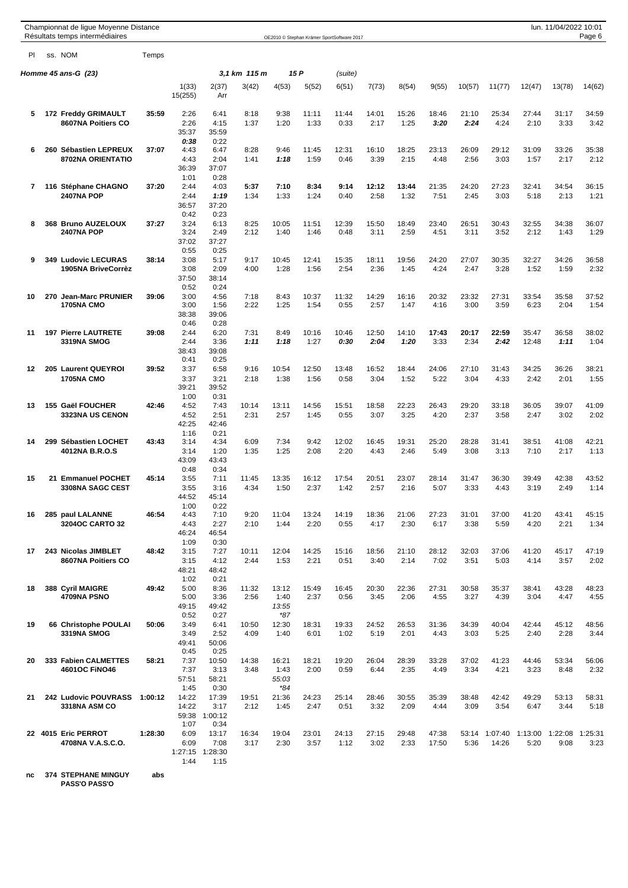|    | Championnat de ligue Moyenne Distance<br>Résultats temps intermédiaires |         |                                 |                                          |               |                               |               | OE2010 © Stephan Krämer SportSoftware 2017 |               |               |                |               |                        |                 | lun. 11/04/2022 10:01 | Page 6          |
|----|-------------------------------------------------------------------------|---------|---------------------------------|------------------------------------------|---------------|-------------------------------|---------------|--------------------------------------------|---------------|---------------|----------------|---------------|------------------------|-----------------|-----------------------|-----------------|
| PI | ss. NOM                                                                 | Temps   |                                 |                                          |               |                               |               |                                            |               |               |                |               |                        |                 |                       |                 |
|    | Homme $45$ ans-G $(23)$                                                 |         |                                 |                                          | 3,1 km 115 m  |                               | 15 P          | (suite)                                    |               |               |                |               |                        |                 |                       |                 |
|    |                                                                         |         | 1(33)<br>15(255)                | 2(37)<br>Arr                             | 3(42)         | 4(53)                         | 5(52)         | 6(51)                                      | 7(73)         | 8(54)         | 9(55)          | 10(57)        | 11(77)                 | 12(47)          | 13(78)                | 14(62)          |
| 5  | 172 Freddy GRIMAULT<br>8607NA Poitiers CO                               | 35:59   | 2:26<br>2:26                    | 6:41<br>4:15                             | 8:18<br>1:37  | 9:38<br>1:20                  | 11:11<br>1:33 | 11:44<br>0:33                              | 14:01<br>2:17 | 15:26<br>1:25 | 18:46<br>3:20  | 21:10<br>2:24 | 25:34<br>4:24          | 27:44<br>2:10   | 31:17<br>3:33         | 34:59<br>3:42   |
|    |                                                                         |         | 35:37<br>0:38                   | 35:59<br>0:22                            |               |                               |               |                                            |               |               |                |               |                        |                 |                       |                 |
| 6  | 260 Sébastien LEPREUX<br>8702NA ORIENTATIO                              | 37:07   | 4:43<br>4:43<br>36:39           | 6:47<br>2:04<br>37:07                    | 8:28<br>1:41  | 9:46<br>1:18                  | 11:45<br>1:59 | 12:31<br>0:46                              | 16:10<br>3:39 | 18:25<br>2:15 | 23:13<br>4:48  | 26:09<br>2:56 | 29:12<br>3:03          | 31:09<br>1:57   | 33:26<br>2:17         | 35:38<br>2:12   |
| 7  | 116 Stéphane CHAGNO<br><b>2407NA POP</b>                                | 37:20   | 1:01<br>2:44<br>2:44<br>36:57   | 0:28<br>4:03<br>1:19<br>37:20            | 5:37<br>1:34  | 7:10<br>1:33                  | 8:34<br>1:24  | 9:14<br>0:40                               | 12:12<br>2:58 | 13:44<br>1:32 | 21:35<br>7:51  | 24:20<br>2:45 | 27:23<br>3:03          | 32:41<br>5:18   | 34:54<br>2:13         | 36:15<br>1:21   |
| 8  | 368 Bruno AUZELOUX<br><b>2407NA POP</b>                                 | 37:27   | 0:42<br>3:24<br>3:24<br>37:02   | 0:23<br>6:13<br>2:49<br>37:27            | 8:25<br>2:12  | 10:05<br>1:40                 | 11:51<br>1:46 | 12:39<br>0:48                              | 15:50<br>3:11 | 18:49<br>2:59 | 23:40<br>4:51  | 26:51<br>3:11 | 30:43<br>3:52          | 32:55<br>2:12   | 34:38<br>1:43         | 36:07<br>1:29   |
| 9  | 349 Ludovic LECURAS<br>1905NA BriveCorrèz                               | 38:14   | 0:55<br>3:08<br>3:08            | 0:25<br>5:17<br>2:09                     | 9:17<br>4:00  | 10:45<br>1:28                 | 12:41<br>1:56 | 15:35<br>2:54                              | 18:11<br>2:36 | 19:56<br>1:45 | 24:20<br>4:24  | 27:07<br>2:47 | 30:35<br>3:28          | 32:27<br>1:52   | 34:26<br>1:59         | 36:58<br>2:32   |
| 10 | 270 Jean-Marc PRUNIER                                                   | 39:06   | 37:50<br>0:52<br>3:00           | 38:14<br>0:24<br>4:56                    | 7:18          | 8:43                          | 10:37         | 11:32                                      | 14:29         | 16:16         | 20:32          | 23:32         | 27:31                  | 33:54           | 35:58                 | 37:52           |
|    | <b>1705NA CMO</b>                                                       |         | 3:00<br>38:38<br>0:46           | 1:56<br>39:06<br>0:28                    | 2:22          | 1:25                          | 1:54          | 0:55                                       | 2:57          | 1:47          | 4:16           | 3:00          | 3:59                   | 6:23            | 2:04                  | 1:54            |
| 11 | <b>197 Pierre LAUTRETE</b><br>3319NA SMOG                               | 39:08   | 2:44<br>2:44<br>38:43<br>0:41   | 6:20<br>3:36<br>39:08<br>0:25            | 7:31<br>1:11  | 8:49<br>1:18                  | 10:16<br>1:27 | 10:46<br>0:30                              | 12:50<br>2:04 | 14:10<br>1:20 | 17:43<br>3:33  | 20:17<br>2:34 | 22:59<br>2:42          | 35:47<br>12:48  | 36:58<br>1:11         | 38:02<br>1:04   |
| 12 | 205 Laurent QUEYROI<br><b>1705NA CMO</b>                                | 39:52   | 3:37<br>3:37<br>39:21<br>1:00   | 6:58<br>3:21<br>39:52<br>0:31            | 9:16<br>2:18  | 10:54<br>1:38                 | 12:50<br>1:56 | 13:48<br>0:58                              | 16:52<br>3:04 | 18:44<br>1:52 | 24:06<br>5:22  | 27:10<br>3:04 | 31:43<br>4:33          | 34:25<br>2:42   | 36:26<br>2:01         | 38:21<br>1:55   |
| 13 | 155 Gaël FOUCHER<br>3323NA US CENON                                     | 42:46   | 4:52<br>4:52<br>42:25<br>1:16   | 7:43<br>2:51<br>42:46<br>0:21            | 10:14<br>2:31 | 13:11<br>2:57                 | 14:56<br>1:45 | 15:51<br>0:55                              | 18:58<br>3:07 | 22:23<br>3:25 | 26:43<br>4:20  | 29:20<br>2:37 | 33:18<br>3:58          | 36:05<br>2:47   | 39:07<br>3:02         | 41:09<br>2:02   |
| 14 | 299 Sébastien LOCHET<br>4012NA B.R.O.S                                  | 43:43   | 3:14<br>3:14<br>43:09<br>0:48   | 4:34<br>1:20<br>43:43<br>0:34            | 6:09<br>1:35  | 7:34<br>1:25                  | 9:42<br>2:08  | 12:02<br>2:20                              | 16:45<br>4:43 | 19:31<br>2:46 | 25:20<br>5:49  | 28:28<br>3:08 | 31:41<br>3:13          | 38:51<br>7:10   | 41:08<br>2:17         | 42:21<br>1:13   |
| 15 | 21 Emmanuel POCHET<br>3308NA SAGC CEST                                  | 45:14   | 3:55<br>3:55<br>44:52<br>1:00   | 7:11<br>3:16<br>45:14<br>0:22            | 11:45<br>4:34 | 13:35<br>1:50                 | 16:12<br>2:37 | 17:54<br>1:42                              | 20:51<br>2:57 | 23:07<br>2:16 | 28:14<br>5:07  | 31:47<br>3:33 | 36:30<br>4:43          | 39:49<br>3:19   | 42:38<br>2:49         | 43:52<br>1:14   |
| 16 | 285 paul LALANNE<br>3204OC CARTO 32                                     | 46:54   | 4:43<br>4:43<br>46:24<br>1:09   | 7:10<br>2:27<br>46:54<br>0:30            | 9:20<br>2:10  | 11:04<br>1:44                 | 13:24<br>2:20 | 14:19<br>0:55                              | 18:36<br>4:17 | 21:06<br>2:30 | 27:23<br>6:17  | 31:01<br>3:38 | 37:00<br>5:59          | 41:20<br>4:20   | 43:41<br>2:21         | 45:15<br>1:34   |
| 17 | 243 Nicolas JIMBLET<br>8607NA Poitiers CO                               | 48:42   | 3:15<br>3:15<br>48:21<br>1:02   | 7:27<br>4:12<br>48:42<br>0:21            | 10:11<br>2:44 | 12:04<br>1:53                 | 14:25<br>2:21 | 15:16<br>0:51                              | 18:56<br>3:40 | 21:10<br>2:14 | 28:12<br>7:02  | 32:03<br>3:51 | 37:06<br>5:03          | 41:20<br>4:14   | 45:17<br>3:57         | 47:19<br>2:02   |
| 18 | 388 Cyril MAIGRE<br>4709NA PSNO                                         | 49:42   | 5:00<br>5:00<br>49:15<br>0:52   | 8:36<br>3:36<br>49:42<br>0:27            | 11:32<br>2:56 | 13:12<br>1:40<br>13:55<br>*87 | 15:49<br>2:37 | 16:45<br>0:56                              | 20:30<br>3:45 | 22:36<br>2:06 | 27:31<br>4:55  | 30:58<br>3:27 | 35:37<br>4:39          | 38:41<br>3:04   | 43:28<br>4:47         | 48:23<br>4:55   |
| 19 | 66 Christophe POULAI<br>3319NA SMOG                                     | 50:06   | 3:49<br>3:49<br>49:41<br>0:45   | 6:41<br>2:52<br>50:06<br>0:25            | 10:50<br>4:09 | 12:30<br>1:40                 | 18:31<br>6:01 | 19:33<br>1:02                              | 24:52<br>5:19 | 26:53<br>2:01 | 31:36<br>4:43  | 34:39<br>3:03 | 40:04<br>5:25          | 42:44<br>2:40   | 45:12<br>2:28         | 48:56<br>3:44   |
| 20 | 333 Fabien CALMETTES<br><b>4601OC FINO46</b>                            | 58:21   | 7:37<br>7:37<br>57:51<br>1:45   | 10:50<br>3:13<br>58:21                   | 14:38<br>3:48 | 16:21<br>1:43<br>55:03<br>*84 | 18:21<br>2:00 | 19:20<br>0:59                              | 26:04<br>6:44 | 28:39<br>2:35 | 33:28<br>4:49  | 37:02<br>3:34 | 41:23<br>4:21          | 44:46<br>3:23   | 53:34<br>8:48         | 56:06<br>2:32   |
| 21 | 242 Ludovic POUVRASS<br>3318NA ASM CO                                   | 1:00:12 | 14:22<br>14:22<br>59:38<br>1:07 | 0:30<br>17:39<br>3:17<br>1:00:12<br>0:34 | 19:51<br>2:12 | 21:36<br>1:45                 | 24:23<br>2:47 | 25:14<br>0:51                              | 28:46<br>3:32 | 30:55<br>2:09 | 35:39<br>4:44  | 38:48<br>3:09 | 42:42<br>3:54          | 49:29<br>6:47   | 53:13<br>3:44         | 58:31<br>5:18   |
|    | 22 4015 Eric PERROT<br>4708NA V.A.S.C.O.                                | 1:28:30 | 6:09<br>6:09<br>1:27:15<br>1:44 | 13:17<br>7:08<br>1:28:30<br>1:15         | 16:34<br>3:17 | 19:04<br>2:30                 | 23:01<br>3:57 | 24:13<br>1:12                              | 27:15<br>3:02 | 29:48<br>2:33 | 47:38<br>17:50 | 5:36          | 53:14 1:07:40<br>14:26 | 1:13:00<br>5:20 | 1:22:08<br>9:08       | 1:25:31<br>3:23 |

**nc 374 STEPHANE MINGUY abs**

**PASS'O PASS'O**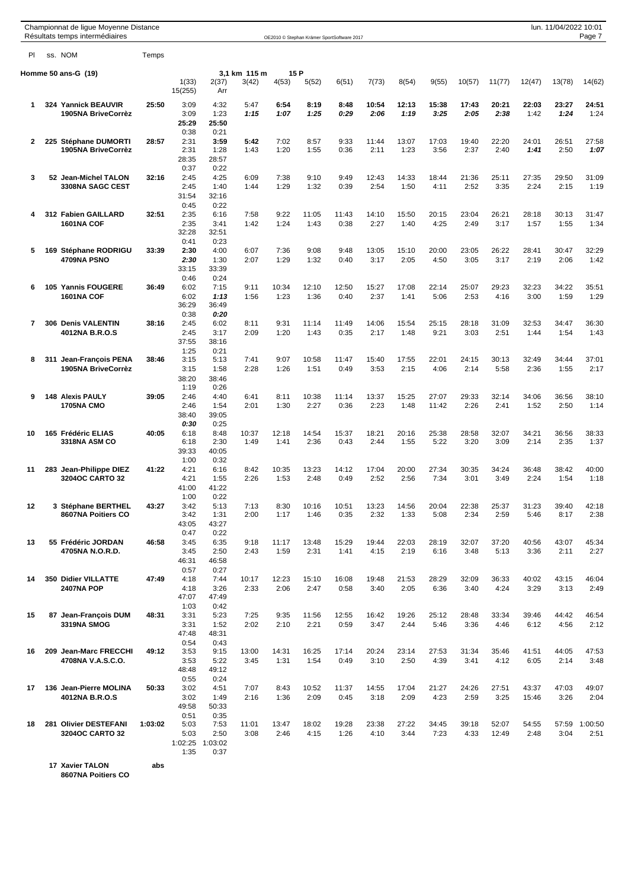|                |     | Championnat de ligue Moyenne Distance<br>Résultats temps intermédiaires |         |                  |                 |               |               |               | OE2010 © Stephan Krämer SportSoftware 2017 |               |               |                |               |                |               | lun. 11/04/2022 10:01 | Page 7          |
|----------------|-----|-------------------------------------------------------------------------|---------|------------------|-----------------|---------------|---------------|---------------|--------------------------------------------|---------------|---------------|----------------|---------------|----------------|---------------|-----------------------|-----------------|
| PI             |     | ss. NOM                                                                 | Temps   |                  |                 |               |               |               |                                            |               |               |                |               |                |               |                       |                 |
|                |     | Homme 50 ans-G (19)                                                     |         |                  |                 | 3,1 km 115 m  | 15 P          |               |                                            |               |               |                |               |                |               |                       |                 |
|                |     |                                                                         |         | 1(33)<br>15(255) | 2(37)<br>Arr    | 3(42)         | 4(53)         | 5(52)         | 6(51)                                      | 7(73)         | 8(54)         | 9(55)          | 10(57)        | 11(77)         | 12(47)        | 13(78)                | 14(62)          |
| 1              |     | 324 Yannick BEAUVIR                                                     | 25:50   | 3:09             | 4:32            | 5:47          | 6:54          | 8:19          | 8:48                                       | 10:54         | 12:13         | 15:38          | 17:43         | 20:21          | 22:03         | 23:27                 | 24:51           |
|                |     | 1905NA BriveCorrèz                                                      |         | 3:09             | 1:23            | 1:15          | 1:07          | 1:25          | 0:29                                       | 2:06          | 1:19          | 3:25           | 2:05          | 2:38           | 1:42          | 1:24                  | 1:24            |
|                |     |                                                                         |         | 25:29            | 25:50           |               |               |               |                                            |               |               |                |               |                |               |                       |                 |
| 2              | 225 | Stéphane DUMORTI                                                        | 28:57   | 0:38<br>2:31     | 0:21<br>3:59    | 5:42          | 7:02          | 8:57          | 9:33                                       | 11:44         | 13:07         | 17:03          | 19:40         | 22:20          | 24:01         | 26:51                 | 27:58           |
|                |     | 1905NA BriveCorrèz                                                      |         | 2:31             | 1:28            | 1:43          | 1:20          | 1:55          | 0:36                                       | 2:11          | 1:23          | 3:56           | 2:37          | 2:40           | 1:41          | 2:50                  | 1:07            |
|                |     |                                                                         |         | 28:35            | 28:57           |               |               |               |                                            |               |               |                |               |                |               |                       |                 |
|                |     |                                                                         |         | 0:37             | 0:22            |               |               |               |                                            |               |               |                |               |                |               |                       |                 |
| 3              |     | 52 Jean-Michel TALON<br>3308NA SAGC CEST                                | 32:16   | 2:45<br>2:45     | 4:25<br>1:40    | 6:09<br>1:44  | 7:38<br>1:29  | 9:10<br>1:32  | 9:49<br>0:39                               | 12:43<br>2:54 | 14:33<br>1:50 | 18:44<br>4:11  | 21:36<br>2:52 | 25:11<br>3:35  | 27:35<br>2:24 | 29:50<br>2:15         | 31:09<br>1:19   |
|                |     |                                                                         |         | 31:54            | 32:16           |               |               |               |                                            |               |               |                |               |                |               |                       |                 |
|                |     |                                                                         |         | 0:45             | 0:22            |               |               |               |                                            |               |               |                |               |                |               |                       |                 |
| 4              |     | 312 Fabien GAILLARD                                                     | 32:51   | 2:35             | 6:16            | 7:58          | 9:22          | 11:05         | 11:43                                      | 14:10         | 15:50         | 20:15          | 23:04         | 26:21          | 28:18         | 30:13                 | 31:47           |
|                |     | 1601NA COF                                                              |         | 2:35             | 3:41            | 1:42          | 1:24          | 1:43          | 0:38                                       | 2:27          | 1:40          | 4:25           | 2:49          | 3:17           | 1:57          | 1:55                  | 1:34            |
|                |     |                                                                         |         | 32:28            | 32:51           |               |               |               |                                            |               |               |                |               |                |               |                       |                 |
| 5              |     | 169 Stéphane RODRIGU                                                    | 33:39   | 0:41<br>2:30     | 0:23<br>4:00    | 6:07          | 7:36          | 9:08          | 9:48                                       | 13:05         | 15:10         | 20:00          | 23:05         | 26:22          | 28:41         | 30:47                 | 32:29           |
|                |     | 4709NA PSNO                                                             |         | 2:30             | 1:30            | 2:07          | 1:29          | 1:32          | 0:40                                       | 3:17          | 2:05          | 4:50           | 3:05          | 3:17           | 2:19          | 2:06                  | 1:42            |
|                |     |                                                                         |         | 33:15            | 33:39           |               |               |               |                                            |               |               |                |               |                |               |                       |                 |
|                |     |                                                                         |         | 0:46             | 0:24            |               |               |               |                                            |               |               |                |               |                |               |                       |                 |
| 6              |     | 105 Yannis FOUGERE<br>1601NA COF                                        | 36:49   | 6:02<br>6:02     | 7:15<br>1:13    | 9:11<br>1:56  | 10:34<br>1:23 | 12:10<br>1:36 | 12:50<br>0:40                              | 15:27<br>2:37 | 17:08         | 22:14<br>5:06  | 25:07<br>2:53 | 29:23          | 32:23<br>3:00 | 34:22<br>1:59         | 35:51<br>1:29   |
|                |     |                                                                         |         | 36:29            | 36:49           |               |               |               |                                            |               | 1:41          |                |               | 4:16           |               |                       |                 |
|                |     |                                                                         |         | 0:38             | 0:20            |               |               |               |                                            |               |               |                |               |                |               |                       |                 |
| $\overline{7}$ |     | 306 Denis VALENTIN                                                      | 38:16   | 2:45             | 6:02            | 8:11          | 9:31          | 11:14         | 11:49                                      | 14:06         | 15:54         | 25:15          | 28:18         | 31:09          | 32:53         | 34:47                 | 36:30           |
|                |     | 4012NA B.R.O.S                                                          |         | 2:45             | 3:17            | 2:09          | 1:20          | 1:43          | 0:35                                       | 2:17          | 1:48          | 9:21           | 3:03          | 2:51           | 1:44          | 1:54                  | 1:43            |
|                |     |                                                                         |         | 37:55<br>1:25    | 38:16<br>0:21   |               |               |               |                                            |               |               |                |               |                |               |                       |                 |
| 8              |     | 311 Jean-François PENA                                                  | 38:46   | 3:15             | 5:13            | 7:41          | 9:07          | 10:58         | 11:47                                      | 15:40         | 17:55         | 22:01          | 24:15         | 30:13          | 32:49         | 34:44                 | 37:01           |
|                |     | 1905NA BriveCorrèz                                                      |         | 3:15             | 1:58            | 2:28          | 1:26          | 1:51          | 0:49                                       | 3:53          | 2:15          | 4:06           | 2:14          | 5:58           | 2:36          | 1:55                  | 2:17            |
|                |     |                                                                         |         | 38:20            | 38:46           |               |               |               |                                            |               |               |                |               |                |               |                       |                 |
|                |     |                                                                         |         | 1:19             | 0:26            |               |               |               |                                            |               |               |                |               |                |               |                       |                 |
| 9              |     | <b>148 Alexis PAULY</b><br><b>1705NA CMO</b>                            | 39:05   | 2:46<br>2:46     | 4:40<br>1:54    | 6:41<br>2:01  | 8:11<br>1:30  | 10:38<br>2:27 | 11:14<br>0:36                              | 13:37<br>2:23 | 15:25<br>1:48 | 27:07<br>11:42 | 29:33<br>2:26 | 32:14<br>2:41  | 34:06<br>1:52 | 36:56<br>2:50         | 38:10<br>1:14   |
|                |     |                                                                         |         | 38:40            | 39:05           |               |               |               |                                            |               |               |                |               |                |               |                       |                 |
|                |     |                                                                         |         | 0:30             | 0:25            |               |               |               |                                            |               |               |                |               |                |               |                       |                 |
| 10             |     | 165 Frédéric ELIAS                                                      | 40:05   | 6:18             | 8:48            | 10:37         | 12:18         | 14:54         | 15:37                                      | 18:21         | 20:16         | 25:38          | 28:58         | 32:07          | 34:21         | 36:56                 | 38:33           |
|                |     | 3318NA ASM CO                                                           |         | 6:18             | 2:30            | 1:49          | 1:41          | 2:36          | 0:43                                       | 2:44          | 1:55          | 5:22           | 3:20          | 3:09           | 2:14          | 2:35                  | 1:37            |
|                |     |                                                                         |         | 39:33<br>1:00    | 40:05<br>0:32   |               |               |               |                                            |               |               |                |               |                |               |                       |                 |
| 11             |     | 283 Jean-Philippe DIEZ                                                  | 41:22   | 4:21             | 6:16            | 8:42          | 10:35         | 13:23         | 14:12                                      | 17:04         | 20:00         | 27:34          | 30:35         | 34:24          | 36:48         | 38:42                 | 40:00           |
|                |     | 3204OC CARTO 32                                                         |         | 4:21             | 1:55            | 2:26          | 1:53          | 2:48          | 0:49                                       | 2:52          | 2:56          | 7:34           | 3:01          | 3:49           | 2:24          | 1:54                  | 1:18            |
|                |     |                                                                         |         | 41:00            | 41:22           |               |               |               |                                            |               |               |                |               |                |               |                       |                 |
|                |     |                                                                         |         | 1:00             | 0:22            |               |               |               |                                            |               |               |                |               |                |               |                       |                 |
| 12             |     | 3 Stéphane BERTHEL<br>8607NA Poitiers CO                                | 43:27   | 3:42<br>3:42     | 5:13<br>1:31    | 7:13<br>2:00  | 8:30<br>1:17  | 10:16<br>1:46 | 10:51<br>0:35                              | 13:23<br>2:32 | 14:56<br>1:33 | 20:04<br>5:08  | 22:38<br>2:34 | 25:37<br>2:59  | 31:23<br>5:46 | 39:40<br>8:17         | 42:18<br>2:38   |
|                |     |                                                                         |         | 43:05            | 43:27           |               |               |               |                                            |               |               |                |               |                |               |                       |                 |
|                |     |                                                                         |         | 0:47             | 0:22            |               |               |               |                                            |               |               |                |               |                |               |                       |                 |
| 13             |     | 55 Frédéric JORDAN                                                      | 46:58   | 3:45             | 6:35            | 9:18          | 11:17         | 13:48         | 15:29                                      | 19:44         | 22:03         | 28:19          | 32:07         | 37:20          | 40:56         | 43:07                 | 45:34           |
|                |     | 4705NA N.O.R.D.                                                         |         | 3:45             | 2:50            | 2:43          | 1:59          | 2:31          | 1:41                                       | 4:15          | 2:19          | 6:16           | 3:48          | 5:13           | 3:36          | 2:11                  | 2:27            |
|                |     |                                                                         |         | 46:31<br>0:57    | 46:58<br>0:27   |               |               |               |                                            |               |               |                |               |                |               |                       |                 |
| 14             |     | 350 Didier VILLATTE                                                     | 47:49   | 4:18             | 7:44            | 10:17         | 12:23         | 15:10         | 16:08                                      | 19:48         | 21:53         | 28:29          | 32:09         | 36:33          | 40:02         | 43:15                 | 46:04           |
|                |     | <b>2407NA POP</b>                                                       |         | 4:18             | 3:26            | 2:33          | 2:06          | 2:47          | 0:58                                       | 3:40          | 2:05          | 6:36           | 3:40          | 4:24           | 3:29          | 3:13                  | 2:49            |
|                |     |                                                                         |         | 47:07            | 47:49           |               |               |               |                                            |               |               |                |               |                |               |                       |                 |
| 15             |     | 87 Jean-François DUM                                                    | 48:31   | 1:03             | 0:42            |               |               |               |                                            |               | 19:26         |                |               | 33:34          | 39:46         | 44:42                 | 46:54           |
|                |     | 3319NA SMOG                                                             |         | 3:31<br>3:31     | 5:23<br>1:52    | 7:25<br>2:02  | 9:35<br>2:10  | 11:56<br>2:21 | 12:55<br>0:59                              | 16:42<br>3:47 | 2:44          | 25:12<br>5:46  | 28:48<br>3:36 | 4:46           | 6:12          | 4:56                  | 2:12            |
|                |     |                                                                         |         | 47:48            | 48:31           |               |               |               |                                            |               |               |                |               |                |               |                       |                 |
|                |     |                                                                         |         | 0:54             | 0:43            |               |               |               |                                            |               |               |                |               |                |               |                       |                 |
| 16             |     | 209 Jean-Marc FRECCHI                                                   | 49:12   | 3:53             | 9:15            | 13:00         | 14:31         | 16:25         | 17:14                                      | 20:24         | 23:14         | 27:53          | 31:34         | 35:46          | 41:51         | 44:05                 | 47:53           |
|                |     | 4708NA V.A.S.C.O.                                                       |         | 3:53             | 5:22            | 3:45          | 1:31          | 1:54          | 0:49                                       | 3:10          | 2:50          | 4:39           | 3:41          | 4:12           | 6:05          | 2:14                  | 3:48            |
|                |     |                                                                         |         | 48:48<br>0:55    | 49:12<br>0:24   |               |               |               |                                            |               |               |                |               |                |               |                       |                 |
| 17             |     | 136 Jean-Pierre MOLINA                                                  | 50:33   | 3:02             | 4:51            | 7:07          | 8:43          | 10:52         | 11:37                                      | 14:55         | 17:04         | 21:27          | 24:26         | 27:51          | 43:37         | 47:03                 | 49:07           |
|                |     | 4012NA B.R.O.S                                                          |         | 3:02             | 1:49            | 2:16          | 1:36          | 2:09          | 0:45                                       | 3:18          | 2:09          | 4:23           | 2:59          | 3:25           | 15:46         | 3:26                  | 2:04            |
|                |     |                                                                         |         | 49:58            | 50:33           |               |               |               |                                            |               |               |                |               |                |               |                       |                 |
|                |     |                                                                         |         | 0:51             | 0:35            |               |               |               |                                            |               |               |                |               |                |               |                       |                 |
| 18             |     | 281 Olivier DESTEFANI<br>3204OC CARTO 32                                | 1:03:02 | 5:03<br>5:03     | 7:53<br>2:50    | 11:01<br>3:08 | 13:47<br>2:46 | 18:02<br>4:15 | 19:28<br>1:26                              | 23:38<br>4:10 | 27:22<br>3:44 | 34:45<br>7:23  | 39:18<br>4:33 | 52:07<br>12:49 | 54:55<br>2:48 | 57:59<br>3:04         | 1:00:50<br>2:51 |
|                |     |                                                                         |         |                  | 1:02:25 1:03:02 |               |               |               |                                            |               |               |                |               |                |               |                       |                 |
|                |     |                                                                         |         | 1:35             | 0:37            |               |               |               |                                            |               |               |                |               |                |               |                       |                 |

**17 Xavier TALON abs**

**8607NA Poitiers CO**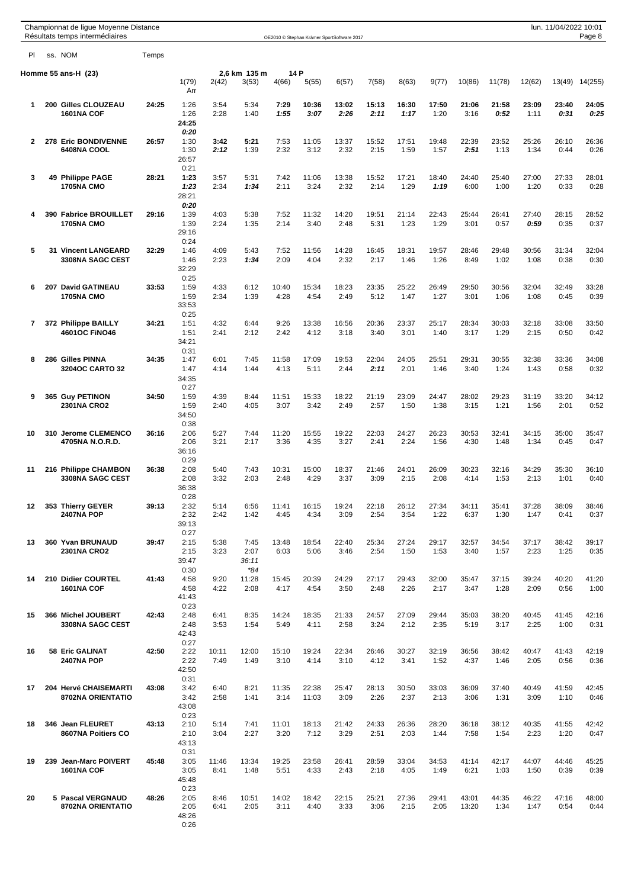|              | Championnat de ligue Moyenne Distance<br>Résultats temps intermédiaires |       |                                       |               |                                |               |                | OE2010 © Stephan Krämer SportSoftware 2017 |               |               |               |                |               |               | lun. 11/04/2022 10:01 | Page 8        |
|--------------|-------------------------------------------------------------------------|-------|---------------------------------------|---------------|--------------------------------|---------------|----------------|--------------------------------------------|---------------|---------------|---------------|----------------|---------------|---------------|-----------------------|---------------|
| PI           | ss. NOM                                                                 | Temps |                                       |               |                                |               |                |                                            |               |               |               |                |               |               |                       |               |
|              | Homme 55 ans-H (23)                                                     |       | 1(79)<br>Arr                          | 2(42)         | 2,6 km 135 m<br>3(53)          | 14 P<br>4(66) | 5(55)          | 6(57)                                      | 7(58)         | 8(63)         | 9(77)         | 10(86)         | 11(78)        | 12(62)        | 13(49)                | 14(255)       |
| 1            | 200 Gilles CLOUZEAU<br>1601NA COF                                       | 24:25 | 1:26<br>1:26<br>24:25                 | 3:54<br>2:28  | 5:34<br>1:40                   | 7:29<br>1:55  | 10:36<br>3:07  | 13:02<br>2:26                              | 15:13<br>2:11 | 16:30<br>1:17 | 17:50<br>1:20 | 21:06<br>3:16  | 21:58<br>0:52 | 23:09<br>1:11 | 23:40<br>0:31         | 24:05<br>0:25 |
| $\mathbf{2}$ | 278 Eric BONDIVENNE<br>6408NA COOL                                      | 26:57 | 0:20<br>1:30<br>1:30<br>26:57<br>0:21 | 3:42<br>2:12  | 5:21<br>1:39                   | 7:53<br>2:32  | 11:05<br>3:12  | 13:37<br>2:32                              | 15:52<br>2:15 | 17:51<br>1:59 | 19:48<br>1:57 | 22:39<br>2:51  | 23:52<br>1:13 | 25:26<br>1:34 | 26:10<br>0:44         | 26:36<br>0:26 |
| 3            | 49 Philippe PAGE<br><b>1705NA CMO</b>                                   | 28:21 | 1:23<br>1:23<br>28:21<br>0:20         | 3:57<br>2:34  | 5:31<br>1:34                   | 7:42<br>2:11  | 11:06<br>3:24  | 13:38<br>2:32                              | 15:52<br>2:14 | 17:21<br>1:29 | 18:40<br>1:19 | 24:40<br>6:00  | 25:40<br>1:00 | 27:00<br>1:20 | 27:33<br>0:33         | 28:01<br>0:28 |
| 4            | <b>390 Fabrice BROUILLET</b><br><b>1705NA CMO</b>                       | 29:16 | 1:39<br>1:39<br>29:16<br>0:24         | 4:03<br>2:24  | 5:38<br>1:35                   | 7:52<br>2:14  | 11:32<br>3:40  | 14:20<br>2:48                              | 19:51<br>5:31 | 21:14<br>1:23 | 22:43<br>1:29 | 25:44<br>3:01  | 26:41<br>0:57 | 27:40<br>0:59 | 28:15<br>0:35         | 28:52<br>0:37 |
| 5            | <b>31 Vincent LANGEARD</b><br><b>3308NA SAGC CEST</b>                   | 32:29 | 1:46<br>1:46<br>32:29<br>0:25         | 4:09<br>2:23  | 5:43<br>1:34                   | 7:52<br>2:09  | 11:56<br>4:04  | 14:28<br>2:32                              | 16:45<br>2:17 | 18:31<br>1:46 | 19:57<br>1:26 | 28:46<br>8:49  | 29:48<br>1:02 | 30:56<br>1:08 | 31:34<br>0:38         | 32:04<br>0:30 |
| 6            | 207 David GATINEAU<br><b>1705NA CMO</b>                                 | 33:53 | 1:59<br>1:59<br>33:53<br>0:25         | 4:33<br>2:34  | 6:12<br>1:39                   | 10:40<br>4:28 | 15:34<br>4:54  | 18:23<br>2:49                              | 23:35<br>5:12 | 25:22<br>1:47 | 26:49<br>1:27 | 29:50<br>3:01  | 30:56<br>1:06 | 32:04<br>1:08 | 32:49<br>0:45         | 33:28<br>0:39 |
| 7            | 372 Philippe BAILLY<br><b>4601OC FINO46</b>                             | 34:21 | 1:51<br>1:51<br>34:21<br>0:31         | 4:32<br>2:41  | 6:44<br>2:12                   | 9:26<br>2:42  | 13:38<br>4:12  | 16:56<br>3:18                              | 20:36<br>3:40 | 23:37<br>3:01 | 25:17<br>1:40 | 28:34<br>3:17  | 30:03<br>1:29 | 32:18<br>2:15 | 33:08<br>0:50         | 33:50<br>0:42 |
| 8            | 286 Gilles PINNA<br><b>3204OC CARTO 32</b>                              | 34:35 | 1:47<br>1:47<br>34:35<br>0:27         | 6:01<br>4:14  | 7:45<br>1:44                   | 11:58<br>4:13 | 17:09<br>5:11  | 19:53<br>2:44                              | 22:04<br>2:11 | 24:05<br>2:01 | 25:51<br>1:46 | 29:31<br>3:40  | 30:55<br>1:24 | 32:38<br>1:43 | 33:36<br>0:58         | 34:08<br>0:32 |
| 9            | 365 Guy PETINON<br>2301NA CRO2                                          | 34:50 | 1:59<br>1:59<br>34:50<br>0:38         | 4:39<br>2:40  | 8:44<br>4:05                   | 11:51<br>3:07 | 15:33<br>3:42  | 18:22<br>2:49                              | 21:19<br>2:57 | 23:09<br>1:50 | 24:47<br>1:38 | 28:02<br>3:15  | 29:23<br>1:21 | 31:19<br>1:56 | 33:20<br>2:01         | 34:12<br>0:52 |
| 10           | 310 Jerome CLEMENCO<br>4705NA N.O.R.D.                                  | 36:16 | 2:06<br>2:06<br>36:16<br>0:29         | 5:27<br>3:21  | 7:44<br>2:17                   | 11:20<br>3:36 | 15:55<br>4:35  | 19:22<br>3:27                              | 22:03<br>2:41 | 24:27<br>2:24 | 26:23<br>1:56 | 30:53<br>4:30  | 32:41<br>1:48 | 34:15<br>1:34 | 35:00<br>0:45         | 35:47<br>0:47 |
| 11           | 216 Philippe CHAMBON<br>3308NA SAGC CEST                                | 36:38 | 2:08<br>2:08<br>36:38<br>0:28         | 5:40<br>3:32  | 7:43<br>2:03                   | 10:31<br>2:48 | 15:00<br>4:29  | 18:37<br>3:37                              | 21:46<br>3:09 | 24:01<br>2:15 | 26:09<br>2:08 | 30:23<br>4:14  | 32:16<br>1:53 | 34:29<br>2:13 | 35:30<br>1:01         | 36:10<br>0:40 |
| 12           | 353 Thierry GEYER<br><b>2407NA POP</b>                                  | 39:13 | 2:32<br>2:32<br>39:13<br>0:27         | 5:14<br>2:42  | 6:56<br>1:42                   | 11:41<br>4:45 | 16:15<br>4:34  | 19:24<br>3:09                              | 22:18<br>2:54 | 26:12<br>3:54 | 27:34<br>1:22 | 34:11<br>6:37  | 35:41<br>1:30 | 37:28<br>1:47 | 38:09<br>0:41         | 38:46<br>0:37 |
| 13           | 360 Yvan BRUNAUD<br>2301NA CRO2                                         | 39:47 | 2:15<br>2:15<br>39:47<br>0:30         | 5:38<br>3:23  | 7:45<br>2:07<br>36:11<br>$*84$ | 13:48<br>6:03 | 18:54<br>5:06  | 22:40<br>3:46                              | 25:34<br>2:54 | 27:24<br>1:50 | 29:17<br>1:53 | 32:57<br>3:40  | 34:54<br>1:57 | 37:17<br>2:23 | 38:42<br>1:25         | 39:17<br>0:35 |
| 14           | 210 Didier COURTEL<br>1601NA COF                                        | 41:43 | 4:58<br>4:58<br>41:43<br>0:23         | 9:20<br>4:22  | 11:28<br>2:08                  | 15:45<br>4:17 | 20:39<br>4:54  | 24:29<br>3:50                              | 27:17<br>2:48 | 29:43<br>2:26 | 32:00<br>2:17 | 35:47<br>3:47  | 37:15<br>1:28 | 39:24<br>2:09 | 40:20<br>0:56         | 41:20<br>1:00 |
| 15           | 366 Michel JOUBERT<br>3308NA SAGC CEST                                  | 42:43 | 2:48<br>2:48<br>42:43<br>0:27         | 6:41<br>3:53  | 8:35<br>1:54                   | 14:24<br>5:49 | 18:35<br>4:11  | 21:33<br>2:58                              | 24:57<br>3:24 | 27:09<br>2:12 | 29:44<br>2:35 | 35:03<br>5:19  | 38:20<br>3:17 | 40:45<br>2:25 | 41:45<br>1:00         | 42:16<br>0:31 |
| 16           | 58 Eric GALINAT<br><b>2407NA POP</b>                                    | 42:50 | 2:22<br>2:22<br>42:50<br>0:31         | 10:11<br>7:49 | 12:00<br>1:49                  | 15:10<br>3:10 | 19:24<br>4:14  | 22:34<br>3:10                              | 26:46<br>4:12 | 30:27<br>3:41 | 32:19<br>1:52 | 36:56<br>4:37  | 38:42<br>1:46 | 40:47<br>2:05 | 41:43<br>0:56         | 42:19<br>0:36 |
| 17           | 204 Hervé CHAISEMARTI<br>8702NA ORIENTATIO                              | 43:08 | 3:42<br>3:42<br>43:08<br>0:23         | 6:40<br>2:58  | 8:21<br>1:41                   | 11:35<br>3:14 | 22:38<br>11:03 | 25:47<br>3:09                              | 28:13<br>2:26 | 30:50<br>2:37 | 33:03<br>2:13 | 36:09<br>3:06  | 37:40<br>1:31 | 40:49<br>3:09 | 41:59<br>1:10         | 42:45<br>0:46 |
| 18           | 346 Jean FLEURET<br>8607NA Poitiers CO                                  | 43:13 | 2:10<br>2:10<br>43:13<br>0:31         | 5:14<br>3:04  | 7:41<br>2:27                   | 11:01<br>3:20 | 18:13<br>7:12  | 21:42<br>3:29                              | 24:33<br>2:51 | 26:36<br>2:03 | 28:20<br>1:44 | 36:18<br>7:58  | 38:12<br>1:54 | 40:35<br>2:23 | 41:55<br>1:20         | 42:42<br>0:47 |
| 19           | 239 Jean-Marc POIVERT<br>1601NA COF                                     | 45:48 | 3:05<br>3:05<br>45:48<br>0:23         | 11:46<br>8:41 | 13:34<br>1:48                  | 19:25<br>5:51 | 23:58<br>4:33  | 26:41<br>2:43                              | 28:59<br>2:18 | 33:04<br>4:05 | 34:53<br>1:49 | 41:14<br>6:21  | 42:17<br>1:03 | 44:07<br>1:50 | 44:46<br>0:39         | 45:25<br>0:39 |
| 20           | 5 Pascal VERGNAUD<br>8702NA ORIENTATIO                                  | 48:26 | 2:05<br>2:05<br>48:26<br>0:26         | 8:46<br>6:41  | 10:51<br>2:05                  | 14:02<br>3:11 | 18:42<br>4:40  | 22:15<br>3:33                              | 25:21<br>3:06 | 27:36<br>2:15 | 29:41<br>2:05 | 43:01<br>13:20 | 44:35<br>1:34 | 46:22<br>1:47 | 47:16<br>0:54         | 48:00<br>0:44 |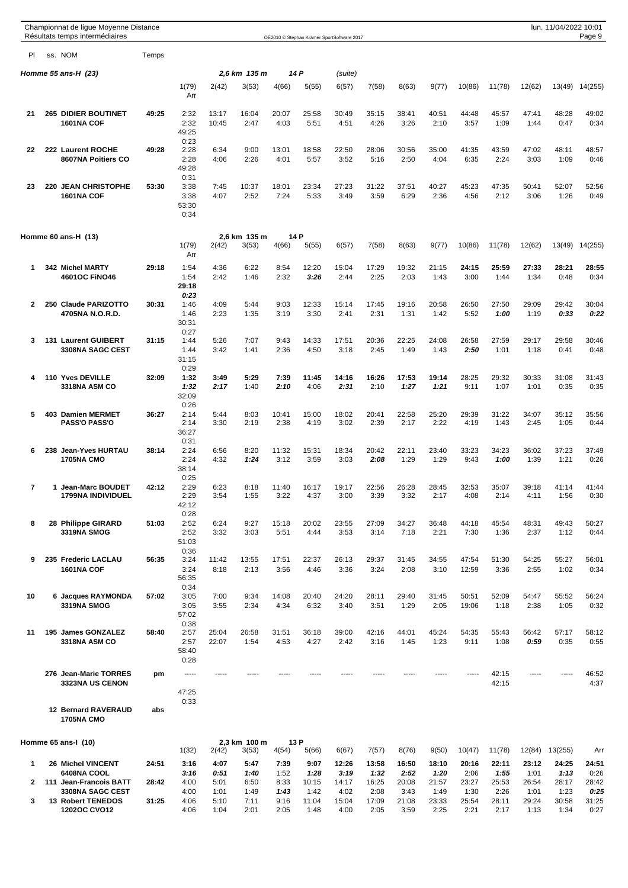|                   | Championnat de lique Moyenne Distance<br>Résultats temps intermédiaires         |                |                                       |                              |                              |                              |                                | OE2010 © Stephan Krämer SportSoftware 2017 |                                |                                |                                |                                |                                |                                | lun. 11/04/2022 10:01          | Page 9                         |
|-------------------|---------------------------------------------------------------------------------|----------------|---------------------------------------|------------------------------|------------------------------|------------------------------|--------------------------------|--------------------------------------------|--------------------------------|--------------------------------|--------------------------------|--------------------------------|--------------------------------|--------------------------------|--------------------------------|--------------------------------|
| PI                | ss. NOM                                                                         | Temps          |                                       |                              |                              |                              |                                |                                            |                                |                                |                                |                                |                                |                                |                                |                                |
|                   | Homme 55 ans-H $(23)$                                                           |                |                                       |                              | 2,6 km 135 m                 |                              | 14 P                           | (suite)                                    |                                |                                |                                |                                |                                |                                |                                |                                |
|                   |                                                                                 |                | 1(79)<br>Arr                          | 2(42)                        | 3(53)                        | 4(66)                        | 5(55)                          | 6(57)                                      | 7(58)                          | 8(63)                          | 9(77)                          | 10(86)                         | 11(78)                         | 12(62)                         |                                | 13(49) 14(255)                 |
| 21                | <b>265 DIDIER BOUTINET</b><br>1601NA COF                                        | 49:25          | 2:32<br>2:32<br>49:25                 | 13:17<br>10:45               | 16:04<br>2:47                | 20:07<br>4:03                | 25:58<br>5:51                  | 30:49<br>4:51                              | 35:15<br>4:26                  | 38:41<br>3:26                  | 40:51<br>2:10                  | 44:48<br>3:57                  | 45:57<br>1:09                  | 47:41<br>1:44                  | 48:28<br>0:47                  | 49:02<br>0:34                  |
| 22                | 222 Laurent ROCHE<br>8607NA Poitiers CO                                         | 49:28          | 0:23<br>2:28<br>2:28<br>49:28         | 6:34<br>4:06                 | 9:00<br>2:26                 | 13:01<br>4:01                | 18:58<br>5:57                  | 22:50<br>3:52                              | 28:06<br>5:16                  | 30:56<br>2:50                  | 35:00<br>4:04                  | 41:35<br>6:35                  | 43:59<br>2:24                  | 47:02<br>3:03                  | 48:11<br>1:09                  | 48:57<br>0:46                  |
| 23                | 220 JEAN CHRISTOPHE<br>1601NA COF                                               | 53:30          | 0:31<br>3:38<br>3:38<br>53:30<br>0:34 | 7:45<br>4:07                 | 10:37<br>2:52                | 18:01<br>7:24                | 23:34<br>5:33                  | 27:23<br>3:49                              | 31:22<br>3:59                  | 37:51<br>6:29                  | 40:27<br>2:36                  | 45:23<br>4:56                  | 47:35<br>2:12                  | 50:41<br>3:06                  | 52:07<br>1:26                  | 52:56<br>0:49                  |
|                   | Homme 60 ans-H (13)                                                             |                | 1(79)<br>Arr                          | 2(42)                        | 2.6 km 135 m<br>3(53)        | 4(66)                        | 14 P<br>5(55)                  | 6(57)                                      | 7(58)                          | 8(63)                          | 9(77)                          | 10(86)                         | 11(78)                         | 12(62)                         |                                | 13(49) 14(255)                 |
| 1                 | 342 Michel MARTY<br><b>4601OC FINO46</b>                                        | 29:18          | 1:54<br>1:54<br>29:18                 | 4:36<br>2:42                 | 6:22<br>1:46                 | 8:54<br>2:32                 | 12:20<br>3:26                  | 15:04<br>2:44                              | 17:29<br>2:25                  | 19:32<br>2:03                  | 21:15<br>1:43                  | 24:15<br>3:00                  | 25:59<br>1:44                  | 27:33<br>1:34                  | 28:21<br>0:48                  | 28:55<br>0:34                  |
| $\mathbf{2}$      | 250 Claude PARIZOTTO<br>4705NA N.O.R.D.                                         | 30:31          | 0:23<br>1:46<br>1:46<br>30:31<br>0:27 | 4:09<br>2:23                 | 5:44<br>1:35                 | 9:03<br>3:19                 | 12:33<br>3:30                  | 15:14<br>2:41                              | 17:45<br>2:31                  | 19:16<br>1:31                  | 20:58<br>1:42                  | 26:50<br>5:52                  | 27:50<br>1:00                  | 29:09<br>1:19                  | 29:42<br>0:33                  | 30:04<br>0:22                  |
| 3                 | 131 Laurent GUIBERT<br><b>3308NA SAGC CEST</b>                                  | 31:15          | 1:44<br>1:44<br>31:15<br>0:29         | 5:26<br>3:42                 | 7:07<br>1:41                 | 9:43<br>2:36                 | 14:33<br>4:50                  | 17:51<br>3:18                              | 20:36<br>2:45                  | 22:25<br>1:49                  | 24:08<br>1:43                  | 26:58<br>2:50                  | 27:59<br>1:01                  | 29:17<br>1:18                  | 29:58<br>0:41                  | 30:46<br>0:48                  |
| 4                 | 110 Yves DEVILLE<br>3318NA ASM CO                                               | 32:09          | 1:32<br>1:32<br>32:09<br>0:26         | 3:49<br>2:17                 | 5:29<br>1:40                 | 7:39<br>2:10                 | 11:45<br>4:06                  | 14:16<br>2:31                              | 16:26<br>2:10                  | 17:53<br>1:27                  | 19:14<br>1:21                  | 28:25<br>9:11                  | 29:32<br>1:07                  | 30:33<br>1:01                  | 31:08<br>0:35                  | 31:43<br>0:35                  |
| 5                 | 403 Damien MERMET<br><b>PASS'O PASS'O</b>                                       | 36:27          | 2:14<br>2:14<br>36:27<br>0:31         | 5:44<br>3:30                 | 8:03<br>2:19                 | 10:41<br>2:38                | 15:00<br>4:19                  | 18:02<br>3:02                              | 20:41<br>2:39                  | 22:58<br>2:17                  | 25:20<br>2:22                  | 29:39<br>4:19                  | 31:22<br>1:43                  | 34:07<br>2:45                  | 35:12<br>1:05                  | 35:56<br>0:44                  |
| 6                 | 238 Jean-Yves HURTAU<br><b>1705NA CMO</b>                                       | 38:14          | 2:24<br>2:24<br>38:14<br>0:25         | 6:56<br>4:32                 | 8:20<br>1:24                 | 11:32<br>3:12                | 15:31<br>3:59                  | 18:34<br>3:03                              | 20:42<br>2:08                  | 22:11<br>1:29                  | 23:40<br>1:29                  | 33:23<br>9:43                  | 34:23<br>1:00                  | 36:02<br>1:39                  | 37:23<br>1:21                  | 37:49<br>0:26                  |
| 7                 | <b>Jean-Marc BOUDET</b><br><b>1799NA INDIVIDUEL</b>                             | 42:12          | 2:29<br>2:29<br>42:12<br>0:28         | 6:23<br>3:54                 | 8:18<br>1:55                 | 11:40<br>3:22                | 16:17<br>4:37                  | 19:17<br>3:00                              | 22:56<br>3:39                  | 26:28<br>3:32                  | 28:45<br>2:17                  | 32:53<br>4:08                  | 35:07<br>2:14                  | 39:18<br>4:11                  | 41:14<br>1:56                  | 41:44<br>0:30                  |
| 8                 | 28 Philippe GIRARD<br>3319NA SMOG                                               | 51:03          | 2:52<br>2:52<br>51:03<br>0:36         | 6:24<br>3:32                 | 9:27<br>3:03                 | 15:18<br>5:51                | 20:02<br>4:44                  | 23:55<br>3:53                              | 27:09<br>3:14                  | 34:27<br>7:18                  | 36:48<br>2:21                  | 44:18<br>7:30                  | 45:54<br>1:36                  | 48:31<br>2:37                  | 49:43<br>1:12                  | 50:27<br>0:44                  |
| 9                 | 235 Frederic LACLAU<br>1601NA COF                                               | 56:35          | 3:24<br>3:24<br>56:35<br>0:34         | 11:42<br>8:18                | 13:55<br>2:13                | 17:51<br>3:56                | 22:37<br>4:46                  | 26:13<br>3:36                              | 29:37<br>3:24                  | 31:45<br>2:08                  | 34:55<br>3:10                  | 47:54<br>12:59                 | 51:30<br>3:36                  | 54:25<br>2:55                  | 55:27<br>1:02                  | 56:01<br>0:34                  |
| 10                | 6 Jacques RAYMONDA<br>3319NA SMOG                                               | 57:02          | 3:05<br>3:05<br>57:02<br>0:38         | 7:00<br>3:55                 | 9:34<br>2:34                 | 14:08<br>4:34                | 20:40<br>6:32                  | 24:20<br>3:40                              | 28:11<br>3:51                  | 29:40<br>1:29                  | 31:45<br>2:05                  | 50:51<br>19:06                 | 52:09<br>1:18                  | 54:47<br>2:38                  | 55:52<br>1:05                  | 56:24<br>0:32                  |
| 11                | 195 James GONZALEZ<br>3318NA ASM CO                                             | 58:40          | 2:57<br>2:57<br>58:40<br>0:28         | 25:04<br>22:07               | 26:58<br>1:54                | 31:51<br>4:53                | 36:18<br>4:27                  | 39:00<br>2:42                              | 42:16<br>3:16                  | 44:01<br>1:45                  | 45:24<br>1:23                  | 54:35<br>9:11                  | 55:43<br>1:08                  | 56:42<br>0:59                  | 57:17<br>0:35                  | 58:12<br>0:55                  |
|                   | 276 Jean-Marie TORRES<br><b>3323NA US CENON</b>                                 | pm             | -----<br>47:25<br>0:33                | -----                        |                              |                              |                                |                                            |                                |                                |                                |                                | 42:15<br>42:15                 |                                |                                | 46:52<br>4:37                  |
|                   | <b>12 Bernard RAVERAUD</b><br><b>1705NA CMO</b>                                 | abs            |                                       |                              |                              |                              |                                |                                            |                                |                                |                                |                                |                                |                                |                                |                                |
|                   | Homme 65 ans-I (10)                                                             |                | 1(32)                                 | 2(42)                        | 2,3 km 100 m<br>3(53)        | 4(54)                        | 13 P<br>5(66)                  | 6(67)                                      | 7(57)                          | 8(76)                          | 9(50)                          | 10(47)                         | 11(78)                         | 12(84)                         | 13(255)                        | Arr                            |
| 1                 | 26 Michel VINCENT<br>6408NA COOL                                                | 24:51          | 3:16<br>3:16                          | 4:07<br>0:51                 | 5:47<br>1:40                 | 7:39<br>1:52                 | 9:07<br>1:28                   | 12:26<br>3:19                              | 13:58<br>1:32                  | 16:50<br>2:52                  | 18:10<br>1:20                  | 20:16<br>2:06                  | 22:11<br>1:55                  | 23:12<br>1:01                  | 24:25<br>1:13                  | 24:51<br>0:26                  |
| $\mathbf{2}$<br>3 | 111 Jean-Francois BATT<br>3308NA SAGC CEST<br>13 Robert TENEDOS<br>1202OC CVO12 | 28:42<br>31:25 | 4:00<br>4:00<br>4:06<br>4:06          | 5:01<br>1:01<br>5:10<br>1:04 | 6:50<br>1:49<br>7:11<br>2:01 | 8:33<br>1:43<br>9:16<br>2:05 | 10:15<br>1:42<br>11:04<br>1:48 | 14:17<br>4:02<br>15:04<br>4:00             | 16:25<br>2:08<br>17:09<br>2:05 | 20:08<br>3:43<br>21:08<br>3:59 | 21:57<br>1:49<br>23:33<br>2:25 | 23:27<br>1:30<br>25:54<br>2:21 | 25:53<br>2:26<br>28:11<br>2:17 | 26:54<br>1:01<br>29:24<br>1:13 | 28:17<br>1:23<br>30:58<br>1:34 | 28:42<br>0:25<br>31:25<br>0:27 |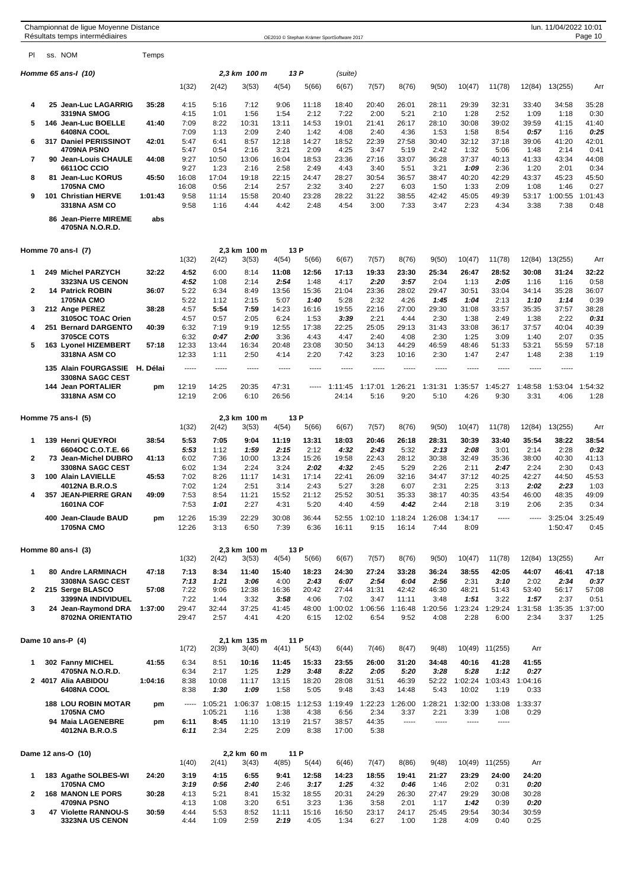|                | Championnat de ligue Moyenne Distance<br>Résultats temps intermédiaires |          |                |                 |                       |                |               | OE2010 © Stephan Krämer SportSoftware 2017 |                         |                  |                 |                 |                         |                 | lun. 11/04/2022 10:01 | Page 10         |
|----------------|-------------------------------------------------------------------------|----------|----------------|-----------------|-----------------------|----------------|---------------|--------------------------------------------|-------------------------|------------------|-----------------|-----------------|-------------------------|-----------------|-----------------------|-----------------|
| PI             | ss. NOM                                                                 | Temps    |                |                 |                       |                |               |                                            |                         |                  |                 |                 |                         |                 |                       |                 |
|                | Homme 65 ans-I (10)                                                     |          |                |                 | 2,3 km 100 m          |                | 13 P          | (suite)                                    |                         |                  |                 |                 |                         |                 |                       |                 |
|                |                                                                         |          | 1(32)          | 2(42)           | 3(53)                 | 4(54)          | 5(66)         | 6(67)                                      | 7(57)                   | 8(76)            | 9(50)           | 10(47)          | 11(78)                  | 12(84)          | 13(255)               | Arr             |
| 4              | 25 Jean-Luc LAGARRIG                                                    | 35:28    | 4:15           | 5:16            | 7:12                  | 9:06           | 11:18         | 18:40                                      | 20:40                   | 26:01            | 28:11           | 29:39           | 32:31                   | 33:40           | 34:58                 | 35:28           |
| 5              | <b>3319NA SMOG</b><br>146 Jean-Luc BOELLE                               | 41:40    | 4:15<br>7:09   | 1:01<br>8:22    | 1:56<br>10:31         | 1:54<br>13:11  | 2:12<br>14:53 | 7:22<br>19:01                              | 2:00<br>21:41           | 5:21<br>26:17    | 2:10<br>28:10   | 1:28<br>30:08   | 2:52<br>39:02           | 1:09<br>39:59   | 1:18<br>41:15         | 0:30<br>41:40   |
|                | 6408NA COOL                                                             |          | 7:09           | 1:13            | 2:09                  | 2:40           | 1:42          | 4:08                                       | 2:40                    | 4:36             | 1:53            | 1:58            | 8:54                    | 0:57            | 1:16                  | 0:25            |
| 6              | 317 Daniel PERISSINOT                                                   | 42:01    | 5:47           | 6:41            | 8:57                  | 12:18          | 14:27         | 18:52                                      | 22:39                   | 27:58            | 30:40           | 32:12           | 37:18                   | 39:06           | 41:20                 | 42:01           |
| $\overline{7}$ | 4709NA PSNO<br>90 Jean-Louis CHAULE                                     | 44:08    | 5:47<br>9:27   | 0:54<br>10:50   | 2:16<br>13:06         | 3:21<br>16:04  | 2:09<br>18:53 | 4:25<br>23:36                              | 3:47<br>27:16           | 5:19<br>33:07    | 2:42<br>36:28   | 1:32<br>37:37   | 5:06<br>40:13           | 1:48<br>41:33   | 2:14<br>43:34         | 0:41<br>44:08   |
|                | 6611OC CCIO                                                             |          | 9:27           | 1:23            | 2:16                  | 2:58           | 2:49          | 4:43                                       | 3:40                    | 5:51             | 3:21            | 1:09            | 2:36                    | 1:20            | 2:01                  | 0:34            |
| 8              | 81 Jean-Luc KORUS<br><b>1705NA CMO</b>                                  | 45:50    | 16:08<br>16:08 | 17:04<br>0:56   | 19:18<br>2:14         | 22:15<br>2:57  | 24:47<br>2:32 | 28:27<br>3:40                              | 30:54<br>2:27           | 36:57<br>6:03    | 38:47<br>1:50   | 40:20<br>1:33   | 42:29<br>2:09           | 43:37<br>1:08   | 45:23<br>1:46         | 45:50<br>0:27   |
| 9              | 101 Christian HERVE<br>3318NA ASM CO                                    | 1:01:43  | 9:58<br>9:58   | 11:14<br>1:16   | 15:58<br>4:44         | 20:40<br>4:42  | 23:28<br>2:48 | 28:22<br>4:54                              | 31:22<br>3:00           | 38:55<br>7:33    | 42:42<br>3:47   | 45:05<br>2:23   | 49:39<br>4:34           | 53:17<br>3:38   | 1:00:55<br>7:38       | 1:01:43<br>0:48 |
|                | 86 Jean-Pierre MIREME<br>4705NA N.O.R.D.                                | abs      |                |                 |                       |                |               |                                            |                         |                  |                 |                 |                         |                 |                       |                 |
|                | Homme 70 ans-I (7)                                                      |          |                |                 | 2,3 km 100 m          |                | 13 P          |                                            |                         |                  |                 |                 |                         |                 |                       |                 |
|                |                                                                         |          | 1(32)          | 2(42)           | 3(53)                 | 4(54)          | 5(66)         | 6(67)                                      | 7(57)                   | 8(76)            | 9(50)           | 10(47)          | 11(78)                  | 12(84)          | 13(255)               | Arr             |
| 1              | 249 Michel PARZYCH<br><b>3323NA US CENON</b>                            | 32:22    | 4:52<br>4:52   | 6:00<br>1:08    | 8:14<br>2:14          | 11:08<br>2:54  | 12:56<br>1:48 | 17:13<br>4:17                              | 19:33<br>2:20           | 23:30<br>3:57    | 25:34<br>2:04   | 26:47<br>1:13   | 28:52<br>2:05           | 30:08<br>1:16   | 31:24<br>1:16         | 32:22<br>0:58   |
| 2              | <b>14 Patrick ROBIN</b>                                                 | 36:07    | 5:22           | 6:34            | 8:49                  | 13:56          | 15:36         | 21:04                                      | 23:36                   | 28:02            | 29:47           | 30:51           | 33:04                   | 34:14           | 35:28                 | 36:07           |
|                | <b>1705NA CMO</b>                                                       |          | 5:22           | 1:12            | 2:15                  | 5:07           | 1:40          | 5:28                                       | 2:32                    | 4:26             | 1:45            | 1:04            | 2:13                    | 1:10            | 1:14                  | 0:39            |
| 3              | 212 Ange PEREZ<br>3105OC TOAC Orien                                     | 38:28    | 4:57<br>4:57   | 5:54<br>0:57    | 7:59<br>2:05          | 14:23<br>6:24  | 16:16<br>1:53 | 19:55<br>3:39                              | 22:16<br>2:21           | 27:00<br>4:44    | 29:30<br>2:30   | 31:08<br>1:38   | 33:57<br>2:49           | 35:35<br>1:38   | 37:57<br>2:22         | 38:28<br>0:31   |
| 4              | 251 Bernard DARGENTO                                                    | 40:39    | 6:32           | 7:19            | 9:19                  | 12:55          | 17:38         | 22:25                                      | 25:05                   | 29:13            | 31:43           | 33:08           | 36:17                   | 37:57           | 40:04                 | 40:39           |
| 5              | 3705CE COTS<br>163 Lyonel HIZEMBERT                                     | 57:18    | 6:32<br>12:33  | 0:47<br>13:44   | 2:00<br>16:34         | 3:36<br>20:48  | 4:43<br>23:08 | 4:47<br>30:50                              | 2:40<br>34:13           | 4:08<br>44:29    | 2:30<br>46:59   | 1:25<br>48:46   | 3:09<br>51:33           | 1:40<br>53:21   | 2:07<br>55:59         | 0:35<br>57:18   |
|                | 3318NA ASM CO                                                           |          | 12:33          | 1:11            | 2:50                  | 4:14           | 2:20          | 7:42                                       | 3:23                    | 10:16            | 2:30            | 1:47            | 2:47                    | 1:48            | 2:38                  | 1:19            |
|                | 135 Alain FOURGASSIE<br>3308NA SAGC CEST                                | H. Délai | -----          | -----           | -----                 | 1.1.1.1        | -----         | -----                                      | 1.1.1.1                 | -----            | -----           | -----           | $- - - - -$             | -----           | -----                 |                 |
|                | 144 Jean PORTALIER<br><b>3318NA ASM CO</b>                              | pm       | 12:19<br>12:19 | 14:25<br>2:06   | 20:35<br>6:10         | 47:31<br>26:56 |               | 1:11:45<br>24:14                           | 1:17:01<br>5:16         | 1:26:21<br>9:20  | 1:31:31<br>5:10 | 1:35:57<br>4:26 | 1:45:27<br>9:30         | 1:48:58<br>3:31 | 1:53:04<br>4:06       | 1:54:32<br>1:28 |
|                | Homme 75 ans-I (5)                                                      |          |                |                 | 2,3 km 100 m          |                | 13 P          |                                            |                         |                  |                 |                 |                         |                 |                       |                 |
|                |                                                                         |          | 1(32)          | 2(42)           | 3(53)                 | 4(54)          | 5(66)         | 6(67)                                      | 7(57)                   | 8(76)            | 9(50)           | 10(47)          | 11(78)                  | 12(84)          | 13(255)               | Arr             |
| 1              | 139 Henri QUEYROI                                                       | 38:54    | 5:53           | 7:05            | 9:04                  | 11:19          | 13:31         | 18:03                                      | 20:46                   | 26:18            | 28:31           | 30:39           | 33:40                   | 35:54           | 38:22                 | 38:54           |
|                | 6604OC C.O.T.E. 66                                                      |          | 5:53           | 1:12            | 1:59                  | 2:15           | 2:12          | 4:32                                       | 2:43                    | 5:32             | 2:13<br>30:38   | 2:08<br>32:49   | 3:01                    | 2:14            | 2:28                  | 0:32            |
| 2              | 73 Jean-Michel DUBRO<br><b>3308NA SAGC CEST</b>                         | 41:13    | 6:02<br>6:02   | 7:36<br>1:34    | 10:00<br>2:24         | 13:24<br>3:24  | 15:26<br>2:02 | 19:58<br>4:32                              | 22:43<br>2:45           | 28:12<br>5:29    | 2:26            | 2:11            | 35:36<br>2:47           | 38:00<br>2:24   | 40:30<br>2:30         | 41:13<br>0:43   |
| 3              | 100 Alain LAVIELLE                                                      | 45:53    | 7:02           | 8:26            | 11:17                 | 14:31          | 17:14         | 22:41                                      | 26:09                   | 32:16            | 34:47           | 37:12           | 40:25                   | 42:27           | 44:50                 | 45:53           |
| 4              | 4012NA B.R.O.S<br>357 JEAN-PIERRE GRAN                                  | 49.09    | 7:02<br>7:53   | 1:24<br>8:54    | 2:51<br>11:21         | 3:14<br>15:52  | 2:43<br>21:12 | 5:27<br>25:52                              | 3:28<br>30:51           | 6:07<br>35:33    | 2:31<br>38:17   | 2:25<br>40:35   | 3:13<br>43:54           | 2:02<br>46:00   | 2:23<br>48:35         | 1:03<br>49:09   |
|                | 1601NA COF                                                              |          | 7:53           | 1:01            | 2:27                  | 4:31           | 5:20          | 4:40                                       | 4:59                    | 4:42             | 2:44            | 2:18            | 3:19                    | 2:06            | 2:35                  | 0:34            |
|                | 400 Jean-Claude BAUD<br><b>1705NA CMO</b>                               | pm       | 12:26<br>12:26 | 15:39<br>3:13   | 22:29<br>6:50         | 30:08<br>7:39  | 36:44<br>6:36 | 52:55<br>16:11                             | 1:02:10<br>9:15         | 1:18:24<br>16:14 | 1:26:08<br>7:44 | 1:34:17<br>8:09 | $\cdots$                | -----           | 3:25:04<br>1:50:47    | 3:25:49<br>0:45 |
|                |                                                                         |          |                |                 |                       |                |               |                                            |                         |                  |                 |                 |                         |                 |                       |                 |
|                | Homme 80 ans-I (3)                                                      |          | 1(32)          | 2(42)           | 2,3 km 100 m<br>3(53) | 4(54)          | 13 P<br>5(66) | 6(67)                                      | 7(57)                   | 8(76)            | 9(50)           | 10(47)          | 11(78)                  | 12(84)          | 13(255)               | Arr             |
| 1              | <b>80 Andre LARMINACH</b>                                               | 47:18    | 7:13           | 8:34            | 11:40                 | 15:40          | 18:23         | 24:30                                      | 27:24                   | 33:28            | 36:24           | 38:55           | 42:05                   | 44:07           | 46:41                 | 47:18           |
| 2              | <b>3308NA SAGC CEST</b><br>215 Serge BLASCO                             | 57:08    | 7:13<br>7:22   | 1:21<br>9:06    | 3:06<br>12:38         | 4:00<br>16:36  | 2:43<br>20:42 | 6:07<br>27:44                              | 2:54<br>31:31           | 6:04<br>42:42    | 2:56<br>46:30   | 2:31<br>48:21   | 3:10<br>51:43           | 2:02<br>53:40   | 2:34<br>56:17         | 0:37<br>57:08   |
|                | 3399NA INDIVIDUEL                                                       |          | 7:22           | 1:44            | 3:32                  | 3:58           | 4:06          | 7:02                                       | 3:47                    | 11:11            | 3:48            | 1:51            | 3:22                    | 1:57            | 2:37                  | 0:51            |
| 3              | 24 Jean-Raymond DRA<br>8702NA ORIENTATIO                                | 1:37:00  | 29:47<br>29:47 | 32:44<br>2:57   | 37:25<br>4:41         | 41:45<br>4:20  | 48:00<br>6:15 | 12:02                                      | 1:00:02 1:06:56<br>6:54 | 1:16:48<br>9:52  | 1:20:56<br>4:08 | 2:28            | 1:23:24 1:29:24<br>6:00 | 1:31:58<br>2:34 | 1:35:35<br>3:37       | 1:37:00<br>1:25 |
|                | Dame 10 ans-P (4)                                                       |          |                |                 | 2,1 km 135 m          |                | 11 P          |                                            |                         |                  |                 |                 |                         |                 |                       |                 |
|                |                                                                         |          | 1(72)          | 2(39)           | 3(40)                 | 4(41)          | 5(43)         | 6(44)                                      | 7(46)                   | 8(47)            | 9(48)           |                 | 10(49) 11(255)          | Arr             |                       |                 |
| 1              | 302 Fanny MICHEL<br>4705NA N.O.R.D.                                     | 41:55    | 6:34<br>6:34   | 8:51<br>2:17    | 10:16<br>1:25         | 11:45<br>1:29  | 15:33<br>3:48 | 23:55<br>8:22                              | 26:00<br>2:05           | 31:20<br>5:20    | 34:48<br>3:28   | 40:16<br>5:28   | 41:28<br>1:12           | 41:55<br>0:27   |                       |                 |
| $\mathbf{2}$   | 4017 Alia AABIDOU                                                       | 1:04:16  | 8:38           | 10:08           | 11:17                 | 13:15          | 18:20         | 28:08                                      | 31:51                   | 46:39            | 52:22           | 1:02:24         | 1:03:43                 | 1:04:16         |                       |                 |
|                | 6408NA COOL                                                             |          | 8:38           | 1:30            | 1:09                  | 1:58           | 5:05          | 9:48                                       | 3:43                    | 14:48            | 5:43            | 10:02           | 1:19                    | 0:33            |                       |                 |
|                | <b>188 LOU ROBIN MOTAR</b>                                              | pm       | -----          | 1:05:21         | 1:06:37               | 1:08:15        | 1:12:53       | 1:19:49                                    | 1:22:23                 | 1:26:00          | 1:28:21         | 1:32:00         | 1:33:08                 | 1:33:37         |                       |                 |
|                | <b>1705NA CMO</b><br>94 Maia LAGENEBRE                                  | pm       | 6:11           | 1:05:21<br>8:45 | 1:16<br>11:10         | 1:38<br>13:19  | 4:38<br>21:57 | 6:56<br>38:57                              | 2:34<br>44:35           | 3:37<br>-----    | 2:21<br>-----   | 3:39<br>-----   | 1:08<br>-----           | 0:29            |                       |                 |
|                | 4012NA B.R.O.S                                                          |          | 6:11           | 2:34            | 2:25                  | 2:09           | 8:38          | 17:00                                      | 5:38                    |                  |                 |                 |                         |                 |                       |                 |
|                | Dame 12 ans-O (10)                                                      |          |                |                 | 2,2 km 60 m           |                | 11 P          |                                            |                         |                  |                 |                 |                         |                 |                       |                 |
|                |                                                                         |          | 1(40)          | 2(41)           | 3(43)                 | 4(85)          | 5(44)         | 6(46)                                      | 7(47)                   | 8(86)            | 9(48)           |                 | 10(49) 11(255)          | Arr             |                       |                 |
| 1              | 183 Agathe SOLBES-WI<br><b>1705NA CMO</b>                               | 24:20    | 3:19<br>3:19   | 4:15<br>0:56    | 6:55<br>2:40          | 9:41<br>2:46   | 12:58<br>3:17 | 14:23<br>1:25                              | 18:55<br>4:32           | 19:41<br>0:46    | 21:27<br>1:46   | 23:29<br>2:02   | 24:00<br>0:31           | 24:20<br>0:20   |                       |                 |
| 2              | <b>168 MANON LE PORS</b>                                                | 30:28    | 4:13           | 5:21            | 8:41                  | 15:32          | 18:55         | 20:31                                      | 24:29                   | 26:30            | 27:47           | 29:29           | 30:08                   | 30:28           |                       |                 |
| 3              | 4709NA PSNO<br>47 Violette RANNOU-S                                     | 30:59    | 4:13<br>4:44   | 1:08<br>5:53    | 3:20<br>8:52          | 6:51<br>11:11  | 3:23<br>15:16 | 1:36<br>16:50                              | 3:58<br>23:17           | 2:01<br>24:17    | 1:17<br>25:45   | 1:42<br>29:54   | 0:39<br>30:34           | 0:20<br>30:59   |                       |                 |
|                | <b>3323NA US CENON</b>                                                  |          | 4:44           | 1:09            | 2:59                  | 2:19           | 4:05          | 1:34                                       | 6:27                    | 1:00             | 1:28            | 4:09            | 0:40                    | 0:25            |                       |                 |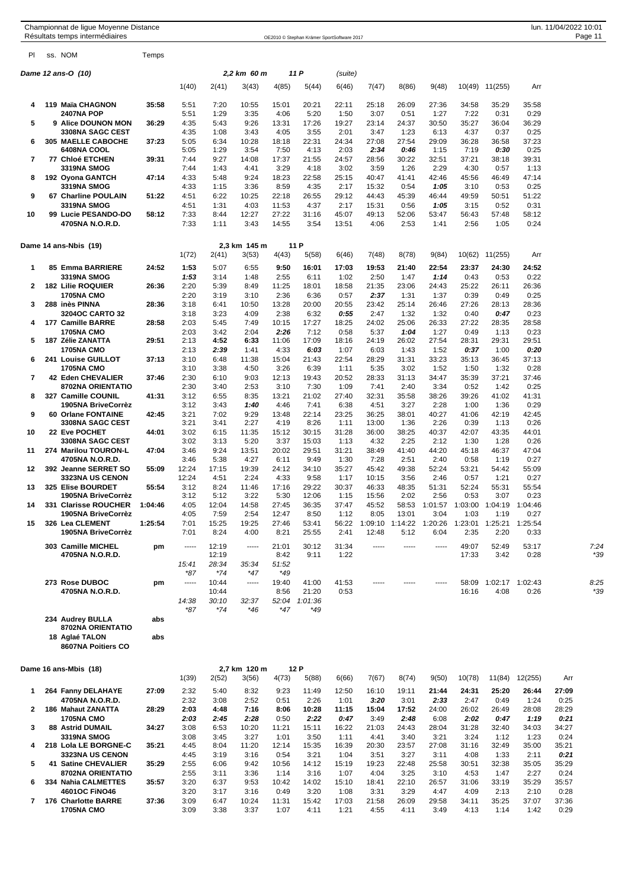| PI<br>ss. NOM<br>Temps<br>11 P<br>Dame 12 ans-O (10)<br>2,2 km 60 m<br>(suite)<br>1(40)<br>2(41)<br>3(43)<br>4(85)<br>5(44)<br>7(47)<br>8(86)<br>9(48)<br>10(49) 11(255)<br>6(46)<br>Arr<br>119 Maïa CHAGNON<br>35:58<br>5:51<br>7:20<br>10:55<br>15:01<br>20:21<br>22:11<br>25:18<br>26:09<br>27:36<br>34:58<br>35:29<br>35:58<br>4<br><b>2407NA POP</b><br>5:51<br>1:29<br>3:35<br>4:06<br>5:20<br>1:50<br>3:07<br>0:51<br>1:27<br>7:22<br>0:31<br>0:29<br>9 Alice DOUNON MON<br>5<br>36:29<br>4:35<br>5:43<br>9:26<br>13:31<br>17:26<br>19:27<br>23:14<br>24:37<br>30:50<br>35:27<br>36:04<br>36:29<br>3308NA SAGC CEST<br>4:35<br>1:08<br>3:43<br>4:05<br>3:55<br>2:01<br>3:47<br>1:23<br>4:37<br>0:37<br>0:25<br>6:13<br>37:23<br>305 MAELLE CABOCHE<br>37:23<br>5:05<br>6:34<br>10:28<br>18:18<br>22:31<br>24:34<br>27:08<br>27:54<br>29:09<br>36:28<br>36:58<br>6<br>6408NA COOL<br>5:05<br>1:29<br>3:54<br>7:50<br>4:13<br>2:03<br>2:34<br>0:46<br>1:15<br>7:19<br>0:30<br>0:25<br>32:51<br>7<br>77 Chloé ETCHEN<br>39:31<br>7:44<br>9:27<br>14:08<br>17:37<br>21:55<br>24:57<br>28:56<br>30:22<br>37:21<br>38:18<br>39:31<br><b>3319NA SMOG</b><br>7:44<br>3:29<br>3:02<br>3:59<br>2:29<br>4:30<br>1:43<br>4:41<br>4:18<br>1:26<br>0:57<br>1:13<br>22:58<br>25:15<br>42:46<br>47:14<br>192 Oyona GANTCH<br>47:14<br>4:33<br>5:48<br>9:24<br>18:23<br>40:47<br>41:41<br>45:56<br>46:49<br>8<br>3319NA SMOG<br>4:33<br>1:15<br>3:36<br>8:59<br>4:35<br>2:17<br>15:32<br>0:54<br>1:05<br>3:10<br>0:53<br>0:25<br>22:18<br>29:12<br>9<br>67 Charline POULAIN<br>51:22<br>4:51<br>6:22<br>10:25<br>26:55<br>44:43<br>45:39<br>46:44<br>49:59<br>50:51<br>51:22<br><b>3319NA SMOG</b><br>4:51<br>1:31<br>4:03<br>11:53<br>4:37<br>2:17<br>15:31<br>0:56<br>1:05<br>3:15<br>0:52<br>0:31<br>7:33<br>12:27<br>10<br>99 Lucie PESANDO-DO<br>58:12<br>8:44<br>27:22<br>31:16<br>45:07<br>49:13<br>52:06<br>53:47<br>56:43<br>57:48<br>58:12<br>4705NA N.O.R.D.<br>7:33<br>3:43<br>14:55<br>3:54<br>13:51<br>4:06<br>2:53<br>2:56<br>1:05<br>0:24<br>1:11<br>1:41<br>2,3 km 145 m<br>11 P<br>Dame 14 ans-Nbis (19)<br>1(72)<br>2(41)<br>3(53)<br>4(43)<br>5(58)<br>7(48)<br>8(78)<br>9(84)<br>10(62)<br>11(255)<br>6(46)<br>Arr<br>85 Emma BARRIERE<br>24:52<br>5:07<br>6:55<br>9:50<br>22:54<br>23:37<br>24:52<br>1<br>1:53<br>16:01<br>17:03<br>19:53<br>21:40<br>24:30<br>0:22<br><b>3319NA SMOG</b><br>1:53<br>3:14<br>1:48<br>2:55<br>6:11<br>1:02<br>2:50<br>1:47<br>1:14<br>0:43<br>0:53<br>2<br><b>182 Lilie ROQUIER</b><br>26:36<br>2:20<br>5:39<br>8:49<br>11:25<br>18:01<br>18:58<br>21:35<br>23:06<br>24:43<br>25:22<br>26:11<br>26:36<br><b>1705NA CMO</b><br>2:20<br>3:19<br>3:10<br>2:36<br>6:36<br>0:57<br>2:37<br>1:31<br>1:37<br>0:39<br>0:49<br>0:25<br>288 inès PINNA<br>28:36<br>3:18<br>13:28<br>20:00<br>20:55<br>23:42<br>25:14<br>26:46<br>27:26<br>28:13<br>28:36<br>3<br>6:41<br>10:50<br>3204OC CARTO 32<br>3:18<br>3:23<br>4:09<br>2:38<br>6:32<br>0:55<br>2:47<br>1:32<br>1:32<br>0:40<br>0:47<br>0:23<br>25:06<br>177 Camille BARRE<br>28:58<br>2:03<br>5:45<br>7:49<br>10:15<br>17:27<br>18:25<br>24:02<br>26:33<br>27:22<br>28:35<br>28:58<br>4<br><b>1705NA CMO</b><br>2:03<br>3:42<br>2:04<br>2:26<br>7:12<br>0:58<br>5:37<br>1:04<br>1:27<br>0:49<br>1:13<br>0:23<br>5<br>187 Zélie ZANATTA<br>29:51<br>2:13<br>4:52<br>6:33<br>11:06<br>17:09<br>18:16<br>24:19<br>26:02<br>27:54<br>28:31<br>29:31<br>29:51<br><b>1705NA CMO</b><br>2:13<br>2:39<br>1:41<br>4:33<br>6:03<br>1:07<br>6:03<br>1:43<br>1:52<br>0:37<br>1:00<br>0:20<br>22:54<br>31:31<br>33:23<br>35:13<br>37:13<br>241 Louise GUILLOT<br>37:13<br>3:10<br>11:38<br>15:04<br>21:43<br>28:29<br>36:45<br>6<br>6:48<br><b>1705NA CMO</b><br>3:10<br>3:38<br>4:50<br>3:26<br>6:39<br>1:11<br>5:35<br>3:02<br>1:52<br>1:50<br>1:32<br>0:28<br>7<br>37:21<br>42 Eden CHEVALIER<br>37:46<br>2:30<br>6:10<br>9:03<br>12:13<br>19:43<br>20:52<br>28:33<br>31:13<br>34:47<br>35:39<br>37:46<br>8702NA ORIENTATIO<br>2:30<br>2:53<br>3:10<br>7:30<br>1:09<br>7:41<br>2:40<br>3:34<br>0:52<br>1:42<br>0:25<br>3:40<br>32:31<br>327 Camille COUNIL<br>41:31<br>3:12<br>6:55<br>8:35<br>13:21<br>21:02<br>27:40<br>35:58<br>38:26<br>39:26<br>41:02<br>41:31<br>8<br>1905NA BriveCorrèz<br>3:12<br>3:43<br>1:40<br>4:46<br>7:41<br>6:38<br>4:51<br>3:27<br>2:28<br>1:00<br>1:36<br>0:29<br>22:14<br>9<br>60 Orlane FONTAINE<br>42:45<br>3:21<br>7:02<br>9:29<br>13:48<br>23:25<br>36:25<br>38:01<br>40:27<br>41:06<br>42:19<br>42:45<br>2:27<br><b>3308NA SAGC CEST</b><br>3:21<br>4:19<br>8:26<br>2:26<br>0:39<br>0:26<br>3:41<br>1:11<br>13:00<br>1:36<br>1:13<br>22 Eve POCHET<br>10<br>44:01<br>3:02<br>6:15<br>11:35<br>15:12<br>30:15<br>31:28<br>36:00<br>38:25<br>40:37<br>42:07<br>43:35<br>44:01<br>3308NA SAGC CEST<br>3:02<br>3:13<br>5:20<br>3:37<br>15:03<br>1:13<br>4:32<br>2:25<br>2:12<br>1:30<br>1:28<br>0:26<br>274 Marilou TOURON-L<br>11<br>47:04<br>3:46<br>9:24<br>13:51<br>20:02<br>29:51<br>31:21<br>38:49<br>41:40<br>44:20<br>45:18<br>46:37<br>47:04<br>4705NA N.O.R.D.<br>3:46<br>5:38<br>4:27<br>7:28<br>2:51<br>2:40<br>6:11<br>9:49<br>1:30<br>0:58<br>1:19<br>0:27<br>52:24<br>392 Jeanne SERRET SO<br>55:09<br>12:24<br>17:15<br>19:39<br>24:12<br>34:10<br>35:27<br>45:42<br>49:38<br>53:21<br>54:42<br>55:09<br>12<br>3323NA US CENON<br>12:24<br>4:51<br>2:24<br>4:33<br>9:58<br>1:17<br>10:15<br>3:56<br>2:46<br>0:57<br>1:21<br>0:27<br>55:54<br>29:22<br>30:37<br>52:24<br>13<br>325 Elise BOURDET<br>3:12<br>8:24<br>11:46<br>17:16<br>46:33<br>48:35<br>51:31<br>55:31<br>55:54<br>1905NA BriveCorrèz<br>12:06<br>3:12<br>5:12<br>3:22<br>5:30<br>15:56<br>2:02<br>2:56<br>0:53<br>3:07<br>0:23<br>1:15<br>331 Clarisse ROUCHER<br>12:04<br>14:58<br>27:45<br>36:35<br>37:47<br>45:52<br>1:03:00 1:04:19<br>1:04:46<br>4:05<br>58:53<br>1:01:57<br>1:04:46<br>14<br>2:54<br>1:12<br>3:04<br>1:03<br>1:19<br>1905NA BriveCorrèz<br>4:05<br>7:59<br>12:47<br>8:50<br>8:05<br>13:01<br>0:27<br>326 Lea CLEMENT<br>1:25:54<br>1:14:22 1:20:26<br>1:23:01 1:25:21<br>1:25:54<br>15<br>7:01<br>15:25<br>19:25<br>27:46<br>53:41<br>56:22<br>1:09:10<br>1905NA BriveCorrèz<br>7:01<br>8:24<br>4:00<br>8:21<br>25:55<br>2:41<br>12:48<br>5:12<br>6:04<br>2:35<br>2:20<br>0:33<br>31:34<br>49:07<br>53:17<br>7:24<br>303 Camille MICHEL<br>12:19<br>21:01<br>30:12<br>52:49<br>pm<br>-----<br>-----<br>-----<br>-----<br>-----<br>12:19<br>4705NA N.O.R.D.<br>8:42<br>9:11<br>1:22<br>17:33<br>3:42<br>0:28<br>28:34<br>15:41<br>35:34<br>51:52<br>$*74$<br>*87<br>*47<br>*49<br>10:44<br>1:02:17 1:02:43<br>273 Rose DUBOC<br>19:40<br>41:00<br>41:53<br>58:09<br>8:25<br>pm<br>-----<br>-----<br>-----<br>4705NA N.O.R.D.<br>4:08<br>10:44<br>8:56<br>21:20<br>0:53<br>16:16<br>0:26<br>30:10<br>32:37<br>52:04<br>1:01:36<br>14:38<br>$*87$<br>$*74$<br>*46<br>*47<br>*49<br>234 Audrey BULLA<br>abs<br>8702NA ORIENTATIO<br>18 Aglaé TALON<br>abs<br>8607NA Poitiers CO<br>12 P<br>2,7 km 120 m<br>Dame 16 ans-Mbis (18)<br>1(39)<br>2(52)<br>3(56)<br>4(73)<br>5(88)<br>6(66)<br>7(67)<br>8(74)<br>9(50)<br>10(78)<br>11(84)<br>12(255)<br>Arr<br>27:09<br>2:32<br>8:32<br>9:23<br>25:20<br>26:44<br>27:09<br>264 Fanny DELAHAYE<br>5:40<br>11:49<br>12:50<br>16:10<br>19:11<br>21:44<br>24:31<br>1<br>2:32<br>2:33<br>0:25<br>4705NA N.O.R.D.<br>3:08<br>2:52<br>0:51<br>2:26<br>1:01<br>3:20<br>3:01<br>2:47<br>0:49<br>1:24<br>2<br>186 Mahaut ZANATTA<br>28:29<br>2:03<br>4:48<br>7:16<br>8:06<br>10:28<br>11:15<br>15:04<br>17:52<br>24:00<br>26:02<br>26:49<br>28:08<br>28:29<br><b>1705NA CMO</b><br>2:03<br>2:45<br>2:28<br>0:50<br>2:22<br>0:47<br>3:49<br>2:48<br>6:08<br>2:02<br>0:47<br>1:19<br>0:21<br>34:27<br>32:40<br>3<br><b>88 Astrid DUMAIL</b><br>3:08<br>6:53<br>10:20<br>11:21<br>15:11<br>16:22<br>21:03<br>24:43<br>28:04<br>31:28<br>34:03<br>34:27<br>3319NA SMOG<br>1:23<br>0:24<br>3:08<br>3:45<br>3:27<br>1:01<br>3:50<br>1:11<br>4:41<br>3:40<br>3:21<br>3:24<br>1:12<br>218 Lola LE BORGNE-C<br>35:21<br>4:45<br>8:04<br>11:20<br>12:14<br>15:35<br>16:39<br>20:30<br>23:57<br>27:08<br>31:16<br>32:49<br>35:00<br>35:21<br>4<br><b>3323NA US CENON</b><br>4:45<br>3:19<br>3:16<br>0:54<br>3:21<br>1:04<br>3:51<br>3:27<br>3:11<br>4:08<br>1:33<br>2:11<br>0:21<br>5<br>35:29<br>22:48<br>32:38<br>41 Satine CHEVALIER<br>2:55<br>6:06<br>9:42<br>10:56<br>14:12<br>15:19<br>19:23<br>25:58<br>30:51<br>35:05<br>35:29<br>3:25<br>2:27<br>0:24<br>8702NA ORIENTATIO<br>2:55<br>3:11<br>3:36<br>1:14<br>3:16<br>1:07<br>4:04<br>3:10<br>4:53<br>1:47<br>6<br>334 Nahia CALMETTES<br>35:57<br>3:20<br>6:37<br>9:53<br>10:42<br>14:02<br>15:10<br>22:10<br>33:19<br>35:29<br>35:57<br>18:41<br>26:57<br>31:06<br><b>4601OC FINO46</b><br>3:20<br>3:17<br>3:16<br>0:49<br>3:20<br>1:08<br>3:31<br>3:29<br>4:47<br>4:09<br>2:13<br>2:10<br>0:28<br>7<br>176 Charlotte BARRE<br>37:36<br>3:09<br>6:47<br>10:24<br>11:31<br>15:42<br>17:03<br>21:58<br>26:09<br>29:58<br>34:11<br>35:25<br>37:07<br>37:36 |  | Championnat de ligue Moyenne Distance<br>Résultats temps intermédiaires |      |      |      |      | OE2010 © Stephan Krämer SportSoftware 2017 |      |      |      |      |      |      |      | lun. 11/04/2022 10:01 | Page 11 |
|-------------------------------------------------------------------------------------------------------------------------------------------------------------------------------------------------------------------------------------------------------------------------------------------------------------------------------------------------------------------------------------------------------------------------------------------------------------------------------------------------------------------------------------------------------------------------------------------------------------------------------------------------------------------------------------------------------------------------------------------------------------------------------------------------------------------------------------------------------------------------------------------------------------------------------------------------------------------------------------------------------------------------------------------------------------------------------------------------------------------------------------------------------------------------------------------------------------------------------------------------------------------------------------------------------------------------------------------------------------------------------------------------------------------------------------------------------------------------------------------------------------------------------------------------------------------------------------------------------------------------------------------------------------------------------------------------------------------------------------------------------------------------------------------------------------------------------------------------------------------------------------------------------------------------------------------------------------------------------------------------------------------------------------------------------------------------------------------------------------------------------------------------------------------------------------------------------------------------------------------------------------------------------------------------------------------------------------------------------------------------------------------------------------------------------------------------------------------------------------------------------------------------------------------------------------------------------------------------------------------------------------------------------------------------------------------------------------------------------------------------------------------------------------------------------------------------------------------------------------------------------------------------------------------------------------------------------------------------------------------------------------------------------------------------------------------------------------------------------------------------------------------------------------------------------------------------------------------------------------------------------------------------------------------------------------------------------------------------------------------------------------------------------------------------------------------------------------------------------------------------------------------------------------------------------------------------------------------------------------------------------------------------------------------------------------------------------------------------------------------------------------------------------------------------------------------------------------------------------------------------------------------------------------------------------------------------------------------------------------------------------------------------------------------------------------------------------------------------------------------------------------------------------------------------------------------------------------------------------------------------------------------------------------------------------------------------------------------------------------------------------------------------------------------------------------------------------------------------------------------------------------------------------------------------------------------------------------------------------------------------------------------------------------------------------------------------------------------------------------------------------------------------------------------------------------------------------------------------------------------------------------------------------------------------------------------------------------------------------------------------------------------------------------------------------------------------------------------------------------------------------------------------------------------------------------------------------------------------------------------------------------------------------------------------------------------------------------------------------------------------------------------------------------------------------------------------------------------------------------------------------------------------------------------------------------------------------------------------------------------------------------------------------------------------------------------------------------------------------------------------------------------------------------------------------------------------------------------------------------------------------------------------------------------------------------------------------------------------------------------------------------------------------------------------------------------------------------------------------------------------------------------------------------------------------------------------------------------------------------------------------------------------------------------------------------------------------------------------------------------------------------------------------------------------------------------------------------------------------------------------------------------------------------------------------------------------------------------------------------------------------------------------------------------------------------------------------------------------------------------------------------------------------------------------------------------------------------------------------------------------------------------------------------------------------------------------------------------------------------------------------------------------------------------------------------------------------------------------------------------------------------------------------------------------------------------------------------------------------------------------------------------------------------------------------------------------------------------------------------------------------------------------------------------------------------------------------------------------------------------------------------------------------------------------------------------------------------------------------------------------------------------------------------------------------------------------------------------------------------------------------------------------------------------------------------------------------------------------------------------------------------------------------------------------------------------------------------------------------------------------------------------------------------------------------------------------------------------------------------------------------------------------------------------------------------------------------------------------------------------------------------------------------------------------------------------------------------------------------------------------------------------------------------------------------------------------------------------------------------------------------------------------------------------------------------------------------------------------------------------------------------------------------------------------------------------------------------------------------------------------------------------------------------------------------------------------------------------------------------------------------------------------------------------------------------------------------------------------------------------------------------------------------------------------------------|--|-------------------------------------------------------------------------|------|------|------|------|--------------------------------------------|------|------|------|------|------|------|------|-----------------------|---------|
|                                                                                                                                                                                                                                                                                                                                                                                                                                                                                                                                                                                                                                                                                                                                                                                                                                                                                                                                                                                                                                                                                                                                                                                                                                                                                                                                                                                                                                                                                                                                                                                                                                                                                                                                                                                                                                                                                                                                                                                                                                                                                                                                                                                                                                                                                                                                                                                                                                                                                                                                                                                                                                                                                                                                                                                                                                                                                                                                                                                                                                                                                                                                                                                                                                                                                                                                                                                                                                                                                                                                                                                                                                                                                                                                                                                                                                                                                                                                                                                                                                                                                                                                                                                                                                                                                                                                                                                                                                                                                                                                                                                                                                                                                                                                                                                                                                                                                                                                                                                                                                                                                                                                                                                                                                                                                                                                                                                                                                                                                                                                                                                                                                                                                                                                                                                                                                                                                                                                                                                                                                                                                                                                                                                                                                                                                                                                                                                                                                                                                                                                                                                                                                                                                                                                                                                                                                                                                                                                                                                                                                                                                                                                                                                                                                                                                                                                                                                                                                                                                                                                                                                                                                                                                                                                                                                                                                                                                                                                                                                                                                                                                                                                                                                                                                                                                                                                                                                                                                                                                                                                                                                                                                                                                                                                                                                                                                                                                                                                                                                                                                                             |  |                                                                         |      |      |      |      |                                            |      |      |      |      |      |      |      |                       |         |
|                                                                                                                                                                                                                                                                                                                                                                                                                                                                                                                                                                                                                                                                                                                                                                                                                                                                                                                                                                                                                                                                                                                                                                                                                                                                                                                                                                                                                                                                                                                                                                                                                                                                                                                                                                                                                                                                                                                                                                                                                                                                                                                                                                                                                                                                                                                                                                                                                                                                                                                                                                                                                                                                                                                                                                                                                                                                                                                                                                                                                                                                                                                                                                                                                                                                                                                                                                                                                                                                                                                                                                                                                                                                                                                                                                                                                                                                                                                                                                                                                                                                                                                                                                                                                                                                                                                                                                                                                                                                                                                                                                                                                                                                                                                                                                                                                                                                                                                                                                                                                                                                                                                                                                                                                                                                                                                                                                                                                                                                                                                                                                                                                                                                                                                                                                                                                                                                                                                                                                                                                                                                                                                                                                                                                                                                                                                                                                                                                                                                                                                                                                                                                                                                                                                                                                                                                                                                                                                                                                                                                                                                                                                                                                                                                                                                                                                                                                                                                                                                                                                                                                                                                                                                                                                                                                                                                                                                                                                                                                                                                                                                                                                                                                                                                                                                                                                                                                                                                                                                                                                                                                                                                                                                                                                                                                                                                                                                                                                                                                                                                                                             |  |                                                                         |      |      |      |      |                                            |      |      |      |      |      |      |      |                       |         |
|                                                                                                                                                                                                                                                                                                                                                                                                                                                                                                                                                                                                                                                                                                                                                                                                                                                                                                                                                                                                                                                                                                                                                                                                                                                                                                                                                                                                                                                                                                                                                                                                                                                                                                                                                                                                                                                                                                                                                                                                                                                                                                                                                                                                                                                                                                                                                                                                                                                                                                                                                                                                                                                                                                                                                                                                                                                                                                                                                                                                                                                                                                                                                                                                                                                                                                                                                                                                                                                                                                                                                                                                                                                                                                                                                                                                                                                                                                                                                                                                                                                                                                                                                                                                                                                                                                                                                                                                                                                                                                                                                                                                                                                                                                                                                                                                                                                                                                                                                                                                                                                                                                                                                                                                                                                                                                                                                                                                                                                                                                                                                                                                                                                                                                                                                                                                                                                                                                                                                                                                                                                                                                                                                                                                                                                                                                                                                                                                                                                                                                                                                                                                                                                                                                                                                                                                                                                                                                                                                                                                                                                                                                                                                                                                                                                                                                                                                                                                                                                                                                                                                                                                                                                                                                                                                                                                                                                                                                                                                                                                                                                                                                                                                                                                                                                                                                                                                                                                                                                                                                                                                                                                                                                                                                                                                                                                                                                                                                                                                                                                                                                             |  |                                                                         |      |      |      |      |                                            |      |      |      |      |      |      |      |                       |         |
|                                                                                                                                                                                                                                                                                                                                                                                                                                                                                                                                                                                                                                                                                                                                                                                                                                                                                                                                                                                                                                                                                                                                                                                                                                                                                                                                                                                                                                                                                                                                                                                                                                                                                                                                                                                                                                                                                                                                                                                                                                                                                                                                                                                                                                                                                                                                                                                                                                                                                                                                                                                                                                                                                                                                                                                                                                                                                                                                                                                                                                                                                                                                                                                                                                                                                                                                                                                                                                                                                                                                                                                                                                                                                                                                                                                                                                                                                                                                                                                                                                                                                                                                                                                                                                                                                                                                                                                                                                                                                                                                                                                                                                                                                                                                                                                                                                                                                                                                                                                                                                                                                                                                                                                                                                                                                                                                                                                                                                                                                                                                                                                                                                                                                                                                                                                                                                                                                                                                                                                                                                                                                                                                                                                                                                                                                                                                                                                                                                                                                                                                                                                                                                                                                                                                                                                                                                                                                                                                                                                                                                                                                                                                                                                                                                                                                                                                                                                                                                                                                                                                                                                                                                                                                                                                                                                                                                                                                                                                                                                                                                                                                                                                                                                                                                                                                                                                                                                                                                                                                                                                                                                                                                                                                                                                                                                                                                                                                                                                                                                                                                                             |  |                                                                         |      |      |      |      |                                            |      |      |      |      |      |      |      |                       |         |
|                                                                                                                                                                                                                                                                                                                                                                                                                                                                                                                                                                                                                                                                                                                                                                                                                                                                                                                                                                                                                                                                                                                                                                                                                                                                                                                                                                                                                                                                                                                                                                                                                                                                                                                                                                                                                                                                                                                                                                                                                                                                                                                                                                                                                                                                                                                                                                                                                                                                                                                                                                                                                                                                                                                                                                                                                                                                                                                                                                                                                                                                                                                                                                                                                                                                                                                                                                                                                                                                                                                                                                                                                                                                                                                                                                                                                                                                                                                                                                                                                                                                                                                                                                                                                                                                                                                                                                                                                                                                                                                                                                                                                                                                                                                                                                                                                                                                                                                                                                                                                                                                                                                                                                                                                                                                                                                                                                                                                                                                                                                                                                                                                                                                                                                                                                                                                                                                                                                                                                                                                                                                                                                                                                                                                                                                                                                                                                                                                                                                                                                                                                                                                                                                                                                                                                                                                                                                                                                                                                                                                                                                                                                                                                                                                                                                                                                                                                                                                                                                                                                                                                                                                                                                                                                                                                                                                                                                                                                                                                                                                                                                                                                                                                                                                                                                                                                                                                                                                                                                                                                                                                                                                                                                                                                                                                                                                                                                                                                                                                                                                                                             |  |                                                                         |      |      |      |      |                                            |      |      |      |      |      |      |      |                       |         |
|                                                                                                                                                                                                                                                                                                                                                                                                                                                                                                                                                                                                                                                                                                                                                                                                                                                                                                                                                                                                                                                                                                                                                                                                                                                                                                                                                                                                                                                                                                                                                                                                                                                                                                                                                                                                                                                                                                                                                                                                                                                                                                                                                                                                                                                                                                                                                                                                                                                                                                                                                                                                                                                                                                                                                                                                                                                                                                                                                                                                                                                                                                                                                                                                                                                                                                                                                                                                                                                                                                                                                                                                                                                                                                                                                                                                                                                                                                                                                                                                                                                                                                                                                                                                                                                                                                                                                                                                                                                                                                                                                                                                                                                                                                                                                                                                                                                                                                                                                                                                                                                                                                                                                                                                                                                                                                                                                                                                                                                                                                                                                                                                                                                                                                                                                                                                                                                                                                                                                                                                                                                                                                                                                                                                                                                                                                                                                                                                                                                                                                                                                                                                                                                                                                                                                                                                                                                                                                                                                                                                                                                                                                                                                                                                                                                                                                                                                                                                                                                                                                                                                                                                                                                                                                                                                                                                                                                                                                                                                                                                                                                                                                                                                                                                                                                                                                                                                                                                                                                                                                                                                                                                                                                                                                                                                                                                                                                                                                                                                                                                                                                             |  |                                                                         |      |      |      |      |                                            |      |      |      |      |      |      |      |                       |         |
|                                                                                                                                                                                                                                                                                                                                                                                                                                                                                                                                                                                                                                                                                                                                                                                                                                                                                                                                                                                                                                                                                                                                                                                                                                                                                                                                                                                                                                                                                                                                                                                                                                                                                                                                                                                                                                                                                                                                                                                                                                                                                                                                                                                                                                                                                                                                                                                                                                                                                                                                                                                                                                                                                                                                                                                                                                                                                                                                                                                                                                                                                                                                                                                                                                                                                                                                                                                                                                                                                                                                                                                                                                                                                                                                                                                                                                                                                                                                                                                                                                                                                                                                                                                                                                                                                                                                                                                                                                                                                                                                                                                                                                                                                                                                                                                                                                                                                                                                                                                                                                                                                                                                                                                                                                                                                                                                                                                                                                                                                                                                                                                                                                                                                                                                                                                                                                                                                                                                                                                                                                                                                                                                                                                                                                                                                                                                                                                                                                                                                                                                                                                                                                                                                                                                                                                                                                                                                                                                                                                                                                                                                                                                                                                                                                                                                                                                                                                                                                                                                                                                                                                                                                                                                                                                                                                                                                                                                                                                                                                                                                                                                                                                                                                                                                                                                                                                                                                                                                                                                                                                                                                                                                                                                                                                                                                                                                                                                                                                                                                                                                                             |  |                                                                         |      |      |      |      |                                            |      |      |      |      |      |      |      |                       |         |
|                                                                                                                                                                                                                                                                                                                                                                                                                                                                                                                                                                                                                                                                                                                                                                                                                                                                                                                                                                                                                                                                                                                                                                                                                                                                                                                                                                                                                                                                                                                                                                                                                                                                                                                                                                                                                                                                                                                                                                                                                                                                                                                                                                                                                                                                                                                                                                                                                                                                                                                                                                                                                                                                                                                                                                                                                                                                                                                                                                                                                                                                                                                                                                                                                                                                                                                                                                                                                                                                                                                                                                                                                                                                                                                                                                                                                                                                                                                                                                                                                                                                                                                                                                                                                                                                                                                                                                                                                                                                                                                                                                                                                                                                                                                                                                                                                                                                                                                                                                                                                                                                                                                                                                                                                                                                                                                                                                                                                                                                                                                                                                                                                                                                                                                                                                                                                                                                                                                                                                                                                                                                                                                                                                                                                                                                                                                                                                                                                                                                                                                                                                                                                                                                                                                                                                                                                                                                                                                                                                                                                                                                                                                                                                                                                                                                                                                                                                                                                                                                                                                                                                                                                                                                                                                                                                                                                                                                                                                                                                                                                                                                                                                                                                                                                                                                                                                                                                                                                                                                                                                                                                                                                                                                                                                                                                                                                                                                                                                                                                                                                                                             |  |                                                                         |      |      |      |      |                                            |      |      |      |      |      |      |      |                       |         |
|                                                                                                                                                                                                                                                                                                                                                                                                                                                                                                                                                                                                                                                                                                                                                                                                                                                                                                                                                                                                                                                                                                                                                                                                                                                                                                                                                                                                                                                                                                                                                                                                                                                                                                                                                                                                                                                                                                                                                                                                                                                                                                                                                                                                                                                                                                                                                                                                                                                                                                                                                                                                                                                                                                                                                                                                                                                                                                                                                                                                                                                                                                                                                                                                                                                                                                                                                                                                                                                                                                                                                                                                                                                                                                                                                                                                                                                                                                                                                                                                                                                                                                                                                                                                                                                                                                                                                                                                                                                                                                                                                                                                                                                                                                                                                                                                                                                                                                                                                                                                                                                                                                                                                                                                                                                                                                                                                                                                                                                                                                                                                                                                                                                                                                                                                                                                                                                                                                                                                                                                                                                                                                                                                                                                                                                                                                                                                                                                                                                                                                                                                                                                                                                                                                                                                                                                                                                                                                                                                                                                                                                                                                                                                                                                                                                                                                                                                                                                                                                                                                                                                                                                                                                                                                                                                                                                                                                                                                                                                                                                                                                                                                                                                                                                                                                                                                                                                                                                                                                                                                                                                                                                                                                                                                                                                                                                                                                                                                                                                                                                                                                             |  |                                                                         |      |      |      |      |                                            |      |      |      |      |      |      |      |                       |         |
|                                                                                                                                                                                                                                                                                                                                                                                                                                                                                                                                                                                                                                                                                                                                                                                                                                                                                                                                                                                                                                                                                                                                                                                                                                                                                                                                                                                                                                                                                                                                                                                                                                                                                                                                                                                                                                                                                                                                                                                                                                                                                                                                                                                                                                                                                                                                                                                                                                                                                                                                                                                                                                                                                                                                                                                                                                                                                                                                                                                                                                                                                                                                                                                                                                                                                                                                                                                                                                                                                                                                                                                                                                                                                                                                                                                                                                                                                                                                                                                                                                                                                                                                                                                                                                                                                                                                                                                                                                                                                                                                                                                                                                                                                                                                                                                                                                                                                                                                                                                                                                                                                                                                                                                                                                                                                                                                                                                                                                                                                                                                                                                                                                                                                                                                                                                                                                                                                                                                                                                                                                                                                                                                                                                                                                                                                                                                                                                                                                                                                                                                                                                                                                                                                                                                                                                                                                                                                                                                                                                                                                                                                                                                                                                                                                                                                                                                                                                                                                                                                                                                                                                                                                                                                                                                                                                                                                                                                                                                                                                                                                                                                                                                                                                                                                                                                                                                                                                                                                                                                                                                                                                                                                                                                                                                                                                                                                                                                                                                                                                                                                                             |  |                                                                         |      |      |      |      |                                            |      |      |      |      |      |      |      |                       |         |
|                                                                                                                                                                                                                                                                                                                                                                                                                                                                                                                                                                                                                                                                                                                                                                                                                                                                                                                                                                                                                                                                                                                                                                                                                                                                                                                                                                                                                                                                                                                                                                                                                                                                                                                                                                                                                                                                                                                                                                                                                                                                                                                                                                                                                                                                                                                                                                                                                                                                                                                                                                                                                                                                                                                                                                                                                                                                                                                                                                                                                                                                                                                                                                                                                                                                                                                                                                                                                                                                                                                                                                                                                                                                                                                                                                                                                                                                                                                                                                                                                                                                                                                                                                                                                                                                                                                                                                                                                                                                                                                                                                                                                                                                                                                                                                                                                                                                                                                                                                                                                                                                                                                                                                                                                                                                                                                                                                                                                                                                                                                                                                                                                                                                                                                                                                                                                                                                                                                                                                                                                                                                                                                                                                                                                                                                                                                                                                                                                                                                                                                                                                                                                                                                                                                                                                                                                                                                                                                                                                                                                                                                                                                                                                                                                                                                                                                                                                                                                                                                                                                                                                                                                                                                                                                                                                                                                                                                                                                                                                                                                                                                                                                                                                                                                                                                                                                                                                                                                                                                                                                                                                                                                                                                                                                                                                                                                                                                                                                                                                                                                                                             |  |                                                                         |      |      |      |      |                                            |      |      |      |      |      |      |      |                       |         |
|                                                                                                                                                                                                                                                                                                                                                                                                                                                                                                                                                                                                                                                                                                                                                                                                                                                                                                                                                                                                                                                                                                                                                                                                                                                                                                                                                                                                                                                                                                                                                                                                                                                                                                                                                                                                                                                                                                                                                                                                                                                                                                                                                                                                                                                                                                                                                                                                                                                                                                                                                                                                                                                                                                                                                                                                                                                                                                                                                                                                                                                                                                                                                                                                                                                                                                                                                                                                                                                                                                                                                                                                                                                                                                                                                                                                                                                                                                                                                                                                                                                                                                                                                                                                                                                                                                                                                                                                                                                                                                                                                                                                                                                                                                                                                                                                                                                                                                                                                                                                                                                                                                                                                                                                                                                                                                                                                                                                                                                                                                                                                                                                                                                                                                                                                                                                                                                                                                                                                                                                                                                                                                                                                                                                                                                                                                                                                                                                                                                                                                                                                                                                                                                                                                                                                                                                                                                                                                                                                                                                                                                                                                                                                                                                                                                                                                                                                                                                                                                                                                                                                                                                                                                                                                                                                                                                                                                                                                                                                                                                                                                                                                                                                                                                                                                                                                                                                                                                                                                                                                                                                                                                                                                                                                                                                                                                                                                                                                                                                                                                                                                             |  |                                                                         |      |      |      |      |                                            |      |      |      |      |      |      |      |                       |         |
|                                                                                                                                                                                                                                                                                                                                                                                                                                                                                                                                                                                                                                                                                                                                                                                                                                                                                                                                                                                                                                                                                                                                                                                                                                                                                                                                                                                                                                                                                                                                                                                                                                                                                                                                                                                                                                                                                                                                                                                                                                                                                                                                                                                                                                                                                                                                                                                                                                                                                                                                                                                                                                                                                                                                                                                                                                                                                                                                                                                                                                                                                                                                                                                                                                                                                                                                                                                                                                                                                                                                                                                                                                                                                                                                                                                                                                                                                                                                                                                                                                                                                                                                                                                                                                                                                                                                                                                                                                                                                                                                                                                                                                                                                                                                                                                                                                                                                                                                                                                                                                                                                                                                                                                                                                                                                                                                                                                                                                                                                                                                                                                                                                                                                                                                                                                                                                                                                                                                                                                                                                                                                                                                                                                                                                                                                                                                                                                                                                                                                                                                                                                                                                                                                                                                                                                                                                                                                                                                                                                                                                                                                                                                                                                                                                                                                                                                                                                                                                                                                                                                                                                                                                                                                                                                                                                                                                                                                                                                                                                                                                                                                                                                                                                                                                                                                                                                                                                                                                                                                                                                                                                                                                                                                                                                                                                                                                                                                                                                                                                                                                                             |  |                                                                         |      |      |      |      |                                            |      |      |      |      |      |      |      |                       |         |
|                                                                                                                                                                                                                                                                                                                                                                                                                                                                                                                                                                                                                                                                                                                                                                                                                                                                                                                                                                                                                                                                                                                                                                                                                                                                                                                                                                                                                                                                                                                                                                                                                                                                                                                                                                                                                                                                                                                                                                                                                                                                                                                                                                                                                                                                                                                                                                                                                                                                                                                                                                                                                                                                                                                                                                                                                                                                                                                                                                                                                                                                                                                                                                                                                                                                                                                                                                                                                                                                                                                                                                                                                                                                                                                                                                                                                                                                                                                                                                                                                                                                                                                                                                                                                                                                                                                                                                                                                                                                                                                                                                                                                                                                                                                                                                                                                                                                                                                                                                                                                                                                                                                                                                                                                                                                                                                                                                                                                                                                                                                                                                                                                                                                                                                                                                                                                                                                                                                                                                                                                                                                                                                                                                                                                                                                                                                                                                                                                                                                                                                                                                                                                                                                                                                                                                                                                                                                                                                                                                                                                                                                                                                                                                                                                                                                                                                                                                                                                                                                                                                                                                                                                                                                                                                                                                                                                                                                                                                                                                                                                                                                                                                                                                                                                                                                                                                                                                                                                                                                                                                                                                                                                                                                                                                                                                                                                                                                                                                                                                                                                                                             |  |                                                                         |      |      |      |      |                                            |      |      |      |      |      |      |      |                       |         |
|                                                                                                                                                                                                                                                                                                                                                                                                                                                                                                                                                                                                                                                                                                                                                                                                                                                                                                                                                                                                                                                                                                                                                                                                                                                                                                                                                                                                                                                                                                                                                                                                                                                                                                                                                                                                                                                                                                                                                                                                                                                                                                                                                                                                                                                                                                                                                                                                                                                                                                                                                                                                                                                                                                                                                                                                                                                                                                                                                                                                                                                                                                                                                                                                                                                                                                                                                                                                                                                                                                                                                                                                                                                                                                                                                                                                                                                                                                                                                                                                                                                                                                                                                                                                                                                                                                                                                                                                                                                                                                                                                                                                                                                                                                                                                                                                                                                                                                                                                                                                                                                                                                                                                                                                                                                                                                                                                                                                                                                                                                                                                                                                                                                                                                                                                                                                                                                                                                                                                                                                                                                                                                                                                                                                                                                                                                                                                                                                                                                                                                                                                                                                                                                                                                                                                                                                                                                                                                                                                                                                                                                                                                                                                                                                                                                                                                                                                                                                                                                                                                                                                                                                                                                                                                                                                                                                                                                                                                                                                                                                                                                                                                                                                                                                                                                                                                                                                                                                                                                                                                                                                                                                                                                                                                                                                                                                                                                                                                                                                                                                                                                             |  |                                                                         |      |      |      |      |                                            |      |      |      |      |      |      |      |                       |         |
|                                                                                                                                                                                                                                                                                                                                                                                                                                                                                                                                                                                                                                                                                                                                                                                                                                                                                                                                                                                                                                                                                                                                                                                                                                                                                                                                                                                                                                                                                                                                                                                                                                                                                                                                                                                                                                                                                                                                                                                                                                                                                                                                                                                                                                                                                                                                                                                                                                                                                                                                                                                                                                                                                                                                                                                                                                                                                                                                                                                                                                                                                                                                                                                                                                                                                                                                                                                                                                                                                                                                                                                                                                                                                                                                                                                                                                                                                                                                                                                                                                                                                                                                                                                                                                                                                                                                                                                                                                                                                                                                                                                                                                                                                                                                                                                                                                                                                                                                                                                                                                                                                                                                                                                                                                                                                                                                                                                                                                                                                                                                                                                                                                                                                                                                                                                                                                                                                                                                                                                                                                                                                                                                                                                                                                                                                                                                                                                                                                                                                                                                                                                                                                                                                                                                                                                                                                                                                                                                                                                                                                                                                                                                                                                                                                                                                                                                                                                                                                                                                                                                                                                                                                                                                                                                                                                                                                                                                                                                                                                                                                                                                                                                                                                                                                                                                                                                                                                                                                                                                                                                                                                                                                                                                                                                                                                                                                                                                                                                                                                                                                                             |  |                                                                         |      |      |      |      |                                            |      |      |      |      |      |      |      |                       |         |
|                                                                                                                                                                                                                                                                                                                                                                                                                                                                                                                                                                                                                                                                                                                                                                                                                                                                                                                                                                                                                                                                                                                                                                                                                                                                                                                                                                                                                                                                                                                                                                                                                                                                                                                                                                                                                                                                                                                                                                                                                                                                                                                                                                                                                                                                                                                                                                                                                                                                                                                                                                                                                                                                                                                                                                                                                                                                                                                                                                                                                                                                                                                                                                                                                                                                                                                                                                                                                                                                                                                                                                                                                                                                                                                                                                                                                                                                                                                                                                                                                                                                                                                                                                                                                                                                                                                                                                                                                                                                                                                                                                                                                                                                                                                                                                                                                                                                                                                                                                                                                                                                                                                                                                                                                                                                                                                                                                                                                                                                                                                                                                                                                                                                                                                                                                                                                                                                                                                                                                                                                                                                                                                                                                                                                                                                                                                                                                                                                                                                                                                                                                                                                                                                                                                                                                                                                                                                                                                                                                                                                                                                                                                                                                                                                                                                                                                                                                                                                                                                                                                                                                                                                                                                                                                                                                                                                                                                                                                                                                                                                                                                                                                                                                                                                                                                                                                                                                                                                                                                                                                                                                                                                                                                                                                                                                                                                                                                                                                                                                                                                                                             |  |                                                                         |      |      |      |      |                                            |      |      |      |      |      |      |      |                       |         |
|                                                                                                                                                                                                                                                                                                                                                                                                                                                                                                                                                                                                                                                                                                                                                                                                                                                                                                                                                                                                                                                                                                                                                                                                                                                                                                                                                                                                                                                                                                                                                                                                                                                                                                                                                                                                                                                                                                                                                                                                                                                                                                                                                                                                                                                                                                                                                                                                                                                                                                                                                                                                                                                                                                                                                                                                                                                                                                                                                                                                                                                                                                                                                                                                                                                                                                                                                                                                                                                                                                                                                                                                                                                                                                                                                                                                                                                                                                                                                                                                                                                                                                                                                                                                                                                                                                                                                                                                                                                                                                                                                                                                                                                                                                                                                                                                                                                                                                                                                                                                                                                                                                                                                                                                                                                                                                                                                                                                                                                                                                                                                                                                                                                                                                                                                                                                                                                                                                                                                                                                                                                                                                                                                                                                                                                                                                                                                                                                                                                                                                                                                                                                                                                                                                                                                                                                                                                                                                                                                                                                                                                                                                                                                                                                                                                                                                                                                                                                                                                                                                                                                                                                                                                                                                                                                                                                                                                                                                                                                                                                                                                                                                                                                                                                                                                                                                                                                                                                                                                                                                                                                                                                                                                                                                                                                                                                                                                                                                                                                                                                                                                             |  |                                                                         |      |      |      |      |                                            |      |      |      |      |      |      |      |                       |         |
|                                                                                                                                                                                                                                                                                                                                                                                                                                                                                                                                                                                                                                                                                                                                                                                                                                                                                                                                                                                                                                                                                                                                                                                                                                                                                                                                                                                                                                                                                                                                                                                                                                                                                                                                                                                                                                                                                                                                                                                                                                                                                                                                                                                                                                                                                                                                                                                                                                                                                                                                                                                                                                                                                                                                                                                                                                                                                                                                                                                                                                                                                                                                                                                                                                                                                                                                                                                                                                                                                                                                                                                                                                                                                                                                                                                                                                                                                                                                                                                                                                                                                                                                                                                                                                                                                                                                                                                                                                                                                                                                                                                                                                                                                                                                                                                                                                                                                                                                                                                                                                                                                                                                                                                                                                                                                                                                                                                                                                                                                                                                                                                                                                                                                                                                                                                                                                                                                                                                                                                                                                                                                                                                                                                                                                                                                                                                                                                                                                                                                                                                                                                                                                                                                                                                                                                                                                                                                                                                                                                                                                                                                                                                                                                                                                                                                                                                                                                                                                                                                                                                                                                                                                                                                                                                                                                                                                                                                                                                                                                                                                                                                                                                                                                                                                                                                                                                                                                                                                                                                                                                                                                                                                                                                                                                                                                                                                                                                                                                                                                                                                                             |  |                                                                         |      |      |      |      |                                            |      |      |      |      |      |      |      |                       |         |
|                                                                                                                                                                                                                                                                                                                                                                                                                                                                                                                                                                                                                                                                                                                                                                                                                                                                                                                                                                                                                                                                                                                                                                                                                                                                                                                                                                                                                                                                                                                                                                                                                                                                                                                                                                                                                                                                                                                                                                                                                                                                                                                                                                                                                                                                                                                                                                                                                                                                                                                                                                                                                                                                                                                                                                                                                                                                                                                                                                                                                                                                                                                                                                                                                                                                                                                                                                                                                                                                                                                                                                                                                                                                                                                                                                                                                                                                                                                                                                                                                                                                                                                                                                                                                                                                                                                                                                                                                                                                                                                                                                                                                                                                                                                                                                                                                                                                                                                                                                                                                                                                                                                                                                                                                                                                                                                                                                                                                                                                                                                                                                                                                                                                                                                                                                                                                                                                                                                                                                                                                                                                                                                                                                                                                                                                                                                                                                                                                                                                                                                                                                                                                                                                                                                                                                                                                                                                                                                                                                                                                                                                                                                                                                                                                                                                                                                                                                                                                                                                                                                                                                                                                                                                                                                                                                                                                                                                                                                                                                                                                                                                                                                                                                                                                                                                                                                                                                                                                                                                                                                                                                                                                                                                                                                                                                                                                                                                                                                                                                                                                                                             |  |                                                                         |      |      |      |      |                                            |      |      |      |      |      |      |      |                       |         |
|                                                                                                                                                                                                                                                                                                                                                                                                                                                                                                                                                                                                                                                                                                                                                                                                                                                                                                                                                                                                                                                                                                                                                                                                                                                                                                                                                                                                                                                                                                                                                                                                                                                                                                                                                                                                                                                                                                                                                                                                                                                                                                                                                                                                                                                                                                                                                                                                                                                                                                                                                                                                                                                                                                                                                                                                                                                                                                                                                                                                                                                                                                                                                                                                                                                                                                                                                                                                                                                                                                                                                                                                                                                                                                                                                                                                                                                                                                                                                                                                                                                                                                                                                                                                                                                                                                                                                                                                                                                                                                                                                                                                                                                                                                                                                                                                                                                                                                                                                                                                                                                                                                                                                                                                                                                                                                                                                                                                                                                                                                                                                                                                                                                                                                                                                                                                                                                                                                                                                                                                                                                                                                                                                                                                                                                                                                                                                                                                                                                                                                                                                                                                                                                                                                                                                                                                                                                                                                                                                                                                                                                                                                                                                                                                                                                                                                                                                                                                                                                                                                                                                                                                                                                                                                                                                                                                                                                                                                                                                                                                                                                                                                                                                                                                                                                                                                                                                                                                                                                                                                                                                                                                                                                                                                                                                                                                                                                                                                                                                                                                                                                             |  |                                                                         |      |      |      |      |                                            |      |      |      |      |      |      |      |                       |         |
|                                                                                                                                                                                                                                                                                                                                                                                                                                                                                                                                                                                                                                                                                                                                                                                                                                                                                                                                                                                                                                                                                                                                                                                                                                                                                                                                                                                                                                                                                                                                                                                                                                                                                                                                                                                                                                                                                                                                                                                                                                                                                                                                                                                                                                                                                                                                                                                                                                                                                                                                                                                                                                                                                                                                                                                                                                                                                                                                                                                                                                                                                                                                                                                                                                                                                                                                                                                                                                                                                                                                                                                                                                                                                                                                                                                                                                                                                                                                                                                                                                                                                                                                                                                                                                                                                                                                                                                                                                                                                                                                                                                                                                                                                                                                                                                                                                                                                                                                                                                                                                                                                                                                                                                                                                                                                                                                                                                                                                                                                                                                                                                                                                                                                                                                                                                                                                                                                                                                                                                                                                                                                                                                                                                                                                                                                                                                                                                                                                                                                                                                                                                                                                                                                                                                                                                                                                                                                                                                                                                                                                                                                                                                                                                                                                                                                                                                                                                                                                                                                                                                                                                                                                                                                                                                                                                                                                                                                                                                                                                                                                                                                                                                                                                                                                                                                                                                                                                                                                                                                                                                                                                                                                                                                                                                                                                                                                                                                                                                                                                                                                                             |  |                                                                         |      |      |      |      |                                            |      |      |      |      |      |      |      |                       |         |
|                                                                                                                                                                                                                                                                                                                                                                                                                                                                                                                                                                                                                                                                                                                                                                                                                                                                                                                                                                                                                                                                                                                                                                                                                                                                                                                                                                                                                                                                                                                                                                                                                                                                                                                                                                                                                                                                                                                                                                                                                                                                                                                                                                                                                                                                                                                                                                                                                                                                                                                                                                                                                                                                                                                                                                                                                                                                                                                                                                                                                                                                                                                                                                                                                                                                                                                                                                                                                                                                                                                                                                                                                                                                                                                                                                                                                                                                                                                                                                                                                                                                                                                                                                                                                                                                                                                                                                                                                                                                                                                                                                                                                                                                                                                                                                                                                                                                                                                                                                                                                                                                                                                                                                                                                                                                                                                                                                                                                                                                                                                                                                                                                                                                                                                                                                                                                                                                                                                                                                                                                                                                                                                                                                                                                                                                                                                                                                                                                                                                                                                                                                                                                                                                                                                                                                                                                                                                                                                                                                                                                                                                                                                                                                                                                                                                                                                                                                                                                                                                                                                                                                                                                                                                                                                                                                                                                                                                                                                                                                                                                                                                                                                                                                                                                                                                                                                                                                                                                                                                                                                                                                                                                                                                                                                                                                                                                                                                                                                                                                                                                                                             |  |                                                                         |      |      |      |      |                                            |      |      |      |      |      |      |      |                       |         |
|                                                                                                                                                                                                                                                                                                                                                                                                                                                                                                                                                                                                                                                                                                                                                                                                                                                                                                                                                                                                                                                                                                                                                                                                                                                                                                                                                                                                                                                                                                                                                                                                                                                                                                                                                                                                                                                                                                                                                                                                                                                                                                                                                                                                                                                                                                                                                                                                                                                                                                                                                                                                                                                                                                                                                                                                                                                                                                                                                                                                                                                                                                                                                                                                                                                                                                                                                                                                                                                                                                                                                                                                                                                                                                                                                                                                                                                                                                                                                                                                                                                                                                                                                                                                                                                                                                                                                                                                                                                                                                                                                                                                                                                                                                                                                                                                                                                                                                                                                                                                                                                                                                                                                                                                                                                                                                                                                                                                                                                                                                                                                                                                                                                                                                                                                                                                                                                                                                                                                                                                                                                                                                                                                                                                                                                                                                                                                                                                                                                                                                                                                                                                                                                                                                                                                                                                                                                                                                                                                                                                                                                                                                                                                                                                                                                                                                                                                                                                                                                                                                                                                                                                                                                                                                                                                                                                                                                                                                                                                                                                                                                                                                                                                                                                                                                                                                                                                                                                                                                                                                                                                                                                                                                                                                                                                                                                                                                                                                                                                                                                                                                             |  |                                                                         |      |      |      |      |                                            |      |      |      |      |      |      |      |                       |         |
|                                                                                                                                                                                                                                                                                                                                                                                                                                                                                                                                                                                                                                                                                                                                                                                                                                                                                                                                                                                                                                                                                                                                                                                                                                                                                                                                                                                                                                                                                                                                                                                                                                                                                                                                                                                                                                                                                                                                                                                                                                                                                                                                                                                                                                                                                                                                                                                                                                                                                                                                                                                                                                                                                                                                                                                                                                                                                                                                                                                                                                                                                                                                                                                                                                                                                                                                                                                                                                                                                                                                                                                                                                                                                                                                                                                                                                                                                                                                                                                                                                                                                                                                                                                                                                                                                                                                                                                                                                                                                                                                                                                                                                                                                                                                                                                                                                                                                                                                                                                                                                                                                                                                                                                                                                                                                                                                                                                                                                                                                                                                                                                                                                                                                                                                                                                                                                                                                                                                                                                                                                                                                                                                                                                                                                                                                                                                                                                                                                                                                                                                                                                                                                                                                                                                                                                                                                                                                                                                                                                                                                                                                                                                                                                                                                                                                                                                                                                                                                                                                                                                                                                                                                                                                                                                                                                                                                                                                                                                                                                                                                                                                                                                                                                                                                                                                                                                                                                                                                                                                                                                                                                                                                                                                                                                                                                                                                                                                                                                                                                                                                                             |  |                                                                         |      |      |      |      |                                            |      |      |      |      |      |      |      |                       |         |
|                                                                                                                                                                                                                                                                                                                                                                                                                                                                                                                                                                                                                                                                                                                                                                                                                                                                                                                                                                                                                                                                                                                                                                                                                                                                                                                                                                                                                                                                                                                                                                                                                                                                                                                                                                                                                                                                                                                                                                                                                                                                                                                                                                                                                                                                                                                                                                                                                                                                                                                                                                                                                                                                                                                                                                                                                                                                                                                                                                                                                                                                                                                                                                                                                                                                                                                                                                                                                                                                                                                                                                                                                                                                                                                                                                                                                                                                                                                                                                                                                                                                                                                                                                                                                                                                                                                                                                                                                                                                                                                                                                                                                                                                                                                                                                                                                                                                                                                                                                                                                                                                                                                                                                                                                                                                                                                                                                                                                                                                                                                                                                                                                                                                                                                                                                                                                                                                                                                                                                                                                                                                                                                                                                                                                                                                                                                                                                                                                                                                                                                                                                                                                                                                                                                                                                                                                                                                                                                                                                                                                                                                                                                                                                                                                                                                                                                                                                                                                                                                                                                                                                                                                                                                                                                                                                                                                                                                                                                                                                                                                                                                                                                                                                                                                                                                                                                                                                                                                                                                                                                                                                                                                                                                                                                                                                                                                                                                                                                                                                                                                                                             |  |                                                                         |      |      |      |      |                                            |      |      |      |      |      |      |      |                       |         |
|                                                                                                                                                                                                                                                                                                                                                                                                                                                                                                                                                                                                                                                                                                                                                                                                                                                                                                                                                                                                                                                                                                                                                                                                                                                                                                                                                                                                                                                                                                                                                                                                                                                                                                                                                                                                                                                                                                                                                                                                                                                                                                                                                                                                                                                                                                                                                                                                                                                                                                                                                                                                                                                                                                                                                                                                                                                                                                                                                                                                                                                                                                                                                                                                                                                                                                                                                                                                                                                                                                                                                                                                                                                                                                                                                                                                                                                                                                                                                                                                                                                                                                                                                                                                                                                                                                                                                                                                                                                                                                                                                                                                                                                                                                                                                                                                                                                                                                                                                                                                                                                                                                                                                                                                                                                                                                                                                                                                                                                                                                                                                                                                                                                                                                                                                                                                                                                                                                                                                                                                                                                                                                                                                                                                                                                                                                                                                                                                                                                                                                                                                                                                                                                                                                                                                                                                                                                                                                                                                                                                                                                                                                                                                                                                                                                                                                                                                                                                                                                                                                                                                                                                                                                                                                                                                                                                                                                                                                                                                                                                                                                                                                                                                                                                                                                                                                                                                                                                                                                                                                                                                                                                                                                                                                                                                                                                                                                                                                                                                                                                                                                             |  |                                                                         |      |      |      |      |                                            |      |      |      |      |      |      |      |                       |         |
|                                                                                                                                                                                                                                                                                                                                                                                                                                                                                                                                                                                                                                                                                                                                                                                                                                                                                                                                                                                                                                                                                                                                                                                                                                                                                                                                                                                                                                                                                                                                                                                                                                                                                                                                                                                                                                                                                                                                                                                                                                                                                                                                                                                                                                                                                                                                                                                                                                                                                                                                                                                                                                                                                                                                                                                                                                                                                                                                                                                                                                                                                                                                                                                                                                                                                                                                                                                                                                                                                                                                                                                                                                                                                                                                                                                                                                                                                                                                                                                                                                                                                                                                                                                                                                                                                                                                                                                                                                                                                                                                                                                                                                                                                                                                                                                                                                                                                                                                                                                                                                                                                                                                                                                                                                                                                                                                                                                                                                                                                                                                                                                                                                                                                                                                                                                                                                                                                                                                                                                                                                                                                                                                                                                                                                                                                                                                                                                                                                                                                                                                                                                                                                                                                                                                                                                                                                                                                                                                                                                                                                                                                                                                                                                                                                                                                                                                                                                                                                                                                                                                                                                                                                                                                                                                                                                                                                                                                                                                                                                                                                                                                                                                                                                                                                                                                                                                                                                                                                                                                                                                                                                                                                                                                                                                                                                                                                                                                                                                                                                                                                                             |  |                                                                         |      |      |      |      |                                            |      |      |      |      |      |      |      |                       |         |
|                                                                                                                                                                                                                                                                                                                                                                                                                                                                                                                                                                                                                                                                                                                                                                                                                                                                                                                                                                                                                                                                                                                                                                                                                                                                                                                                                                                                                                                                                                                                                                                                                                                                                                                                                                                                                                                                                                                                                                                                                                                                                                                                                                                                                                                                                                                                                                                                                                                                                                                                                                                                                                                                                                                                                                                                                                                                                                                                                                                                                                                                                                                                                                                                                                                                                                                                                                                                                                                                                                                                                                                                                                                                                                                                                                                                                                                                                                                                                                                                                                                                                                                                                                                                                                                                                                                                                                                                                                                                                                                                                                                                                                                                                                                                                                                                                                                                                                                                                                                                                                                                                                                                                                                                                                                                                                                                                                                                                                                                                                                                                                                                                                                                                                                                                                                                                                                                                                                                                                                                                                                                                                                                                                                                                                                                                                                                                                                                                                                                                                                                                                                                                                                                                                                                                                                                                                                                                                                                                                                                                                                                                                                                                                                                                                                                                                                                                                                                                                                                                                                                                                                                                                                                                                                                                                                                                                                                                                                                                                                                                                                                                                                                                                                                                                                                                                                                                                                                                                                                                                                                                                                                                                                                                                                                                                                                                                                                                                                                                                                                                                                             |  |                                                                         |      |      |      |      |                                            |      |      |      |      |      |      |      |                       |         |
|                                                                                                                                                                                                                                                                                                                                                                                                                                                                                                                                                                                                                                                                                                                                                                                                                                                                                                                                                                                                                                                                                                                                                                                                                                                                                                                                                                                                                                                                                                                                                                                                                                                                                                                                                                                                                                                                                                                                                                                                                                                                                                                                                                                                                                                                                                                                                                                                                                                                                                                                                                                                                                                                                                                                                                                                                                                                                                                                                                                                                                                                                                                                                                                                                                                                                                                                                                                                                                                                                                                                                                                                                                                                                                                                                                                                                                                                                                                                                                                                                                                                                                                                                                                                                                                                                                                                                                                                                                                                                                                                                                                                                                                                                                                                                                                                                                                                                                                                                                                                                                                                                                                                                                                                                                                                                                                                                                                                                                                                                                                                                                                                                                                                                                                                                                                                                                                                                                                                                                                                                                                                                                                                                                                                                                                                                                                                                                                                                                                                                                                                                                                                                                                                                                                                                                                                                                                                                                                                                                                                                                                                                                                                                                                                                                                                                                                                                                                                                                                                                                                                                                                                                                                                                                                                                                                                                                                                                                                                                                                                                                                                                                                                                                                                                                                                                                                                                                                                                                                                                                                                                                                                                                                                                                                                                                                                                                                                                                                                                                                                                                                             |  |                                                                         |      |      |      |      |                                            |      |      |      |      |      |      |      |                       |         |
|                                                                                                                                                                                                                                                                                                                                                                                                                                                                                                                                                                                                                                                                                                                                                                                                                                                                                                                                                                                                                                                                                                                                                                                                                                                                                                                                                                                                                                                                                                                                                                                                                                                                                                                                                                                                                                                                                                                                                                                                                                                                                                                                                                                                                                                                                                                                                                                                                                                                                                                                                                                                                                                                                                                                                                                                                                                                                                                                                                                                                                                                                                                                                                                                                                                                                                                                                                                                                                                                                                                                                                                                                                                                                                                                                                                                                                                                                                                                                                                                                                                                                                                                                                                                                                                                                                                                                                                                                                                                                                                                                                                                                                                                                                                                                                                                                                                                                                                                                                                                                                                                                                                                                                                                                                                                                                                                                                                                                                                                                                                                                                                                                                                                                                                                                                                                                                                                                                                                                                                                                                                                                                                                                                                                                                                                                                                                                                                                                                                                                                                                                                                                                                                                                                                                                                                                                                                                                                                                                                                                                                                                                                                                                                                                                                                                                                                                                                                                                                                                                                                                                                                                                                                                                                                                                                                                                                                                                                                                                                                                                                                                                                                                                                                                                                                                                                                                                                                                                                                                                                                                                                                                                                                                                                                                                                                                                                                                                                                                                                                                                                                             |  |                                                                         |      |      |      |      |                                            |      |      |      |      |      |      |      |                       |         |
|                                                                                                                                                                                                                                                                                                                                                                                                                                                                                                                                                                                                                                                                                                                                                                                                                                                                                                                                                                                                                                                                                                                                                                                                                                                                                                                                                                                                                                                                                                                                                                                                                                                                                                                                                                                                                                                                                                                                                                                                                                                                                                                                                                                                                                                                                                                                                                                                                                                                                                                                                                                                                                                                                                                                                                                                                                                                                                                                                                                                                                                                                                                                                                                                                                                                                                                                                                                                                                                                                                                                                                                                                                                                                                                                                                                                                                                                                                                                                                                                                                                                                                                                                                                                                                                                                                                                                                                                                                                                                                                                                                                                                                                                                                                                                                                                                                                                                                                                                                                                                                                                                                                                                                                                                                                                                                                                                                                                                                                                                                                                                                                                                                                                                                                                                                                                                                                                                                                                                                                                                                                                                                                                                                                                                                                                                                                                                                                                                                                                                                                                                                                                                                                                                                                                                                                                                                                                                                                                                                                                                                                                                                                                                                                                                                                                                                                                                                                                                                                                                                                                                                                                                                                                                                                                                                                                                                                                                                                                                                                                                                                                                                                                                                                                                                                                                                                                                                                                                                                                                                                                                                                                                                                                                                                                                                                                                                                                                                                                                                                                                                                             |  |                                                                         |      |      |      |      |                                            |      |      |      |      |      |      |      |                       |         |
|                                                                                                                                                                                                                                                                                                                                                                                                                                                                                                                                                                                                                                                                                                                                                                                                                                                                                                                                                                                                                                                                                                                                                                                                                                                                                                                                                                                                                                                                                                                                                                                                                                                                                                                                                                                                                                                                                                                                                                                                                                                                                                                                                                                                                                                                                                                                                                                                                                                                                                                                                                                                                                                                                                                                                                                                                                                                                                                                                                                                                                                                                                                                                                                                                                                                                                                                                                                                                                                                                                                                                                                                                                                                                                                                                                                                                                                                                                                                                                                                                                                                                                                                                                                                                                                                                                                                                                                                                                                                                                                                                                                                                                                                                                                                                                                                                                                                                                                                                                                                                                                                                                                                                                                                                                                                                                                                                                                                                                                                                                                                                                                                                                                                                                                                                                                                                                                                                                                                                                                                                                                                                                                                                                                                                                                                                                                                                                                                                                                                                                                                                                                                                                                                                                                                                                                                                                                                                                                                                                                                                                                                                                                                                                                                                                                                                                                                                                                                                                                                                                                                                                                                                                                                                                                                                                                                                                                                                                                                                                                                                                                                                                                                                                                                                                                                                                                                                                                                                                                                                                                                                                                                                                                                                                                                                                                                                                                                                                                                                                                                                                                             |  |                                                                         |      |      |      |      |                                            |      |      |      |      |      |      |      |                       |         |
|                                                                                                                                                                                                                                                                                                                                                                                                                                                                                                                                                                                                                                                                                                                                                                                                                                                                                                                                                                                                                                                                                                                                                                                                                                                                                                                                                                                                                                                                                                                                                                                                                                                                                                                                                                                                                                                                                                                                                                                                                                                                                                                                                                                                                                                                                                                                                                                                                                                                                                                                                                                                                                                                                                                                                                                                                                                                                                                                                                                                                                                                                                                                                                                                                                                                                                                                                                                                                                                                                                                                                                                                                                                                                                                                                                                                                                                                                                                                                                                                                                                                                                                                                                                                                                                                                                                                                                                                                                                                                                                                                                                                                                                                                                                                                                                                                                                                                                                                                                                                                                                                                                                                                                                                                                                                                                                                                                                                                                                                                                                                                                                                                                                                                                                                                                                                                                                                                                                                                                                                                                                                                                                                                                                                                                                                                                                                                                                                                                                                                                                                                                                                                                                                                                                                                                                                                                                                                                                                                                                                                                                                                                                                                                                                                                                                                                                                                                                                                                                                                                                                                                                                                                                                                                                                                                                                                                                                                                                                                                                                                                                                                                                                                                                                                                                                                                                                                                                                                                                                                                                                                                                                                                                                                                                                                                                                                                                                                                                                                                                                                                                             |  |                                                                         |      |      |      |      |                                            |      |      |      |      |      |      |      |                       |         |
|                                                                                                                                                                                                                                                                                                                                                                                                                                                                                                                                                                                                                                                                                                                                                                                                                                                                                                                                                                                                                                                                                                                                                                                                                                                                                                                                                                                                                                                                                                                                                                                                                                                                                                                                                                                                                                                                                                                                                                                                                                                                                                                                                                                                                                                                                                                                                                                                                                                                                                                                                                                                                                                                                                                                                                                                                                                                                                                                                                                                                                                                                                                                                                                                                                                                                                                                                                                                                                                                                                                                                                                                                                                                                                                                                                                                                                                                                                                                                                                                                                                                                                                                                                                                                                                                                                                                                                                                                                                                                                                                                                                                                                                                                                                                                                                                                                                                                                                                                                                                                                                                                                                                                                                                                                                                                                                                                                                                                                                                                                                                                                                                                                                                                                                                                                                                                                                                                                                                                                                                                                                                                                                                                                                                                                                                                                                                                                                                                                                                                                                                                                                                                                                                                                                                                                                                                                                                                                                                                                                                                                                                                                                                                                                                                                                                                                                                                                                                                                                                                                                                                                                                                                                                                                                                                                                                                                                                                                                                                                                                                                                                                                                                                                                                                                                                                                                                                                                                                                                                                                                                                                                                                                                                                                                                                                                                                                                                                                                                                                                                                                                             |  |                                                                         |      |      |      |      |                                            |      |      |      |      |      |      |      |                       |         |
|                                                                                                                                                                                                                                                                                                                                                                                                                                                                                                                                                                                                                                                                                                                                                                                                                                                                                                                                                                                                                                                                                                                                                                                                                                                                                                                                                                                                                                                                                                                                                                                                                                                                                                                                                                                                                                                                                                                                                                                                                                                                                                                                                                                                                                                                                                                                                                                                                                                                                                                                                                                                                                                                                                                                                                                                                                                                                                                                                                                                                                                                                                                                                                                                                                                                                                                                                                                                                                                                                                                                                                                                                                                                                                                                                                                                                                                                                                                                                                                                                                                                                                                                                                                                                                                                                                                                                                                                                                                                                                                                                                                                                                                                                                                                                                                                                                                                                                                                                                                                                                                                                                                                                                                                                                                                                                                                                                                                                                                                                                                                                                                                                                                                                                                                                                                                                                                                                                                                                                                                                                                                                                                                                                                                                                                                                                                                                                                                                                                                                                                                                                                                                                                                                                                                                                                                                                                                                                                                                                                                                                                                                                                                                                                                                                                                                                                                                                                                                                                                                                                                                                                                                                                                                                                                                                                                                                                                                                                                                                                                                                                                                                                                                                                                                                                                                                                                                                                                                                                                                                                                                                                                                                                                                                                                                                                                                                                                                                                                                                                                                                                             |  |                                                                         |      |      |      |      |                                            |      |      |      |      |      |      |      |                       |         |
|                                                                                                                                                                                                                                                                                                                                                                                                                                                                                                                                                                                                                                                                                                                                                                                                                                                                                                                                                                                                                                                                                                                                                                                                                                                                                                                                                                                                                                                                                                                                                                                                                                                                                                                                                                                                                                                                                                                                                                                                                                                                                                                                                                                                                                                                                                                                                                                                                                                                                                                                                                                                                                                                                                                                                                                                                                                                                                                                                                                                                                                                                                                                                                                                                                                                                                                                                                                                                                                                                                                                                                                                                                                                                                                                                                                                                                                                                                                                                                                                                                                                                                                                                                                                                                                                                                                                                                                                                                                                                                                                                                                                                                                                                                                                                                                                                                                                                                                                                                                                                                                                                                                                                                                                                                                                                                                                                                                                                                                                                                                                                                                                                                                                                                                                                                                                                                                                                                                                                                                                                                                                                                                                                                                                                                                                                                                                                                                                                                                                                                                                                                                                                                                                                                                                                                                                                                                                                                                                                                                                                                                                                                                                                                                                                                                                                                                                                                                                                                                                                                                                                                                                                                                                                                                                                                                                                                                                                                                                                                                                                                                                                                                                                                                                                                                                                                                                                                                                                                                                                                                                                                                                                                                                                                                                                                                                                                                                                                                                                                                                                                                             |  |                                                                         |      |      |      |      |                                            |      |      |      |      |      |      |      |                       |         |
|                                                                                                                                                                                                                                                                                                                                                                                                                                                                                                                                                                                                                                                                                                                                                                                                                                                                                                                                                                                                                                                                                                                                                                                                                                                                                                                                                                                                                                                                                                                                                                                                                                                                                                                                                                                                                                                                                                                                                                                                                                                                                                                                                                                                                                                                                                                                                                                                                                                                                                                                                                                                                                                                                                                                                                                                                                                                                                                                                                                                                                                                                                                                                                                                                                                                                                                                                                                                                                                                                                                                                                                                                                                                                                                                                                                                                                                                                                                                                                                                                                                                                                                                                                                                                                                                                                                                                                                                                                                                                                                                                                                                                                                                                                                                                                                                                                                                                                                                                                                                                                                                                                                                                                                                                                                                                                                                                                                                                                                                                                                                                                                                                                                                                                                                                                                                                                                                                                                                                                                                                                                                                                                                                                                                                                                                                                                                                                                                                                                                                                                                                                                                                                                                                                                                                                                                                                                                                                                                                                                                                                                                                                                                                                                                                                                                                                                                                                                                                                                                                                                                                                                                                                                                                                                                                                                                                                                                                                                                                                                                                                                                                                                                                                                                                                                                                                                                                                                                                                                                                                                                                                                                                                                                                                                                                                                                                                                                                                                                                                                                                                                             |  |                                                                         |      |      |      |      |                                            |      |      |      |      |      |      |      |                       |         |
|                                                                                                                                                                                                                                                                                                                                                                                                                                                                                                                                                                                                                                                                                                                                                                                                                                                                                                                                                                                                                                                                                                                                                                                                                                                                                                                                                                                                                                                                                                                                                                                                                                                                                                                                                                                                                                                                                                                                                                                                                                                                                                                                                                                                                                                                                                                                                                                                                                                                                                                                                                                                                                                                                                                                                                                                                                                                                                                                                                                                                                                                                                                                                                                                                                                                                                                                                                                                                                                                                                                                                                                                                                                                                                                                                                                                                                                                                                                                                                                                                                                                                                                                                                                                                                                                                                                                                                                                                                                                                                                                                                                                                                                                                                                                                                                                                                                                                                                                                                                                                                                                                                                                                                                                                                                                                                                                                                                                                                                                                                                                                                                                                                                                                                                                                                                                                                                                                                                                                                                                                                                                                                                                                                                                                                                                                                                                                                                                                                                                                                                                                                                                                                                                                                                                                                                                                                                                                                                                                                                                                                                                                                                                                                                                                                                                                                                                                                                                                                                                                                                                                                                                                                                                                                                                                                                                                                                                                                                                                                                                                                                                                                                                                                                                                                                                                                                                                                                                                                                                                                                                                                                                                                                                                                                                                                                                                                                                                                                                                                                                                                                             |  |                                                                         |      |      |      |      |                                            |      |      |      |      |      |      |      |                       | *39     |
|                                                                                                                                                                                                                                                                                                                                                                                                                                                                                                                                                                                                                                                                                                                                                                                                                                                                                                                                                                                                                                                                                                                                                                                                                                                                                                                                                                                                                                                                                                                                                                                                                                                                                                                                                                                                                                                                                                                                                                                                                                                                                                                                                                                                                                                                                                                                                                                                                                                                                                                                                                                                                                                                                                                                                                                                                                                                                                                                                                                                                                                                                                                                                                                                                                                                                                                                                                                                                                                                                                                                                                                                                                                                                                                                                                                                                                                                                                                                                                                                                                                                                                                                                                                                                                                                                                                                                                                                                                                                                                                                                                                                                                                                                                                                                                                                                                                                                                                                                                                                                                                                                                                                                                                                                                                                                                                                                                                                                                                                                                                                                                                                                                                                                                                                                                                                                                                                                                                                                                                                                                                                                                                                                                                                                                                                                                                                                                                                                                                                                                                                                                                                                                                                                                                                                                                                                                                                                                                                                                                                                                                                                                                                                                                                                                                                                                                                                                                                                                                                                                                                                                                                                                                                                                                                                                                                                                                                                                                                                                                                                                                                                                                                                                                                                                                                                                                                                                                                                                                                                                                                                                                                                                                                                                                                                                                                                                                                                                                                                                                                                                                             |  |                                                                         |      |      |      |      |                                            |      |      |      |      |      |      |      |                       |         |
|                                                                                                                                                                                                                                                                                                                                                                                                                                                                                                                                                                                                                                                                                                                                                                                                                                                                                                                                                                                                                                                                                                                                                                                                                                                                                                                                                                                                                                                                                                                                                                                                                                                                                                                                                                                                                                                                                                                                                                                                                                                                                                                                                                                                                                                                                                                                                                                                                                                                                                                                                                                                                                                                                                                                                                                                                                                                                                                                                                                                                                                                                                                                                                                                                                                                                                                                                                                                                                                                                                                                                                                                                                                                                                                                                                                                                                                                                                                                                                                                                                                                                                                                                                                                                                                                                                                                                                                                                                                                                                                                                                                                                                                                                                                                                                                                                                                                                                                                                                                                                                                                                                                                                                                                                                                                                                                                                                                                                                                                                                                                                                                                                                                                                                                                                                                                                                                                                                                                                                                                                                                                                                                                                                                                                                                                                                                                                                                                                                                                                                                                                                                                                                                                                                                                                                                                                                                                                                                                                                                                                                                                                                                                                                                                                                                                                                                                                                                                                                                                                                                                                                                                                                                                                                                                                                                                                                                                                                                                                                                                                                                                                                                                                                                                                                                                                                                                                                                                                                                                                                                                                                                                                                                                                                                                                                                                                                                                                                                                                                                                                                                             |  |                                                                         |      |      |      |      |                                            |      |      |      |      |      |      |      |                       |         |
|                                                                                                                                                                                                                                                                                                                                                                                                                                                                                                                                                                                                                                                                                                                                                                                                                                                                                                                                                                                                                                                                                                                                                                                                                                                                                                                                                                                                                                                                                                                                                                                                                                                                                                                                                                                                                                                                                                                                                                                                                                                                                                                                                                                                                                                                                                                                                                                                                                                                                                                                                                                                                                                                                                                                                                                                                                                                                                                                                                                                                                                                                                                                                                                                                                                                                                                                                                                                                                                                                                                                                                                                                                                                                                                                                                                                                                                                                                                                                                                                                                                                                                                                                                                                                                                                                                                                                                                                                                                                                                                                                                                                                                                                                                                                                                                                                                                                                                                                                                                                                                                                                                                                                                                                                                                                                                                                                                                                                                                                                                                                                                                                                                                                                                                                                                                                                                                                                                                                                                                                                                                                                                                                                                                                                                                                                                                                                                                                                                                                                                                                                                                                                                                                                                                                                                                                                                                                                                                                                                                                                                                                                                                                                                                                                                                                                                                                                                                                                                                                                                                                                                                                                                                                                                                                                                                                                                                                                                                                                                                                                                                                                                                                                                                                                                                                                                                                                                                                                                                                                                                                                                                                                                                                                                                                                                                                                                                                                                                                                                                                                                                             |  |                                                                         |      |      |      |      |                                            |      |      |      |      |      |      |      |                       | *39     |
|                                                                                                                                                                                                                                                                                                                                                                                                                                                                                                                                                                                                                                                                                                                                                                                                                                                                                                                                                                                                                                                                                                                                                                                                                                                                                                                                                                                                                                                                                                                                                                                                                                                                                                                                                                                                                                                                                                                                                                                                                                                                                                                                                                                                                                                                                                                                                                                                                                                                                                                                                                                                                                                                                                                                                                                                                                                                                                                                                                                                                                                                                                                                                                                                                                                                                                                                                                                                                                                                                                                                                                                                                                                                                                                                                                                                                                                                                                                                                                                                                                                                                                                                                                                                                                                                                                                                                                                                                                                                                                                                                                                                                                                                                                                                                                                                                                                                                                                                                                                                                                                                                                                                                                                                                                                                                                                                                                                                                                                                                                                                                                                                                                                                                                                                                                                                                                                                                                                                                                                                                                                                                                                                                                                                                                                                                                                                                                                                                                                                                                                                                                                                                                                                                                                                                                                                                                                                                                                                                                                                                                                                                                                                                                                                                                                                                                                                                                                                                                                                                                                                                                                                                                                                                                                                                                                                                                                                                                                                                                                                                                                                                                                                                                                                                                                                                                                                                                                                                                                                                                                                                                                                                                                                                                                                                                                                                                                                                                                                                                                                                                                             |  |                                                                         |      |      |      |      |                                            |      |      |      |      |      |      |      |                       |         |
|                                                                                                                                                                                                                                                                                                                                                                                                                                                                                                                                                                                                                                                                                                                                                                                                                                                                                                                                                                                                                                                                                                                                                                                                                                                                                                                                                                                                                                                                                                                                                                                                                                                                                                                                                                                                                                                                                                                                                                                                                                                                                                                                                                                                                                                                                                                                                                                                                                                                                                                                                                                                                                                                                                                                                                                                                                                                                                                                                                                                                                                                                                                                                                                                                                                                                                                                                                                                                                                                                                                                                                                                                                                                                                                                                                                                                                                                                                                                                                                                                                                                                                                                                                                                                                                                                                                                                                                                                                                                                                                                                                                                                                                                                                                                                                                                                                                                                                                                                                                                                                                                                                                                                                                                                                                                                                                                                                                                                                                                                                                                                                                                                                                                                                                                                                                                                                                                                                                                                                                                                                                                                                                                                                                                                                                                                                                                                                                                                                                                                                                                                                                                                                                                                                                                                                                                                                                                                                                                                                                                                                                                                                                                                                                                                                                                                                                                                                                                                                                                                                                                                                                                                                                                                                                                                                                                                                                                                                                                                                                                                                                                                                                                                                                                                                                                                                                                                                                                                                                                                                                                                                                                                                                                                                                                                                                                                                                                                                                                                                                                                                                             |  |                                                                         |      |      |      |      |                                            |      |      |      |      |      |      |      |                       |         |
|                                                                                                                                                                                                                                                                                                                                                                                                                                                                                                                                                                                                                                                                                                                                                                                                                                                                                                                                                                                                                                                                                                                                                                                                                                                                                                                                                                                                                                                                                                                                                                                                                                                                                                                                                                                                                                                                                                                                                                                                                                                                                                                                                                                                                                                                                                                                                                                                                                                                                                                                                                                                                                                                                                                                                                                                                                                                                                                                                                                                                                                                                                                                                                                                                                                                                                                                                                                                                                                                                                                                                                                                                                                                                                                                                                                                                                                                                                                                                                                                                                                                                                                                                                                                                                                                                                                                                                                                                                                                                                                                                                                                                                                                                                                                                                                                                                                                                                                                                                                                                                                                                                                                                                                                                                                                                                                                                                                                                                                                                                                                                                                                                                                                                                                                                                                                                                                                                                                                                                                                                                                                                                                                                                                                                                                                                                                                                                                                                                                                                                                                                                                                                                                                                                                                                                                                                                                                                                                                                                                                                                                                                                                                                                                                                                                                                                                                                                                                                                                                                                                                                                                                                                                                                                                                                                                                                                                                                                                                                                                                                                                                                                                                                                                                                                                                                                                                                                                                                                                                                                                                                                                                                                                                                                                                                                                                                                                                                                                                                                                                                                                             |  |                                                                         |      |      |      |      |                                            |      |      |      |      |      |      |      |                       |         |
|                                                                                                                                                                                                                                                                                                                                                                                                                                                                                                                                                                                                                                                                                                                                                                                                                                                                                                                                                                                                                                                                                                                                                                                                                                                                                                                                                                                                                                                                                                                                                                                                                                                                                                                                                                                                                                                                                                                                                                                                                                                                                                                                                                                                                                                                                                                                                                                                                                                                                                                                                                                                                                                                                                                                                                                                                                                                                                                                                                                                                                                                                                                                                                                                                                                                                                                                                                                                                                                                                                                                                                                                                                                                                                                                                                                                                                                                                                                                                                                                                                                                                                                                                                                                                                                                                                                                                                                                                                                                                                                                                                                                                                                                                                                                                                                                                                                                                                                                                                                                                                                                                                                                                                                                                                                                                                                                                                                                                                                                                                                                                                                                                                                                                                                                                                                                                                                                                                                                                                                                                                                                                                                                                                                                                                                                                                                                                                                                                                                                                                                                                                                                                                                                                                                                                                                                                                                                                                                                                                                                                                                                                                                                                                                                                                                                                                                                                                                                                                                                                                                                                                                                                                                                                                                                                                                                                                                                                                                                                                                                                                                                                                                                                                                                                                                                                                                                                                                                                                                                                                                                                                                                                                                                                                                                                                                                                                                                                                                                                                                                                                                             |  |                                                                         |      |      |      |      |                                            |      |      |      |      |      |      |      |                       |         |
|                                                                                                                                                                                                                                                                                                                                                                                                                                                                                                                                                                                                                                                                                                                                                                                                                                                                                                                                                                                                                                                                                                                                                                                                                                                                                                                                                                                                                                                                                                                                                                                                                                                                                                                                                                                                                                                                                                                                                                                                                                                                                                                                                                                                                                                                                                                                                                                                                                                                                                                                                                                                                                                                                                                                                                                                                                                                                                                                                                                                                                                                                                                                                                                                                                                                                                                                                                                                                                                                                                                                                                                                                                                                                                                                                                                                                                                                                                                                                                                                                                                                                                                                                                                                                                                                                                                                                                                                                                                                                                                                                                                                                                                                                                                                                                                                                                                                                                                                                                                                                                                                                                                                                                                                                                                                                                                                                                                                                                                                                                                                                                                                                                                                                                                                                                                                                                                                                                                                                                                                                                                                                                                                                                                                                                                                                                                                                                                                                                                                                                                                                                                                                                                                                                                                                                                                                                                                                                                                                                                                                                                                                                                                                                                                                                                                                                                                                                                                                                                                                                                                                                                                                                                                                                                                                                                                                                                                                                                                                                                                                                                                                                                                                                                                                                                                                                                                                                                                                                                                                                                                                                                                                                                                                                                                                                                                                                                                                                                                                                                                                                                             |  |                                                                         |      |      |      |      |                                            |      |      |      |      |      |      |      |                       |         |
|                                                                                                                                                                                                                                                                                                                                                                                                                                                                                                                                                                                                                                                                                                                                                                                                                                                                                                                                                                                                                                                                                                                                                                                                                                                                                                                                                                                                                                                                                                                                                                                                                                                                                                                                                                                                                                                                                                                                                                                                                                                                                                                                                                                                                                                                                                                                                                                                                                                                                                                                                                                                                                                                                                                                                                                                                                                                                                                                                                                                                                                                                                                                                                                                                                                                                                                                                                                                                                                                                                                                                                                                                                                                                                                                                                                                                                                                                                                                                                                                                                                                                                                                                                                                                                                                                                                                                                                                                                                                                                                                                                                                                                                                                                                                                                                                                                                                                                                                                                                                                                                                                                                                                                                                                                                                                                                                                                                                                                                                                                                                                                                                                                                                                                                                                                                                                                                                                                                                                                                                                                                                                                                                                                                                                                                                                                                                                                                                                                                                                                                                                                                                                                                                                                                                                                                                                                                                                                                                                                                                                                                                                                                                                                                                                                                                                                                                                                                                                                                                                                                                                                                                                                                                                                                                                                                                                                                                                                                                                                                                                                                                                                                                                                                                                                                                                                                                                                                                                                                                                                                                                                                                                                                                                                                                                                                                                                                                                                                                                                                                                                                             |  |                                                                         |      |      |      |      |                                            |      |      |      |      |      |      |      |                       |         |
|                                                                                                                                                                                                                                                                                                                                                                                                                                                                                                                                                                                                                                                                                                                                                                                                                                                                                                                                                                                                                                                                                                                                                                                                                                                                                                                                                                                                                                                                                                                                                                                                                                                                                                                                                                                                                                                                                                                                                                                                                                                                                                                                                                                                                                                                                                                                                                                                                                                                                                                                                                                                                                                                                                                                                                                                                                                                                                                                                                                                                                                                                                                                                                                                                                                                                                                                                                                                                                                                                                                                                                                                                                                                                                                                                                                                                                                                                                                                                                                                                                                                                                                                                                                                                                                                                                                                                                                                                                                                                                                                                                                                                                                                                                                                                                                                                                                                                                                                                                                                                                                                                                                                                                                                                                                                                                                                                                                                                                                                                                                                                                                                                                                                                                                                                                                                                                                                                                                                                                                                                                                                                                                                                                                                                                                                                                                                                                                                                                                                                                                                                                                                                                                                                                                                                                                                                                                                                                                                                                                                                                                                                                                                                                                                                                                                                                                                                                                                                                                                                                                                                                                                                                                                                                                                                                                                                                                                                                                                                                                                                                                                                                                                                                                                                                                                                                                                                                                                                                                                                                                                                                                                                                                                                                                                                                                                                                                                                                                                                                                                                                                             |  |                                                                         |      |      |      |      |                                            |      |      |      |      |      |      |      |                       |         |
|                                                                                                                                                                                                                                                                                                                                                                                                                                                                                                                                                                                                                                                                                                                                                                                                                                                                                                                                                                                                                                                                                                                                                                                                                                                                                                                                                                                                                                                                                                                                                                                                                                                                                                                                                                                                                                                                                                                                                                                                                                                                                                                                                                                                                                                                                                                                                                                                                                                                                                                                                                                                                                                                                                                                                                                                                                                                                                                                                                                                                                                                                                                                                                                                                                                                                                                                                                                                                                                                                                                                                                                                                                                                                                                                                                                                                                                                                                                                                                                                                                                                                                                                                                                                                                                                                                                                                                                                                                                                                                                                                                                                                                                                                                                                                                                                                                                                                                                                                                                                                                                                                                                                                                                                                                                                                                                                                                                                                                                                                                                                                                                                                                                                                                                                                                                                                                                                                                                                                                                                                                                                                                                                                                                                                                                                                                                                                                                                                                                                                                                                                                                                                                                                                                                                                                                                                                                                                                                                                                                                                                                                                                                                                                                                                                                                                                                                                                                                                                                                                                                                                                                                                                                                                                                                                                                                                                                                                                                                                                                                                                                                                                                                                                                                                                                                                                                                                                                                                                                                                                                                                                                                                                                                                                                                                                                                                                                                                                                                                                                                                                                             |  |                                                                         |      |      |      |      |                                            |      |      |      |      |      |      |      |                       |         |
|                                                                                                                                                                                                                                                                                                                                                                                                                                                                                                                                                                                                                                                                                                                                                                                                                                                                                                                                                                                                                                                                                                                                                                                                                                                                                                                                                                                                                                                                                                                                                                                                                                                                                                                                                                                                                                                                                                                                                                                                                                                                                                                                                                                                                                                                                                                                                                                                                                                                                                                                                                                                                                                                                                                                                                                                                                                                                                                                                                                                                                                                                                                                                                                                                                                                                                                                                                                                                                                                                                                                                                                                                                                                                                                                                                                                                                                                                                                                                                                                                                                                                                                                                                                                                                                                                                                                                                                                                                                                                                                                                                                                                                                                                                                                                                                                                                                                                                                                                                                                                                                                                                                                                                                                                                                                                                                                                                                                                                                                                                                                                                                                                                                                                                                                                                                                                                                                                                                                                                                                                                                                                                                                                                                                                                                                                                                                                                                                                                                                                                                                                                                                                                                                                                                                                                                                                                                                                                                                                                                                                                                                                                                                                                                                                                                                                                                                                                                                                                                                                                                                                                                                                                                                                                                                                                                                                                                                                                                                                                                                                                                                                                                                                                                                                                                                                                                                                                                                                                                                                                                                                                                                                                                                                                                                                                                                                                                                                                                                                                                                                                                             |  |                                                                         |      |      |      |      |                                            |      |      |      |      |      |      |      |                       |         |
|                                                                                                                                                                                                                                                                                                                                                                                                                                                                                                                                                                                                                                                                                                                                                                                                                                                                                                                                                                                                                                                                                                                                                                                                                                                                                                                                                                                                                                                                                                                                                                                                                                                                                                                                                                                                                                                                                                                                                                                                                                                                                                                                                                                                                                                                                                                                                                                                                                                                                                                                                                                                                                                                                                                                                                                                                                                                                                                                                                                                                                                                                                                                                                                                                                                                                                                                                                                                                                                                                                                                                                                                                                                                                                                                                                                                                                                                                                                                                                                                                                                                                                                                                                                                                                                                                                                                                                                                                                                                                                                                                                                                                                                                                                                                                                                                                                                                                                                                                                                                                                                                                                                                                                                                                                                                                                                                                                                                                                                                                                                                                                                                                                                                                                                                                                                                                                                                                                                                                                                                                                                                                                                                                                                                                                                                                                                                                                                                                                                                                                                                                                                                                                                                                                                                                                                                                                                                                                                                                                                                                                                                                                                                                                                                                                                                                                                                                                                                                                                                                                                                                                                                                                                                                                                                                                                                                                                                                                                                                                                                                                                                                                                                                                                                                                                                                                                                                                                                                                                                                                                                                                                                                                                                                                                                                                                                                                                                                                                                                                                                                                                             |  |                                                                         |      |      |      |      |                                            |      |      |      |      |      |      |      |                       |         |
|                                                                                                                                                                                                                                                                                                                                                                                                                                                                                                                                                                                                                                                                                                                                                                                                                                                                                                                                                                                                                                                                                                                                                                                                                                                                                                                                                                                                                                                                                                                                                                                                                                                                                                                                                                                                                                                                                                                                                                                                                                                                                                                                                                                                                                                                                                                                                                                                                                                                                                                                                                                                                                                                                                                                                                                                                                                                                                                                                                                                                                                                                                                                                                                                                                                                                                                                                                                                                                                                                                                                                                                                                                                                                                                                                                                                                                                                                                                                                                                                                                                                                                                                                                                                                                                                                                                                                                                                                                                                                                                                                                                                                                                                                                                                                                                                                                                                                                                                                                                                                                                                                                                                                                                                                                                                                                                                                                                                                                                                                                                                                                                                                                                                                                                                                                                                                                                                                                                                                                                                                                                                                                                                                                                                                                                                                                                                                                                                                                                                                                                                                                                                                                                                                                                                                                                                                                                                                                                                                                                                                                                                                                                                                                                                                                                                                                                                                                                                                                                                                                                                                                                                                                                                                                                                                                                                                                                                                                                                                                                                                                                                                                                                                                                                                                                                                                                                                                                                                                                                                                                                                                                                                                                                                                                                                                                                                                                                                                                                                                                                                                                             |  |                                                                         |      |      |      |      |                                            |      |      |      |      |      |      |      |                       |         |
|                                                                                                                                                                                                                                                                                                                                                                                                                                                                                                                                                                                                                                                                                                                                                                                                                                                                                                                                                                                                                                                                                                                                                                                                                                                                                                                                                                                                                                                                                                                                                                                                                                                                                                                                                                                                                                                                                                                                                                                                                                                                                                                                                                                                                                                                                                                                                                                                                                                                                                                                                                                                                                                                                                                                                                                                                                                                                                                                                                                                                                                                                                                                                                                                                                                                                                                                                                                                                                                                                                                                                                                                                                                                                                                                                                                                                                                                                                                                                                                                                                                                                                                                                                                                                                                                                                                                                                                                                                                                                                                                                                                                                                                                                                                                                                                                                                                                                                                                                                                                                                                                                                                                                                                                                                                                                                                                                                                                                                                                                                                                                                                                                                                                                                                                                                                                                                                                                                                                                                                                                                                                                                                                                                                                                                                                                                                                                                                                                                                                                                                                                                                                                                                                                                                                                                                                                                                                                                                                                                                                                                                                                                                                                                                                                                                                                                                                                                                                                                                                                                                                                                                                                                                                                                                                                                                                                                                                                                                                                                                                                                                                                                                                                                                                                                                                                                                                                                                                                                                                                                                                                                                                                                                                                                                                                                                                                                                                                                                                                                                                                                                             |  |                                                                         |      |      |      |      |                                            |      |      |      |      |      |      |      |                       |         |
|                                                                                                                                                                                                                                                                                                                                                                                                                                                                                                                                                                                                                                                                                                                                                                                                                                                                                                                                                                                                                                                                                                                                                                                                                                                                                                                                                                                                                                                                                                                                                                                                                                                                                                                                                                                                                                                                                                                                                                                                                                                                                                                                                                                                                                                                                                                                                                                                                                                                                                                                                                                                                                                                                                                                                                                                                                                                                                                                                                                                                                                                                                                                                                                                                                                                                                                                                                                                                                                                                                                                                                                                                                                                                                                                                                                                                                                                                                                                                                                                                                                                                                                                                                                                                                                                                                                                                                                                                                                                                                                                                                                                                                                                                                                                                                                                                                                                                                                                                                                                                                                                                                                                                                                                                                                                                                                                                                                                                                                                                                                                                                                                                                                                                                                                                                                                                                                                                                                                                                                                                                                                                                                                                                                                                                                                                                                                                                                                                                                                                                                                                                                                                                                                                                                                                                                                                                                                                                                                                                                                                                                                                                                                                                                                                                                                                                                                                                                                                                                                                                                                                                                                                                                                                                                                                                                                                                                                                                                                                                                                                                                                                                                                                                                                                                                                                                                                                                                                                                                                                                                                                                                                                                                                                                                                                                                                                                                                                                                                                                                                                                                             |  |                                                                         |      |      |      |      |                                            |      |      |      |      |      |      |      |                       |         |
|                                                                                                                                                                                                                                                                                                                                                                                                                                                                                                                                                                                                                                                                                                                                                                                                                                                                                                                                                                                                                                                                                                                                                                                                                                                                                                                                                                                                                                                                                                                                                                                                                                                                                                                                                                                                                                                                                                                                                                                                                                                                                                                                                                                                                                                                                                                                                                                                                                                                                                                                                                                                                                                                                                                                                                                                                                                                                                                                                                                                                                                                                                                                                                                                                                                                                                                                                                                                                                                                                                                                                                                                                                                                                                                                                                                                                                                                                                                                                                                                                                                                                                                                                                                                                                                                                                                                                                                                                                                                                                                                                                                                                                                                                                                                                                                                                                                                                                                                                                                                                                                                                                                                                                                                                                                                                                                                                                                                                                                                                                                                                                                                                                                                                                                                                                                                                                                                                                                                                                                                                                                                                                                                                                                                                                                                                                                                                                                                                                                                                                                                                                                                                                                                                                                                                                                                                                                                                                                                                                                                                                                                                                                                                                                                                                                                                                                                                                                                                                                                                                                                                                                                                                                                                                                                                                                                                                                                                                                                                                                                                                                                                                                                                                                                                                                                                                                                                                                                                                                                                                                                                                                                                                                                                                                                                                                                                                                                                                                                                                                                                                                             |  |                                                                         |      |      |      |      |                                            |      |      |      |      |      |      |      |                       |         |
|                                                                                                                                                                                                                                                                                                                                                                                                                                                                                                                                                                                                                                                                                                                                                                                                                                                                                                                                                                                                                                                                                                                                                                                                                                                                                                                                                                                                                                                                                                                                                                                                                                                                                                                                                                                                                                                                                                                                                                                                                                                                                                                                                                                                                                                                                                                                                                                                                                                                                                                                                                                                                                                                                                                                                                                                                                                                                                                                                                                                                                                                                                                                                                                                                                                                                                                                                                                                                                                                                                                                                                                                                                                                                                                                                                                                                                                                                                                                                                                                                                                                                                                                                                                                                                                                                                                                                                                                                                                                                                                                                                                                                                                                                                                                                                                                                                                                                                                                                                                                                                                                                                                                                                                                                                                                                                                                                                                                                                                                                                                                                                                                                                                                                                                                                                                                                                                                                                                                                                                                                                                                                                                                                                                                                                                                                                                                                                                                                                                                                                                                                                                                                                                                                                                                                                                                                                                                                                                                                                                                                                                                                                                                                                                                                                                                                                                                                                                                                                                                                                                                                                                                                                                                                                                                                                                                                                                                                                                                                                                                                                                                                                                                                                                                                                                                                                                                                                                                                                                                                                                                                                                                                                                                                                                                                                                                                                                                                                                                                                                                                                                             |  |                                                                         |      |      |      |      |                                            |      |      |      |      |      |      |      |                       |         |
|                                                                                                                                                                                                                                                                                                                                                                                                                                                                                                                                                                                                                                                                                                                                                                                                                                                                                                                                                                                                                                                                                                                                                                                                                                                                                                                                                                                                                                                                                                                                                                                                                                                                                                                                                                                                                                                                                                                                                                                                                                                                                                                                                                                                                                                                                                                                                                                                                                                                                                                                                                                                                                                                                                                                                                                                                                                                                                                                                                                                                                                                                                                                                                                                                                                                                                                                                                                                                                                                                                                                                                                                                                                                                                                                                                                                                                                                                                                                                                                                                                                                                                                                                                                                                                                                                                                                                                                                                                                                                                                                                                                                                                                                                                                                                                                                                                                                                                                                                                                                                                                                                                                                                                                                                                                                                                                                                                                                                                                                                                                                                                                                                                                                                                                                                                                                                                                                                                                                                                                                                                                                                                                                                                                                                                                                                                                                                                                                                                                                                                                                                                                                                                                                                                                                                                                                                                                                                                                                                                                                                                                                                                                                                                                                                                                                                                                                                                                                                                                                                                                                                                                                                                                                                                                                                                                                                                                                                                                                                                                                                                                                                                                                                                                                                                                                                                                                                                                                                                                                                                                                                                                                                                                                                                                                                                                                                                                                                                                                                                                                                                                             |  | <b>1705NA CMO</b>                                                       | 3:09 | 3:38 | 3:37 | 1:07 | 4:11                                       | 1:21 | 4:55 | 4:11 | 3:49 | 4:13 | 1:14 | 1:42 | 0:29                  |         |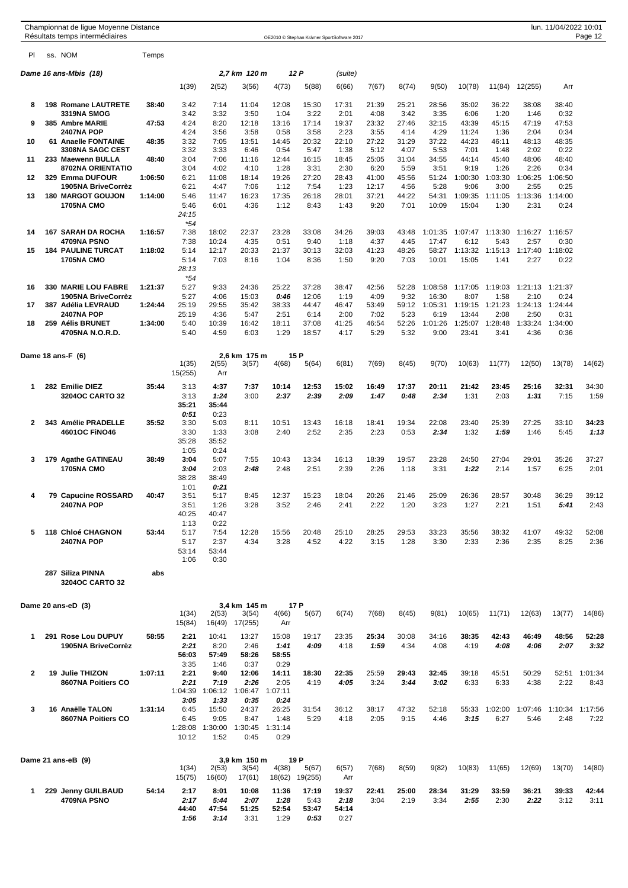|              |     | Championnat de ligue Moyenne Distance<br>Résultats temps intermédiaires |         |                                 |                                  |                                  |                                  |                                | OE2010 © Stephan Krämer SportSoftware 2017 |               |               |                  |                  |                       |                 | lun. 11/04/2022 10:01   | Page 12         |
|--------------|-----|-------------------------------------------------------------------------|---------|---------------------------------|----------------------------------|----------------------------------|----------------------------------|--------------------------------|--------------------------------------------|---------------|---------------|------------------|------------------|-----------------------|-----------------|-------------------------|-----------------|
| PI           |     | ss. NOM                                                                 | Temps   |                                 |                                  |                                  |                                  |                                |                                            |               |               |                  |                  |                       |                 |                         |                 |
|              |     | Dame 16 ans-Mbis (18)                                                   |         |                                 |                                  | 2,7 km 120 m                     |                                  | 12 P                           | (suite)                                    |               |               |                  |                  |                       |                 |                         |                 |
|              |     |                                                                         |         | 1(39)                           | 2(52)                            | 3(56)                            | 4(73)                            | 5(88)                          | 6(66)                                      | 7(67)         | 8(74)         | 9(50)            | 10(78)           | 11(84)                | 12(255)         | Arr                     |                 |
| 8            | 198 | <b>Romane LAUTRETE</b>                                                  | 38:40   | 3:42                            | 7:14                             | 11:04                            | 12:08                            | 15:30                          | 17:31                                      | 21:39         | 25:21         | 28:56            | 35:02            | 36:22                 | 38:08           | 38:40                   |                 |
| 9            |     | 3319NA SMOG<br>385 Ambre MARIE                                          | 47:53   | 3:42<br>4:24                    | 3:32<br>8:20                     | 3:50<br>12:18                    | 1:04<br>13:16                    | 3:22<br>17:14                  | 2:01<br>19:37                              | 4:08<br>23:32 | 3:42<br>27:46 | 3:35<br>32:15    | 6:06<br>43:39    | 1:20<br>45:15         | 1:46<br>47:19   | 0:32<br>47:53           |                 |
|              |     | <b>2407NA POP</b>                                                       |         | 4:24                            | 3:56                             | 3:58                             | 0:58                             | 3:58                           | 2:23                                       | 3:55          | 4:14          | 4:29             | 11:24            | 1:36                  | 2:04            | 0:34                    |                 |
| 10           |     | 61 Anaelle FONTAINE                                                     | 48:35   | 3:32                            | 7:05                             | 13:51                            | 14:45                            | 20:32                          | 22:10                                      | 27:22         | 31:29         | 37:22            | 44:23            | 46:11                 | 48:13           | 48:35                   |                 |
|              |     | 3308NA SAGC CEST                                                        | 48:40   | 3:32<br>3:04                    | 3:33                             | 6:46                             | 0:54                             | 5:47                           | 1:38                                       | 5:12          | 4:07          | 5:53             | 7:01             | 1:48                  | 2:02            | 0:22                    |                 |
| 11           |     | 233 Maewenn BULLA<br>8702NA ORIENTATIO                                  |         | 3:04                            | 7:06<br>4:02                     | 11:16<br>4:10                    | 12:44<br>1:28                    | 16:15<br>3:31                  | 18:45<br>2:30                              | 25:05<br>6:20 | 31:04<br>5:59 | 34:55<br>3:51    | 44:14<br>9:19    | 45:40<br>1:26         | 48:06<br>2:26   | 48:40<br>0:34           |                 |
| 12           |     | 329 Emma DUFOUR                                                         | 1:06:50 | 6:21                            | 11:08                            | 18:14                            | 19:26                            | 27:20                          | 28:43                                      | 41:00         | 45:56         | 51:24            | 1:00:30          | 1:03:30               | 1:06:25         | 1:06:50                 |                 |
|              |     | 1905NA BriveCorrèz                                                      |         | 6:21<br>5:46                    | 4:47                             | 7:06                             | 1:12                             | 7:54                           | 1:23                                       | 12:17         | 4:56          | 5:28             | 9:06             | 3:00                  | 2:55            | 0:25                    |                 |
| 13           |     | <b>180 MARGOT GOUJON</b><br><b>1705NA CMO</b>                           | 1:14:00 | 5:46<br>24:15                   | 11:47<br>6:01                    | 16:23<br>4:36                    | 17:35<br>1:12                    | 26:18<br>8:43                  | 28:01<br>1:43                              | 37:21<br>9:20 | 44:22<br>7:01 | 54:31<br>10:09   | 1:09:35<br>15:04 | 1:11:05<br>1:30       | 1:13:36<br>2:31 | 1:14:00<br>0:24         |                 |
| 14           |     | <b>167 SARAH DA ROCHA</b>                                               | 1:16:57 | $*54$<br>7:38                   | 18:02                            | 22:37                            | 23:28                            | 33:08                          | 34:26                                      | 39:03         | 43:48         | 1:01:35          |                  | 1:07:47 1:13:30       | 1:16:27         | 1:16:57                 |                 |
|              |     | 4709NA PSNO                                                             |         | 7:38                            | 10:24                            | 4:35                             | 0:51                             | 9:40                           | 1:18                                       | 4:37          | 4:45          | 17:47            | 6:12             | 5:43                  | 2:57            | 0:30                    |                 |
| 15           |     | <b>184 PAULINE TURCAT</b><br><b>1705NA CMO</b>                          | 1:18:02 | 5:14<br>5:14<br>28:13<br>*54    | 12:17<br>7:03                    | 20:33<br>8:16                    | 21:37<br>1:04                    | 30:13<br>8:36                  | 32:03<br>1:50                              | 41:23<br>9:20 | 48:26<br>7:03 | 58:27<br>10:01   | 1:13:32<br>15:05 | 1:15:13<br>1:41       | 1:17:40<br>2:27 | 1:18:02<br>0:22         |                 |
| 16           |     | <b>330 MARIE LOU FABRE</b>                                              | 1:21:37 | 5:27                            | 9:33                             | 24:36                            | 25:22                            | 37:28                          | 38:47                                      | 42:56         | 52:28         | 1:08:58          |                  | 1:17:05 1:19:03       | 1:21:13         | 1:21:37                 |                 |
| 17           |     | 1905NA BriveCorrèz<br>387 Adélia LEVRAUD                                | 1:24:44 | 5:27<br>25:19                   | 4:06<br>29:55                    | 15:03<br>35:42                   | 0:46<br>38:33                    | 12:06<br>44:47                 | 1:19<br>46:47                              | 4:09<br>53:49 | 9:32<br>59:12 | 16:30<br>1:05:31 | 8:07<br>1:19:15  | 1:58<br>1:21:23       | 2:10<br>1:24:13 | 0:24<br>1:24:44         |                 |
|              |     | <b>2407NA POP</b>                                                       |         | 25:19                           | 4:36                             | 5:47                             | 2:51                             | 6:14                           | 2:00                                       | 7:02          | 5:23          | 6:19             | 13:44            | 2:08                  | 2:50            | 0:31                    |                 |
| 18           |     | 259 Aélis BRUNET                                                        | 1:34:00 | 5:40                            | 10:39                            | 16:42                            | 18:11                            | 37:08                          | 41:25                                      | 46:54         | 52:26         | 1:01:26          | 1:25:07          | 1:28:48               | 1:33:24         | 1:34:00                 |                 |
|              |     | 4705NA N.O.R.D.                                                         |         | 5:40                            | 4:59                             | 6:03                             | 1:29                             | 18:57                          | 4:17                                       | 5:29          | 5:32          | 9:00             | 23:41            | 3:41                  | 4:36            | 0:36                    |                 |
|              |     | Dame 18 ans-F (6)                                                       |         | 1(35)<br>15(255)                | 2(55)<br>Arr                     | 2,6 km 175 m<br>3(57)            | 4(68)                            | 15 P<br>5(64)                  | 6(81)                                      | 7(69)         | 8(45)         | 9(70)            | 10(63)           | 11(77)                | 12(50)          | 13(78)                  | 14(62)          |
| $\mathbf 1$  |     | 282 Emilie DIEZ                                                         | 35:44   | 3:13                            | 4:37                             | 7:37                             | 10:14                            | 12:53                          | 15:02                                      | 16:49         | 17:37         | 20:11            | 21:42            | 23:45                 | 25:16           | 32:31                   | 34:30           |
|              |     | 3204OC CARTO 32                                                         |         | 3:13<br>35:21                   | 1:24<br>35:44                    | 3:00                             | 2:37                             | 2:39                           | 2:09                                       | 1:47          | 0:48          | 2:34             | 1:31             | 2:03                  | 1:31            | 7:15                    | 1:59            |
| $\mathbf{2}$ |     | 343 Amélie PRADELLE                                                     | 35:52   | 0:51<br>3:30                    | 0:23<br>5:03                     | 8:11                             | 10:51                            | 13:43                          | 16:18                                      | 18:41         | 19:34         | 22:08            | 23:40            | 25:39                 | 27:25           | 33:10                   | 34:23           |
|              |     | 4601OC FINO46                                                           |         | 3:30<br>35:28<br>1:05           | 1:33<br>35:52<br>0:24            | 3:08                             | 2:40                             | 2:52                           | 2:35                                       | 2:23          | 0:53          | 2:34             | 1:32             | 1:59                  | 1:46            | 5:45                    | 1:13            |
| 3            |     | 179 Agathe GATINEAU                                                     | 38:49   | 3:04                            | 5:07                             | 7:55                             | 10:43                            | 13:34                          | 16:13                                      | 18:39         | 19:57         | 23:28            | 24:50            | 27:04                 | 29:01           | 35:26                   | 37:27           |
|              |     | <b>1705NA CMO</b>                                                       |         | 3:04<br>38:28<br>1:01           | 2:03<br>38:49<br>0:21            | 2:48                             | 2:48                             | 2:51                           | 2:39                                       | 2:26          | 1:18          | 3:31             | 1:22             | 2:14                  | 1:57            | 6:25                    | 2:01            |
| 4            |     | 79 Capucine ROSSARD                                                     | 40:47   | 3:51                            | 5:17                             | 8:45                             | 12:37                            | 15:23                          | 18:04                                      | 20:26         | 21:46         | 25:09            | 26:36            | 28:57                 | 30:48           | 36:29                   | 39:12           |
|              |     | <b>2407NA POP</b>                                                       |         | 3:51<br>40:25<br>1:13           | 1:26<br>40:47<br>0:22            | 3:28                             | 3:52                             | 2:46                           | 2:41                                       | 2:22          | 1:20          | 3:23             | 1:27             | 2:21                  | 1:51            | 5:41                    | 2:43            |
| 5            |     | 118 Chloé CHAGNON                                                       | 53:44   | 5:17                            | 7:54                             | 12:28                            | 15:56                            | 20:48                          | 25:10                                      | 28:25         | 29:53         | 33:23            | 35:56            | 38:32                 | 41:07           | 49:32                   | 52:08           |
|              |     | <b>2407NA POP</b>                                                       |         | 5:17<br>53:14<br>1:06           | 2:37<br>53:44<br>0:30            | 4:34                             | 3:28                             | 4:52                           | 4:22                                       | 3:15          | 1:28          | 3:30             | 2:33             | 2:36                  | 2:35            | 8:25                    | 2:36            |
|              |     | 287 Siliza PINNA<br>3204OC CARTO 32                                     | abs     |                                 |                                  |                                  |                                  |                                |                                            |               |               |                  |                  |                       |                 |                         |                 |
|              |     | Dame 20 ans-eD (3)                                                      |         |                                 |                                  | 3,4 km 145 m                     |                                  | 17 P                           |                                            |               |               |                  |                  |                       |                 |                         |                 |
|              |     |                                                                         |         | 1(34)<br>15(84)                 | 2(53)<br>16(49)                  | 3(54)<br>17(255)                 | 4(66)<br>Arr                     | 5(67)                          | 6(74)                                      | 7(68)         | 8(45)         | 9(81)            | 10(65)           | 11(71)                | 12(63)          | 13(77)                  | 14(86)          |
| 1            |     | 291 Rose Lou DUPUY<br>1905NA BriveCorrèz                                | 58:55   | 2:21<br>2:21<br>56:03           | 10:41<br>8:20<br>57:49           | 13:27<br>2:46<br>58:26           | 15:08<br>1:41<br>58:55           | 19:17<br>4:09                  | 23:35<br>4:18                              | 25:34<br>1:59 | 30:08<br>4:34 | 34:16<br>4:08    | 38:35<br>4:19    | 42:43<br>4:08         | 46:49<br>4:06   | 48:56<br>2:07           | 52:28<br>3:32   |
|              |     |                                                                         |         | 3:35                            | 1:46                             | 0:37                             | 0:29                             |                                |                                            |               |               |                  |                  |                       |                 |                         |                 |
| $\mathbf{2}$ |     | 19 Julie THIZON<br>8607NA Poitiers CO                                   | 1:07:11 | 2:21<br>2:21<br>1:04:39         | 9:40<br>7:19<br>1:06:12          | 12:06<br>2:26<br>1:06:47         | 14:11<br>2:05<br>1:07:11         | 18:30<br>4:19                  | 22:35<br>4:05                              | 25:59<br>3:24 | 29:43<br>3:44 | 32:45<br>3:02    | 39:18<br>6:33    | 45:51<br>6:33         | 50:29<br>4:38   | 52:51<br>2:22           | 1:01:34<br>8:43 |
| 3            |     | 16 Anaëlle TALON<br>8607NA Poitiers CO                                  | 1:31:14 | 3:05<br>6:45<br>6:45<br>1:28:08 | 1:33<br>15:50<br>9:05<br>1:30:00 | 0:35<br>24:37<br>8:47<br>1:30:45 | 0:24<br>26:25<br>1:48<br>1:31:14 | 31:54<br>5:29                  | 36:12<br>4:18                              | 38:17<br>2:05 | 47:32<br>9:15 | 52:18<br>4:46    | 3:15             | 55:33 1:02:00<br>6:27 | 1:07:46<br>5:46 | 1:10:34 1:17:56<br>2:48 | 7:22            |
|              |     | Dame 21 ans-eB (9)                                                      |         | 10:12                           | 1:52                             | 0:45<br>3,9 km 150 m             | 0:29                             | 19 P                           |                                            |               |               |                  |                  |                       |                 |                         |                 |
|              |     |                                                                         |         | 1(34)<br>15(75)                 | 2(53)<br>16(60)                  | 3(54)<br>17(61)                  | 4(38)<br>18(62)                  | 5(67)<br>19(255)               | 6(57)<br>Arr                               | 7(68)         | 8(59)         | 9(82)            | 10(83)           | 11(65)                | 12(69)          | 13(70)                  | 14(80)          |
| 1            |     | 229 Jenny GUILBAUD<br>4709NA PSNO                                       | 54:14   | 2:17<br>2:17<br>44:40<br>1:56   | 8:01<br>5:44<br>47:54<br>3:14    | 10:08<br>2:07<br>51:25<br>3:31   | 11:36<br>1:28<br>52:54<br>1:29   | 17:19<br>5:43<br>53:47<br>0:53 | 19:37<br>2:18<br>54:14<br>0:27             | 22:41<br>3:04 | 25:00<br>2:19 | 28:34<br>3:34    | 31:29<br>2:55    | 33:59<br>2:30         | 36:21<br>2:22   | 39:33<br>3:12           | 42:44<br>3:11   |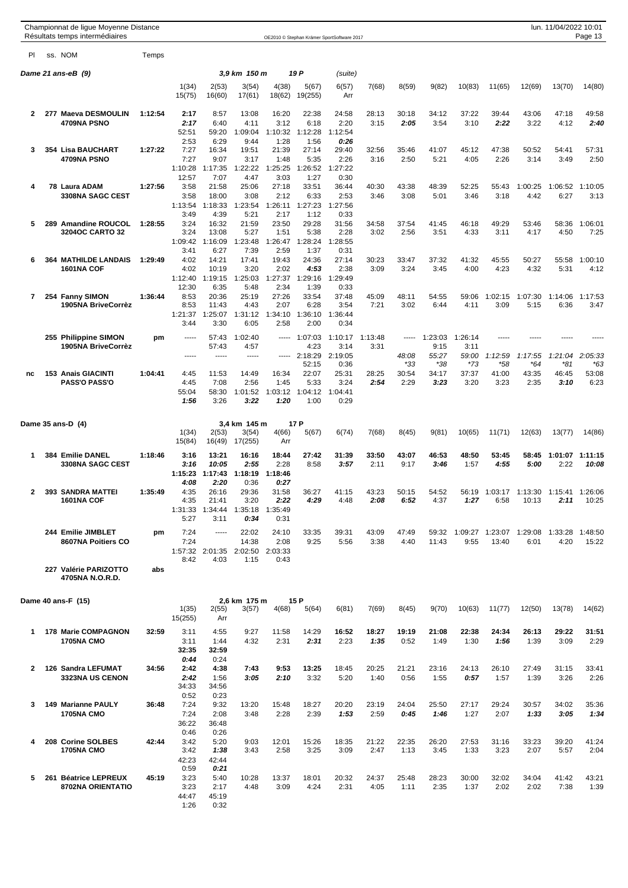|    | Championnat de ligue Moyenne Distance<br>Résultats temps intermédiaires |         |                                 |                                   |                                   |                                  |                                   | OE2010 © Stephan Krämer SportSoftware 2017 |                 |                      |                          |                          |                      |                      | lun. 11/04/2022 10:01   | Page 13                  |
|----|-------------------------------------------------------------------------|---------|---------------------------------|-----------------------------------|-----------------------------------|----------------------------------|-----------------------------------|--------------------------------------------|-----------------|----------------------|--------------------------|--------------------------|----------------------|----------------------|-------------------------|--------------------------|
| PI | ss. NOM                                                                 | Temps   |                                 |                                   |                                   |                                  |                                   |                                            |                 |                      |                          |                          |                      |                      |                         |                          |
|    | Dame 21 ans-eB (9)                                                      |         |                                 |                                   | 3,9 km   150 m                    |                                  | 19 P                              | (suite)                                    |                 |                      |                          |                          |                      |                      |                         |                          |
|    |                                                                         |         | 1(34)<br>15(75)                 | 2(53)<br>16(60)                   | 3(54)<br>17(61)                   | 4(38)<br>18(62)                  | 5(67)<br>19(255)                  | 6(57)<br>Arr                               | 7(68)           | 8(59)                | 9(82)                    | 10(83)                   | 11(65)               | 12(69)               | 13(70)                  | 14(80)                   |
| 2  | 277 Maeva DESMOULIN<br>4709NA PSNO                                      | 1:12:54 | 2:17<br>2:17<br>52:51           | 8:57<br>6:40<br>59:20             | 13:08<br>4:11<br>1:09:04          | 16:20<br>3:12<br>1:10:32         | 22:38<br>6:18<br>1:12:28          | 24:58<br>2:20<br>1:12:54                   | 28:13<br>3:15   | 30:18<br>2:05        | 34:12<br>3:54            | 37:22<br>3:10            | 39:44<br>2:22        | 43:06<br>3:22        | 47:18<br>4:12           | 49:58<br>2:40            |
| 3  | 354 Lisa BAUCHART<br>4709NA PSNO                                        | 1:27:22 | 2:53<br>7:27<br>7:27            | 6:29<br>16:34<br>9:07             | 9:44<br>19:51<br>3:17             | 1:28<br>21:39<br>1:48            | 1:56<br>27:14<br>5:35             | 0:26<br>29:40<br>2:26                      | 32:56<br>3:16   | 35:46<br>2:50        | 41:07<br>5:21            | 45:12<br>4:05            | 47:38<br>2:26        | 50:52<br>3:14        | 54:41<br>3:49           | 57:31<br>2:50            |
|    |                                                                         |         | 1:10:28<br>12:57                | 1:17:35<br>7:07                   | 1:22:22<br>4:47                   | 1:25:25<br>3:03                  | 1:26:52<br>1:27                   | 1:27:22<br>0:30                            |                 |                      |                          |                          |                      |                      |                         |                          |
| 4  | 78 Laura ADAM<br>3308NA SAGC CEST                                       | 1:27:56 | 3:58<br>3:58<br>1:13:54         | 21:58<br>18:00<br>1:18:33         | 25:06<br>3:08<br>1:23:54          | 27:18<br>2:12<br>1:26:11         | 33:51<br>6:33<br>1:27:23          | 36:44<br>2:53<br>1:27:56                   | 40:30<br>3:46   | 43:38<br>3:08        | 48:39<br>5:01            | 52:25<br>3:46            | 55:43<br>3:18        | 1:00:25<br>4:42      | 1:06:52<br>6:27         | 1:10:05<br>3:13          |
| 5  | 289 Amandine ROUCOL<br>3204OC CARTO 32                                  | 1:28:55 | 3:49<br>3:24<br>3:24            | 4:39<br>16:32<br>13:08            | 5:21<br>21:59<br>5:27             | 2:17<br>23:50<br>1:51            | 1:12<br>29:28<br>5:38             | 0:33<br>31:56<br>2:28                      | 34:58<br>3:02   | 37:54<br>2:56        | 41:45<br>3:51            | 46:18<br>4:33            | 49:29<br>3:11        | 53:46<br>4:17        | 58:36<br>4:50           | 1:06:01<br>7:25          |
| 6  | <b>364 MATHILDE LANDAIS</b>                                             | 1:29:49 | 1:09:42<br>3:41<br>4:02         | 1:16:09<br>6:27<br>14:21          | 1:23:48<br>7:39<br>17:41          | 1:26:47<br>2:59<br>19:43         | 1:28:24<br>1:37<br>24:36          | 1:28:55<br>0:31<br>27:14                   | 30:23           | 33:47                | 37:32                    | 41:32                    | 45:55                | 50:27                | 55:58                   | 1:00:10                  |
|    | <b>1601NA COF</b>                                                       |         | 4:02<br>1:12:40<br>12:30        | 10:19<br>1:19:15<br>6:35          | 3:20<br>1:25:03<br>5:48           | 2:02<br>1:27:37<br>2:34          | 4:53<br>1:29:16<br>1:39           | 2:38<br>1:29:49<br>0:33                    | 3:09            | 3:24                 | 3:45                     | 4:00                     | 4:23                 | 4:32                 | 5:31                    | 4:12                     |
| 7  | 254 Fanny SIMON<br>1905NA BriveCorrèz                                   | 1:36:44 | 8:53<br>8:53<br>1:21:37<br>3:44 | 20:36<br>11:43<br>1:25:07<br>3:30 | 25:19<br>4:43<br>1:31:12<br>6:05  | 27:26<br>2:07<br>1:34:10<br>2:58 | 33:54<br>6:28<br>1:36:10<br>2:00  | 37:48<br>3:54<br>1:36:44<br>0:34           | 45:09<br>7:21   | 48:11<br>3:02        | 54:55<br>6:44            | 59:06<br>4:11            | 1:02:15<br>3:09      | 1:07:30<br>5:15      | 1:14:06<br>6:36         | 1:17:53<br>3:47          |
|    | 255 Philippine SIMON<br>1905NA BriveCorrèz                              | pm      | -----<br>$- - - - -$            | 57:43<br>57:43<br>-----           | 1:02:40<br>4:57<br>-----          | -----<br>-----                   | 1:07:03<br>4:23<br>2:18:29        | 1:10:17<br>3:14<br>2:19:05                 | 1:13:48<br>3:31 | 48:08                | 1:23:03<br>9:15<br>55:27 | 1:26:14<br>3:11<br>59:00 | -----<br>1:12:59     | 1:17:55              | 1:21:04                 | 2:05:33                  |
| nc | <b>153 Anais GIACINTI</b><br><b>PASS'O PASS'O</b>                       | 1:04:41 | 4:45<br>4:45<br>55:04           | 11:53<br>7:08<br>58:30            | 14:49<br>2:56<br>1:01:52          | 16:34<br>1:45<br>1:03:12         | 52:15<br>22:07<br>5:33<br>1:04:12 | 0:36<br>25:31<br>3:24<br>1:04:41           | 28:25<br>2:54   | *33<br>30:54<br>2:29 | *38<br>34:17<br>3:23     | *73<br>37:37<br>3:20     | *58<br>41:00<br>3:23 | *64<br>43:35<br>2:35 | *81<br>46:45<br>3:10    | *63<br>53:08<br>6:23     |
|    |                                                                         |         | 1:56                            | 3:26                              | 3:22                              | 1:20                             | 1:00                              | 0:29                                       |                 |                      |                          |                          |                      |                      |                         |                          |
|    | Dame 35 ans-D (4)                                                       |         | 1(34)<br>15(84)                 | 2(53)<br>16(49)                   | 3,4 km 145 m<br>3(54)<br>17(255)  | 4(66)<br>Arr                     | 17 P<br>5(67)                     | 6(74)                                      | 7(68)           | 8(45)                | 9(81)                    | 10(65)                   | 11(71)               | 12(63)               | 13(77)                  | 14(86)                   |
| 1  | 384 Emilie DANEL<br>3308NA SAGC CEST                                    | 1:18:46 | 3:16<br>3:16<br>1:15:23<br>4:08 | 13:21<br>10:05<br>1:17:43<br>2:20 | 16:16<br>2:55<br>1:18:19<br>0:36  | 18:44<br>2:28<br>1:18:46<br>0:27 | 27:42<br>8:58                     | 31:39<br>3:57                              | 33:50<br>2:11   | 43:07<br>9:17        | 46:53<br>3:46            | 48:50<br>1:57            | 53:45<br>4:55        | 58:45<br>5:00        | 1:01:07<br>2:22         | 1:11:15<br>10:08         |
| 2  | 393 SANDRA MATTEI<br><b>1601NA COF</b>                                  | 1:35:49 | 4:35<br>4:35<br>1:31:33<br>5:27 | 26:16<br>21:41<br>1:34:44<br>3:11 | 29:36<br>3:20<br>1:35:18<br>0:34  | 31:58<br>2:22<br>1:35:49<br>0:31 | 36:27<br>4:29                     | 41:15<br>4:48                              | 43:23<br>2:08   | 50:15<br>6:52        | 54:52<br>4:37            | 56:19<br>1:27            | 1:03:17<br>6:58      | 1:13:30<br>10:13     | 1:15:41 1:26:06<br>2:11 | 10:25                    |
|    | 244 Emilie JIMBLET<br>8607NA Poitiers CO                                | pm      | 7:24<br>7:24<br>1:57:32<br>8:42 | 1.1111<br>2:01:35<br>4:03         | 22:02<br>14:38<br>2:02:50<br>1:15 | 24:10<br>2:08<br>2:03:33<br>0:43 | 33:35<br>9:25                     | 39:31<br>5:56                              | 43:09<br>3:38   | 47:49<br>4:40        | 59:32<br>11:43           | 1:09:27<br>9:55          | 1:23:07<br>13:40     | 1:29:08<br>6:01      | 4:20                    | 1:33:28 1:48:50<br>15:22 |
|    | 227 Valérie PARIZOTTO<br>4705NA N.O.R.D.                                | abs     |                                 |                                   |                                   |                                  |                                   |                                            |                 |                      |                          |                          |                      |                      |                         |                          |
|    | Dame 40 ans-F (15)                                                      |         | 1(35)<br>15(255)                | 2(55)<br>Arr                      | 2,6 km 175 m<br>3(57)             | 4(68)                            | 15 P<br>5(64)                     | 6(81)                                      | 7(69)           | 8(45)                | 9(70)                    | 10(63)                   | 11(77)               | 12(50)               | 13(78)                  | 14(62)                   |
| 1  | <b>178 Marie COMPAGNON</b><br><b>1705NA CMO</b>                         | 32:59   | 3:11<br>3:11<br>32:35<br>0:44   | 4:55<br>1:44<br>32:59<br>0:24     | 9:27<br>4:32                      | 11:58<br>2:31                    | 14:29<br>2:31                     | 16:52<br>2:23                              | 18:27<br>1:35   | 19:19<br>0:52        | 21:08<br>1:49            | 22:38<br>1:30            | 24:34<br>1:56        | 26:13<br>1:39        | 29:22<br>3:09           | 31:51<br>2:29            |
| 2  | 126 Sandra LEFUMAT<br>3323NA US CENON                                   | 34:56   | 2:42<br>2:42<br>34:33<br>0:52   | 4:38<br>1:56<br>34:56<br>0:23     | 7:43<br>3:05                      | 9:53<br>2:10                     | 13:25<br>3:32                     | 18:45<br>5:20                              | 20:25<br>1:40   | 21:21<br>0:56        | 23:16<br>1:55            | 24:13<br>0:57            | 26:10<br>1:57        | 27:49<br>1:39        | 31:15<br>3:26           | 33:41<br>2:26            |
| 3  | <b>149 Marianne PAULY</b><br><b>1705NA CMO</b>                          | 36:48   | 7:24<br>7:24<br>36:22<br>0:46   | 9:32<br>2:08<br>36:48<br>0:26     | 13:20<br>3:48                     | 15:48<br>2:28                    | 18:27<br>2:39                     | 20:20<br>1:53                              | 23:19<br>2:59   | 24:04<br>0:45        | 25:50<br>1:46            | 27:17<br>1:27            | 29:24<br>2:07        | 30:57<br>1:33        | 34:02<br>3:05           | 35:36<br>1:34            |
| 4  | 208 Corine SOLBES<br><b>1705NA CMO</b>                                  | 42:44   | 3:42<br>3:42<br>42:23<br>0:59   | 5:20<br>1:38<br>42:44<br>0:21     | 9:03<br>3:43                      | 12:01<br>2:58                    | 15:26<br>3:25                     | 18:35<br>3:09                              | 21:22<br>2:47   | 22:35<br>1:13        | 26:20<br>3:45            | 27:53<br>1:33            | 31:16<br>3:23        | 33:23<br>2:07        | 39:20<br>5:57           | 41:24<br>2:04            |
| 5  | 261 Béatrice LEPREUX<br>8702NA ORIENTATIO                               | 45:19   | 3:23<br>3:23<br>44:47<br>1:26   | 5:40<br>2:17<br>45:19<br>0:32     | 10:28<br>4:48                     | 13:37<br>3:09                    | 18:01<br>4:24                     | 20:32<br>2:31                              | 24:37<br>4:05   | 25:48<br>1:11        | 28:23<br>2:35            | 30:00<br>1:37            | 32:02<br>2:02        | 34:04<br>2:02        | 41:42<br>7:38           | 43:21<br>1:39            |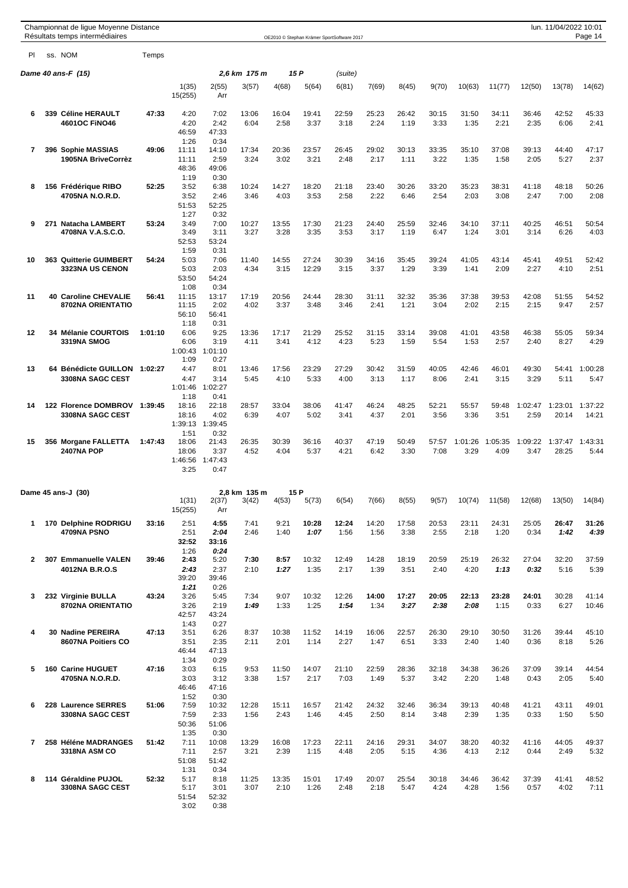|           | Championnat de ligue Moyenne Distance<br>Résultats temps intermédiaires |         |                                 |                                          |               |               |                | OE2010 © Stephan Krämer SportSoftware 2017 |               |               |               |                 |                 |                 | lun. 11/04/2022 10:01 | Page 14          |
|-----------|-------------------------------------------------------------------------|---------|---------------------------------|------------------------------------------|---------------|---------------|----------------|--------------------------------------------|---------------|---------------|---------------|-----------------|-----------------|-----------------|-----------------------|------------------|
| <b>PI</b> | ss. NOM                                                                 | Temps   |                                 |                                          |               |               |                |                                            |               |               |               |                 |                 |                 |                       |                  |
|           | Dame 40 ans-F (15)                                                      |         |                                 |                                          | 2,6 km 175 m  |               | 15 P           | (suite)                                    |               |               |               |                 |                 |                 |                       |                  |
|           |                                                                         |         | 1(35)<br>15(255)                | 2(55)<br>Arr                             | 3(57)         | 4(68)         | 5(64)          | 6(81)                                      | 7(69)         | 8(45)         | 9(70)         | 10(63)          | 11(77)          | 12(50)          | 13(78)                | 14(62)           |
| 6         | 339 Céline HERAULT<br>4601OC FINO46                                     | 47:33   | 4:20<br>4:20<br>46:59<br>1:26   | 7:02<br>2:42<br>47:33<br>0:34            | 13:06<br>6:04 | 16:04<br>2:58 | 19:41<br>3:37  | 22:59<br>3:18                              | 25:23<br>2:24 | 26:42<br>1:19 | 30:15<br>3:33 | 31:50<br>1:35   | 34:11<br>2:21   | 36:46<br>2:35   | 42:52<br>6:06         | 45:33<br>2:41    |
| 7         | 396 Sophie MASSIAS<br>1905NA BriveCorrèz                                | 49:06   | 11:11<br>11:11<br>48:36<br>1:19 | 14:10<br>2:59<br>49:06<br>0:30           | 17:34<br>3:24 | 20:36<br>3:02 | 23:57<br>3:21  | 26:45<br>2:48                              | 29:02<br>2:17 | 30:13<br>1:11 | 33:35<br>3:22 | 35:10<br>1:35   | 37:08<br>1:58   | 39:13<br>2:05   | 44:40<br>5:27         | 47:17<br>2:37    |
| 8         | 156 Frédérique RIBO<br>4705NA N.O.R.D.                                  | 52:25   | 3:52<br>3:52<br>51:53<br>1:27   | 6:38<br>2:46<br>52:25<br>0:32            | 10:24<br>3:46 | 14:27<br>4:03 | 18:20<br>3:53  | 21:18<br>2:58                              | 23:40<br>2:22 | 30:26<br>6:46 | 33:20<br>2:54 | 35:23<br>2:03   | 38:31<br>3:08   | 41:18<br>2:47   | 48:18<br>7:00         | 50:26<br>2:08    |
| 9         | 271 Natacha LAMBERT<br>4708NA V.A.S.C.O.                                | 53:24   | 3:49<br>3:49<br>52:53<br>1:59   | 7:00<br>3:11<br>53:24<br>0:31            | 10:27<br>3:27 | 13:55<br>3:28 | 17:30<br>3:35  | 21:23<br>3:53                              | 24:40<br>3:17 | 25:59<br>1:19 | 32:46<br>6:47 | 34:10<br>1:24   | 37:11<br>3:01   | 40:25<br>3:14   | 46:51<br>6:26         | 50:54<br>4:03    |
| 10        | 363 Quitterie GUIMBERT<br><b>3323NA US CENON</b>                        | 54:24   | 5:03<br>5:03<br>53:50<br>1:08   | 7:06<br>2:03<br>54:24<br>0:34            | 11:40<br>4:34 | 14:55<br>3:15 | 27:24<br>12:29 | 30:39<br>3:15                              | 34:16<br>3:37 | 35:45<br>1:29 | 39:24<br>3:39 | 41:05<br>1:41   | 43:14<br>2:09   | 45:41<br>2:27   | 49:51<br>4:10         | 52:42<br>2:51    |
| 11        | <b>40 Caroline CHEVALIE</b><br>8702NA ORIENTATIO                        | 56:41   | 11:15<br>11:15<br>56:10<br>1:18 | 13:17<br>2:02<br>56:41<br>0:31           | 17:19<br>4:02 | 20:56<br>3:37 | 24:44<br>3:48  | 28:30<br>3:46                              | 31:11<br>2:41 | 32:32<br>1:21 | 35:36<br>3:04 | 37:38<br>2:02   | 39:53<br>2:15   | 42:08<br>2:15   | 51:55<br>9:47         | 54:52<br>2:57    |
| 12        | 34 Mélanie COURTOIS<br>3319NA SMOG                                      | 1:01:10 | 6:06<br>6:06<br>1:00:43<br>1:09 | 9:25<br>3:19<br>1:01:10<br>0:27          | 13:36<br>4:11 | 17:17<br>3:41 | 21:29<br>4:12  | 25:52<br>4:23                              | 31:15<br>5:23 | 33:14<br>1:59 | 39:08<br>5:54 | 41:01<br>1:53   | 43:58<br>2:57   | 46:38<br>2:40   | 55:05<br>8:27         | 59:34<br>4:29    |
| 13        | 64 Bénédicte GUILLON<br>3308NA SAGC CEST                                | 1:02:27 | 4:47<br>4:47<br>1:01:46<br>1:18 | 8:01<br>3:14<br>1:02:27<br>0:41          | 13:46<br>5:45 | 17:56<br>4:10 | 23:29<br>5:33  | 27:29<br>4:00                              | 30:42<br>3:13 | 31:59<br>1:17 | 40:05<br>8:06 | 42:46<br>2:41   | 46:01<br>3:15   | 49:30<br>3:29   | 54:41<br>5:11         | 1:00:28<br>5:47  |
| 14        | 122 Florence DOMBROV<br>3308NA SAGC CEST                                | 1:39:45 | 18:16<br>18:16<br>1:51          | 22:18<br>4:02<br>1:39:13 1:39:45<br>0:32 | 28:57<br>6:39 | 33:04<br>4:07 | 38:06<br>5:02  | 41:47<br>3:41                              | 46:24<br>4:37 | 48:25<br>2:01 | 52:21<br>3:56 | 55:57<br>3:36   | 59:48<br>3:51   | 1:02:47<br>2:59 | 1:23:01<br>20:14      | 1:37:22<br>14:21 |
| 15        | 356 Morgane FALLETTA<br><b>2407NA POP</b>                               | 1:47:43 | 18:06<br>18:06<br>3:25          | 21:43<br>3:37<br>1:46:56 1:47:43<br>0:47 | 26:35<br>4:52 | 30:39<br>4:04 | 36:16<br>5:37  | 40:37<br>4:21                              | 47:19<br>6:42 | 50:49<br>3:30 | 57:57<br>7:08 | 1:01:26<br>3:29 | 1:05:35<br>4:09 | 1:09:22<br>3:47 | 1:37:47<br>28:25      | 1:43:31<br>5:44  |
|           | Dame 45 ans-J (30)                                                      |         |                                 |                                          | 2,8 km 135 m  |               | 15 P           |                                            |               |               |               |                 |                 |                 |                       |                  |
|           |                                                                         |         | 1(31)<br>15(255)                | 2(37)<br>Arr                             | 3(42)         | 4(53)         | 5(73)          | 6(54)                                      | 7(66)         | 8(55)         | 9(57)         | 10(74)          | 11(58)          | 12(68)          | 13(50)                | 14(84)           |
| 1         | 170 Delphine RODRIGU<br>4709NA PSNO                                     | 33:16   | 2:51<br>2:51<br>32:52<br>1:26   | 4:55<br>2:04<br>33:16<br>0:24            | 7:41<br>2:46  | 9:21<br>1:40  | 10:28<br>1:07  | 12:24<br>1:56                              | 14:20<br>1:56 | 17:58<br>3:38 | 20:53<br>2:55 | 23:11<br>2:18   | 24:31<br>1:20   | 25:05<br>0:34   | 26:47<br>1:42         | 31:26<br>4:39    |
| 2         | 307 Emmanuelle VALEN<br>4012NA B.R.O.S                                  | 39:46   | 2:43<br>2:43<br>39:20<br>1:21   | 5:20<br>2:37<br>39:46<br>0:26            | 7:30<br>2:10  | 8:57<br>1:27  | 10:32<br>1:35  | 12:49<br>2:17                              | 14:28<br>1:39 | 18:19<br>3:51 | 20:59<br>2:40 | 25:19<br>4:20   | 26:32<br>1:13   | 27:04<br>0:32   | 32:20<br>5:16         | 37:59<br>5:39    |
| 3         | 232 Virginie BULLA<br>8702NA ORIENTATIO                                 | 43:24   | 3:26<br>3:26<br>42:57<br>1:43   | 5:45<br>2:19<br>43:24<br>0:27            | 7:34<br>1:49  | 9:07<br>1:33  | 10:32<br>1:25  | 12:26<br>1:54                              | 14:00<br>1:34 | 17:27<br>3:27 | 20:05<br>2:38 | 22:13<br>2:08   | 23:28<br>1:15   | 24:01<br>0:33   | 30:28<br>6:27         | 41:14<br>10:46   |
| 4         | 30 Nadine PEREIRA<br>8607NA Poitiers CO                                 | 47:13   | 3:51<br>3:51<br>46:44<br>1:34   | 6:26<br>2:35<br>47:13<br>0:29            | 8:37<br>2:11  | 10:38<br>2:01 | 11:52<br>1:14  | 14:19<br>2:27                              | 16:06<br>1:47 | 22:57<br>6:51 | 26:30<br>3:33 | 29:10<br>2:40   | 30:50<br>1:40   | 31:26<br>0:36   | 39:44<br>8:18         | 45:10<br>5:26    |
| 5         | 160 Carine HUGUET<br>4705NA N.O.R.D.                                    | 47:16   | 3:03<br>3:03<br>46:46<br>1:52   | 6:15<br>3:12<br>47:16<br>0:30            | 9:53<br>3:38  | 11:50<br>1:57 | 14:07<br>2:17  | 21:10<br>7:03                              | 22:59<br>1:49 | 28:36<br>5:37 | 32:18<br>3:42 | 34:38<br>2:20   | 36:26<br>1:48   | 37:09<br>0:43   | 39:14<br>2:05         | 44:54<br>5:40    |
| 6         | 228 Laurence SERRES<br>3308NA SAGC CEST                                 | 51:06   | 7:59<br>7:59<br>50:36<br>1:35   | 10:32<br>2:33<br>51:06<br>0:30           | 12:28<br>1:56 | 15:11<br>2:43 | 16:57<br>1:46  | 21:42<br>4:45                              | 24:32<br>2:50 | 32:46<br>8:14 | 36:34<br>3:48 | 39:13<br>2:39   | 40:48<br>1:35   | 41:21<br>0:33   | 43:11<br>1:50         | 49:01<br>5:50    |
| 7         | 258 Héléne MADRANGES<br><b>3318NA ASM CO</b>                            | 51:42   | 7:11<br>7:11<br>51:08<br>1:31   | 10:08<br>2:57<br>51:42<br>0:34           | 13:29<br>3:21 | 16:08<br>2:39 | 17:23<br>1:15  | 22:11<br>4:48                              | 24:16<br>2:05 | 29:31<br>5:15 | 34:07<br>4:36 | 38:20<br>4:13   | 40:32<br>2:12   | 41:16<br>0:44   | 44:05<br>2:49         | 49:37<br>5:32    |
| 8         | 114 Géraldine PUJOL<br>3308NA SAGC CEST                                 | 52:32   | 5:17<br>5:17<br>51:54<br>3:02   | 8:18<br>3:01<br>52:32<br>0:38            | 11:25<br>3:07 | 13:35<br>2:10 | 15:01<br>1:26  | 17:49<br>2:48                              | 20:07<br>2:18 | 25:54<br>5:47 | 30:18<br>4:24 | 34:46<br>4:28   | 36:42<br>1:56   | 37:39<br>0:57   | 41:41<br>4:02         | 48:52<br>7:11    |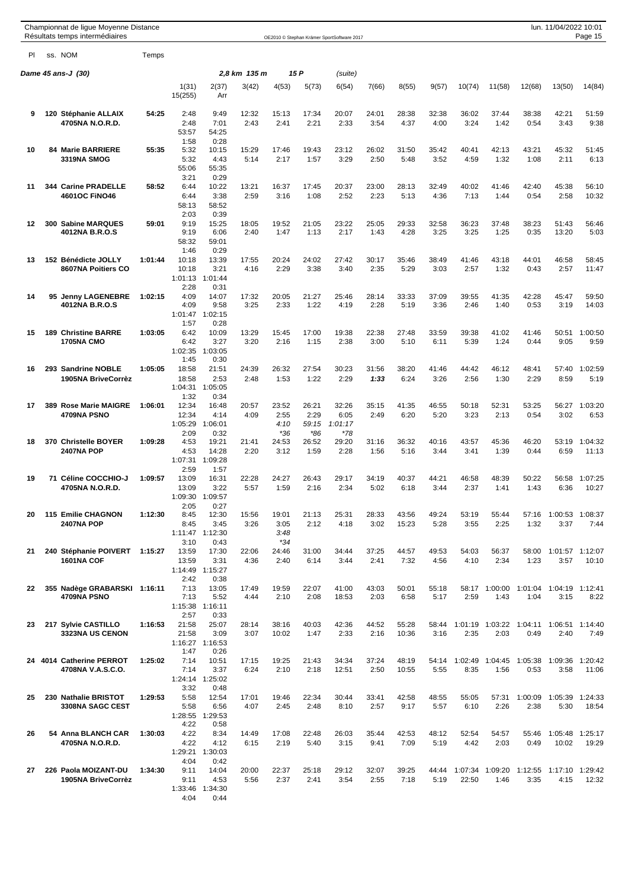|    | Championnat de ligue Moyenne Distance<br>Résultats temps intermédiaires |         |                                       |                                          |               |                                |                               | OE2010 © Stephan Krämer SportSoftware 2017 |               |                |               |               |                         |                 | lun. 11/04/2022 10:01   | Page 15          |
|----|-------------------------------------------------------------------------|---------|---------------------------------------|------------------------------------------|---------------|--------------------------------|-------------------------------|--------------------------------------------|---------------|----------------|---------------|---------------|-------------------------|-----------------|-------------------------|------------------|
| PI | ss. NOM                                                                 | Temps   |                                       |                                          |               |                                |                               |                                            |               |                |               |               |                         |                 |                         |                  |
|    | Dame 45 ans-J (30)                                                      |         |                                       |                                          | 2.8 km 135 m  |                                | 15 P                          | (suite)                                    |               |                |               |               |                         |                 |                         |                  |
|    |                                                                         |         | 1(31)<br>15(255)                      | 2(37)<br>Arr                             | 3(42)         | 4(53)                          | 5(73)                         | 6(54)                                      | 7(66)         | 8(55)          | 9(57)         | 10(74)        | 11(58)                  | 12(68)          | 13(50)                  | 14(84)           |
| 9  | 120 Stéphanie ALLAIX<br>4705NA N.O.R.D.                                 | 54:25   | 2:48<br>2:48<br>53:57                 | 9:49<br>7:01<br>54:25                    | 12:32<br>2:43 | 15:13<br>2:41                  | 17:34<br>2:21                 | 20:07<br>2:33                              | 24:01<br>3:54 | 28:38<br>4:37  | 32:38<br>4:00 | 36:02<br>3:24 | 37:44<br>1:42           | 38:38<br>0:54   | 42:21<br>3:43           | 51:59<br>9:38    |
| 10 | <b>84 Marie BARRIERE</b><br>3319NA SMOG                                 | 55:35   | 1:58<br>5:32<br>5:32<br>55:06         | 0:28<br>10:15<br>4:43<br>55:35           | 15:29<br>5:14 | 17:46<br>2:17                  | 19:43<br>1:57                 | 23:12<br>3:29                              | 26:02<br>2:50 | 31:50<br>5:48  | 35:42<br>3:52 | 40:41<br>4:59 | 42:13<br>1:32           | 43:21<br>1:08   | 45:32<br>2:11           | 51:45<br>6:13    |
| 11 | 344 Carine PRADELLE<br>4601OC FINO46                                    | 58:52   | 3:21<br>6:44<br>6:44<br>58:13<br>2:03 | 0:29<br>10:22<br>3:38<br>58:52<br>0:39   | 13:21<br>2:59 | 16:37<br>3:16                  | 17:45<br>1:08                 | 20:37<br>2:52                              | 23:00<br>2:23 | 28:13<br>5:13  | 32:49<br>4:36 | 40:02<br>7:13 | 41:46<br>1:44           | 42:40<br>0:54   | 45:38<br>2:58           | 56:10<br>10:32   |
| 12 | 300 Sabine MARQUES<br>4012NA B.R.O.S                                    | 59:01   | 9:19<br>9:19<br>58:32<br>1:46         | 15:25<br>6:06<br>59:01<br>0:29           | 18:05<br>2:40 | 19:52<br>1:47                  | 21:05<br>1:13                 | 23:22<br>2:17                              | 25:05<br>1:43 | 29:33<br>4:28  | 32:58<br>3:25 | 36:23<br>3:25 | 37:48<br>1:25           | 38:23<br>0:35   | 51:43<br>13:20          | 56:46<br>5:03    |
| 13 | 152 Bénédicte JOLLY<br>8607NA Poitiers CO                               | 1:01:44 | 10:18<br>10:18<br>1:01:13<br>2:28     | 13:39<br>3:21<br>1:01:44<br>0:31         | 17:55<br>4:16 | 20:24<br>2:29                  | 24:02<br>3:38                 | 27:42<br>3:40                              | 30:17<br>2:35 | 35:46<br>5:29  | 38:49<br>3:03 | 41:46<br>2:57 | 43:18<br>1:32           | 44:01<br>0:43   | 46:58<br>2:57           | 58:45<br>11:47   |
| 14 | 95 Jenny LAGENEBRE<br>4012NA B.R.O.S                                    | 1:02:15 | 4:09<br>4:09<br>1:01:47<br>1:57       | 14:07<br>9:58<br>1:02:15<br>0:28         | 17:32<br>3:25 | 20:05<br>2:33                  | 21:27<br>1:22                 | 25:46<br>4:19                              | 28:14<br>2:28 | 33:33<br>5:19  | 37:09<br>3:36 | 39:55<br>2:46 | 41:35<br>1:40           | 42:28<br>0:53   | 45:47<br>3:19           | 59:50<br>14:03   |
| 15 | 189 Christine BARRE<br><b>1705NA CMO</b>                                | 1:03:05 | 6:42<br>6:42<br>1:02:35<br>1:45       | 10:09<br>3:27<br>1:03:05<br>0:30         | 13:29<br>3:20 | 15:45<br>2:16                  | 17:00<br>1:15                 | 19:38<br>2:38                              | 22:38<br>3:00 | 27:48<br>5:10  | 33:59<br>6:11 | 39:38<br>5:39 | 41:02<br>1:24           | 41:46<br>0:44   | 50:51<br>9:05           | 1:00:50<br>9:59  |
| 16 | 293 Sandrine NOBLE<br>1905NA BriveCorrèz                                | 1:05:05 | 18:58<br>18:58<br>1:04:31<br>1:32     | 21:51<br>2:53<br>1:05:05<br>0:34         | 24:39<br>2:48 | 26:32<br>1:53                  | 27:54<br>1:22                 | 30:23<br>2:29                              | 31:56<br>1:33 | 38:20<br>6:24  | 41:46<br>3:26 | 44:42<br>2:56 | 46:12<br>1:30           | 48:41<br>2:29   | 57:40<br>8:59           | 1:02:59<br>5:19  |
| 17 | 389 Rose Marie MAIGRE<br>4709NA PSNO                                    | 1:06:01 | 12:34<br>12:34<br>1:05:29<br>2:09     | 16:48<br>4:14<br>1:06:01<br>0:32         | 20:57<br>4:09 | 23:52<br>2:55<br>4:10<br>$*36$ | 26:21<br>2:29<br>59:15<br>*86 | 32:26<br>6:05<br>1:01:17<br>$*78$          | 35:15<br>2:49 | 41:35<br>6:20  | 46:55<br>5:20 | 50:18<br>3:23 | 52:31<br>2:13           | 53:25<br>0:54   | 56:27<br>3:02           | 1:03:20<br>6:53  |
| 18 | 370 Christelle BOYER<br><b>2407NA POP</b>                               | 1:09:28 | 4:53<br>4:53<br>1:07:31<br>2:59       | 19:21<br>14:28<br>1:09:28<br>1:57        | 21:41<br>2:20 | 24:53<br>3:12                  | 26:52<br>1:59                 | 29:20<br>2:28                              | 31:16<br>1:56 | 36:32<br>5:16  | 40:16<br>3:44 | 43:57<br>3:41 | 45:36<br>1:39           | 46:20<br>0:44   | 53:19<br>6:59           | 1:04:32<br>11:13 |
| 19 | 71 Céline COCCHIO-J<br>4705NA N.O.R.D.                                  | 1:09:57 | 13:09<br>13:09<br>1:09:30<br>2:05     | 16:31<br>3:22<br>1:09:57<br>0:27         | 22:28<br>5:57 | 24:27<br>1:59                  | 26:43<br>2:16                 | 29:17<br>2:34                              | 34:19<br>5:02 | 40:37<br>6:18  | 44:21<br>3:44 | 46:58<br>2:37 | 48:39<br>1:41           | 50:22<br>1:43   | 56:58<br>6:36           | 1:07:25<br>10:27 |
| 20 | <b>115 Emilie CHAGNON</b><br><b>2407NA POP</b>                          | 1:12:30 | 8:45<br>8:45<br>3:10                  | 12:30<br>3:45<br>1:11:47 1:12:30<br>0:43 | 15:56<br>3:26 | 19:01<br>3:05<br>3:48<br>$*34$ | 21:13<br>2:12                 | 25:31<br>4:18                              | 28:33<br>3:02 | 43:56<br>15:23 | 49:24<br>5:28 | 53:19<br>3:55 | 55:44<br>2:25           | 57:16<br>1:32   | 1:00:53<br>3:37         | 1:08:37<br>7:44  |
| 21 | 240 Stéphanie POIVERT 1:15:27<br>1601NA COF                             |         | 13:59<br>13:59<br>1:14:49<br>2:42     | 17:30<br>3:31<br>1:15:27<br>0:38         | 22:06<br>4:36 | 24:46<br>2:40                  | 31:00<br>6:14                 | 34:44<br>3:44                              | 37:25<br>2:41 | 44:57<br>7:32  | 49:53<br>4:56 | 54:03<br>4:10 | 56:37<br>2:34           | 58:00<br>1:23   | 1:01:57 1:12:07<br>3:57 | 10:10            |
| 22 | 355 Nadège GRABARSKI 1:16:11<br>4709NA PSNO                             |         | 7:13<br>7:13<br>2:57                  | 13:05<br>5:52<br>1:15:38 1:16:11<br>0:33 | 17:49<br>4:44 | 19:59<br>2:10                  | 22:07<br>2:08                 | 41:00<br>18:53                             | 43:03<br>2:03 | 50:01<br>6:58  | 55:18<br>5:17 | 2:59          | 58:17 1:00:00<br>1:43   | 1:01:04<br>1:04 | 1:04:19 1:12:41<br>3:15 | 8:22             |
| 23 | 217 Sylvie CASTILLO<br>3323NA US CENON                                  | 1:16:53 | 21:58<br>21:58<br>1:47                | 25:07<br>3:09<br>1:16:27 1:16:53<br>0:26 | 28:14<br>3:07 | 38:16<br>10:02                 | 40:03<br>1:47                 | 42:36<br>2:33                              | 44:52<br>2:16 | 55:28<br>10:36 | 58:44<br>3:16 | 2:35          | 1:01:19 1:03:22<br>2:03 | 1:04:11<br>0:49 | 1:06:51<br>2:40         | 1:14:40<br>7:49  |
|    | 24 4014 Catherine PERROT<br>4708NA V.A.S.C.O.                           | 1:25:02 | 7:14<br>7:14<br>3:32                  | 10:51<br>3:37<br>1:24:14 1:25:02<br>0:48 | 17:15<br>6:24 | 19:25<br>2:10                  | 21:43<br>2:18                 | 34:34<br>12:51                             | 37:24<br>2:50 | 48:19<br>10:55 | 54:14<br>5:55 | 8:35          | 1:02:49 1:04:45<br>1:56 | 1:05:38<br>0:53 | 1:09:36<br>3:58         | 1:20:42<br>11:06 |
| 25 | 230 Nathalie BRISTOT<br>3308NA SAGC CEST                                | 1:29:53 | 5:58<br>5:58<br>1:28:55<br>4:22       | 12:54<br>6:56<br>1:29:53<br>0:58         | 17:01<br>4:07 | 19:46<br>2:45                  | 22:34<br>2:48                 | 30:44<br>8:10                              | 33:41<br>2:57 | 42:58<br>9:17  | 48:55<br>5:57 | 55:05<br>6:10 | 57:31<br>2:26           | 1:00:09<br>2:38 | 1:05:39<br>5:30         | 1:24:33<br>18:54 |
| 26 | 54 Anna BLANCH CAR<br>4705NA N.O.R.D.                                   | 1:30:03 | 4:22<br>4:22<br>4:04                  | 8:34<br>4:12<br>1:29:21 1:30:03<br>0:42  | 14:49<br>6:15 | 17:08<br>2:19                  | 22:48<br>5:40                 | 26:03<br>3:15                              | 35:44<br>9:41 | 42:53<br>7:09  | 48:12<br>5:19 | 52:54<br>4:42 | 54:57<br>2:03           | 55:46<br>0:49   | 1:05:48<br>10:02        | 1:25:17<br>19:29 |
| 27 | 226 Paola MOIZANT-DU<br>1905NA BriveCorrèz                              | 1:34:30 | 9:11<br>9:11<br>4:04                  | 14:04<br>4:53<br>1:33:46 1:34:30<br>0:44 | 20:00<br>5:56 | 22:37<br>2:37                  | 25:18<br>2:41                 | 29:12<br>3:54                              | 32:07<br>2:55 | 39:25<br>7:18  | 44:44<br>5:19 | 22:50         | 1:07:34 1:09:20<br>1:46 | 1:12:55<br>3:35 | 1:17:10 1:29:42<br>4:15 | 12:32            |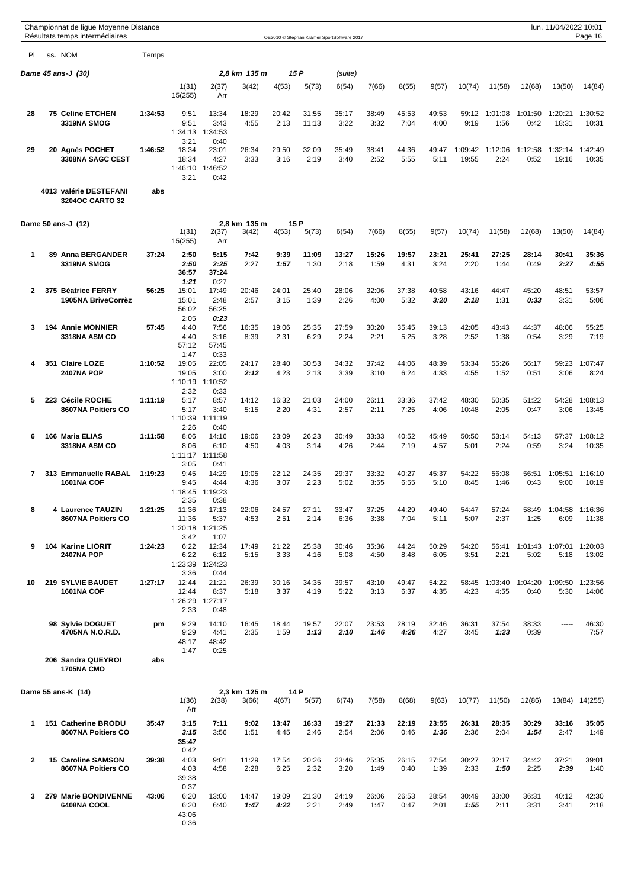|                |  | Championnat de ligue Moyenne Distance<br>Résultats temps intermédiaires |         |                                   |                                  |                       |               |                | OE2010 © Stephan Krämer SportSoftware 2017 |               |               |               |                  |                 |                 | lun. 11/04/2022 10:01   | Page 16          |
|----------------|--|-------------------------------------------------------------------------|---------|-----------------------------------|----------------------------------|-----------------------|---------------|----------------|--------------------------------------------|---------------|---------------|---------------|------------------|-----------------|-----------------|-------------------------|------------------|
| PI.            |  | ss. NOM                                                                 | Temps   |                                   |                                  |                       |               |                |                                            |               |               |               |                  |                 |                 |                         |                  |
|                |  | <b>Dame 45 ans-J (30)</b>                                               |         |                                   |                                  | 2,8 km 135 m          | 15 P          |                | (suite)                                    |               |               |               |                  |                 |                 |                         |                  |
|                |  |                                                                         |         | 1(31)<br>15(255)                  | 2(37)<br>Arr                     | 3(42)                 | 4(53)         | 5(73)          | 6(54)                                      | 7(66)         | 8(55)         | 9(57)         | 10(74)           | 11(58)          | 12(68)          | 13(50)                  | 14(84)           |
| 28             |  | <b>75 Celine ETCHEN</b><br>3319NA SMOG                                  | 1:34:53 | 9:51<br>9:51<br>1:34:13<br>3:21   | 13:34<br>3:43<br>1:34:53<br>0:40 | 18:29<br>4:55         | 20:42<br>2:13 | 31:55<br>11:13 | 35:17<br>3:22                              | 38:49<br>3:32 | 45:53<br>7:04 | 49:53<br>4:00 | 59:12<br>9:19    | 1:01:08<br>1:56 | 1:01:50<br>0:42 | 1:20:21<br>18:31        | 1:30:52<br>10:31 |
| 29             |  | 20 Agnès POCHET<br>3308NA SAGC CEST                                     | 1:46:52 | 18:34<br>18:34<br>1:46:10<br>3:21 | 23:01<br>4:27<br>1:46:52<br>0:42 | 26:34<br>3:33         | 29:50<br>3:16 | 32:09<br>2:19  | 35:49<br>3:40                              | 38:41<br>2:52 | 44:36<br>5:55 | 49:47<br>5:11 | 1:09:42<br>19:55 | 1:12:06<br>2:24 | 1:12:58<br>0:52 | 1:32:14<br>19:16        | 1:42:49<br>10:35 |
|                |  | 4013 valérie DESTEFANI<br>3204OC CARTO 32                               | abs     |                                   |                                  |                       |               |                |                                            |               |               |               |                  |                 |                 |                         |                  |
|                |  | Dame 50 ans-J (12)                                                      |         | 1(31)<br>15(255)                  | 2(37)<br>Arr                     | 2,8 km 135 m<br>3(42) | 15 P<br>4(53) | 5(73)          | 6(54)                                      | 7(66)         | 8(55)         | 9(57)         | 10(74)           | 11(58)          | 12(68)          | 13(50)                  | 14(84)           |
| $\mathbf 1$    |  | 89 Anna BERGANDER<br>3319NA SMOG                                        | 37:24   | 2:50<br>2:50<br>36:57<br>1:21     | 5:15<br>2:25<br>37:24<br>0:27    | 7:42<br>2:27          | 9:39<br>1:57  | 11:09<br>1:30  | 13:27<br>2:18                              | 15:26<br>1:59 | 19:57<br>4:31 | 23:21<br>3:24 | 25:41<br>2:20    | 27:25<br>1:44   | 28:14<br>0:49   | 30:41<br>2:27           | 35:36<br>4:55    |
| $\overline{2}$ |  | 375 Béatrice FERRY<br>1905NA BriveCorrèz                                | 56:25   | 15:01<br>15:01<br>56:02<br>2:05   | 17:49<br>2:48<br>56:25<br>0:23   | 20:46<br>2:57         | 24:01<br>3:15 | 25:40<br>1:39  | 28:06<br>2:26                              | 32:06<br>4:00 | 37:38<br>5:32 | 40:58<br>3:20 | 43:16<br>2:18    | 44:47<br>1:31   | 45:20<br>0:33   | 48:51<br>3:31           | 53:57<br>5:06    |
| 3              |  | <b>194 Annie MONNIER</b><br><b>3318NA ASM CO</b>                        | 57:45   | 4:40<br>4:40<br>57:12<br>1:47     | 7:56<br>3:16<br>57:45<br>0:33    | 16:35<br>8:39         | 19:06<br>2:31 | 25:35<br>6:29  | 27:59<br>2:24                              | 30:20<br>2:21 | 35:45<br>5:25 | 39:13<br>3:28 | 42:05<br>2:52    | 43:43<br>1:38   | 44:37<br>0:54   | 48:06<br>3:29           | 55:25<br>7:19    |
| 4              |  | 351 Claire LOZE<br><b>2407NA POP</b>                                    | 1:10:52 | 19:05<br>19:05<br>1:10:19<br>2:32 | 22:05<br>3:00<br>1:10:52<br>0:33 | 24:17<br>2:12         | 28:40<br>4:23 | 30:53<br>2:13  | 34:32<br>3:39                              | 37:42<br>3:10 | 44:06<br>6:24 | 48:39<br>4:33 | 53:34<br>4:55    | 55:26<br>1:52   | 56:17<br>0:51   | 59:23<br>3:06           | 1:07:47<br>8:24  |
| 5              |  | 223 Cécile ROCHE<br>8607NA Poitiers CO                                  | 1:11:19 | 5:17<br>5:17<br>1:10:39<br>2:26   | 8:57<br>3:40<br>1:11:19<br>0:40  | 14:12<br>5:15         | 16:32<br>2:20 | 21:03<br>4:31  | 24:00<br>2:57                              | 26:11<br>2:11 | 33:36<br>7:25 | 37:42<br>4:06 | 48:30<br>10:48   | 50:35<br>2:05   | 51:22<br>0:47   | 54:28<br>3:06           | 1:08:13<br>13:45 |
| 6              |  | 166 Maria ELIAS<br><b>3318NA ASM CO</b>                                 | 1:11:58 | 8:06<br>8:06<br>1:11:17<br>3:05   | 14:16<br>6:10<br>1:11:58<br>0:41 | 19:06<br>4:50         | 23:09<br>4:03 | 26:23<br>3:14  | 30:49<br>4:26                              | 33:33<br>2:44 | 40:52<br>7:19 | 45:49<br>4:57 | 50:50<br>5:01    | 53:14<br>2:24   | 54:13<br>0:59   | 57:37<br>3:24           | 1:08:12<br>10:35 |
| 7              |  | 313 Emmanuelle RABAL<br><b>1601NA COF</b>                               | 1:19:23 | 9:45<br>9:45<br>1:18:45<br>2:35   | 14:29<br>4:44<br>1:19:23<br>0:38 | 19:05<br>4:36         | 22:12<br>3:07 | 24:35<br>2:23  | 29:37<br>5:02                              | 33:32<br>3:55 | 40:27<br>6:55 | 45:37<br>5:10 | 54:22<br>8:45    | 56:08<br>1:46   | 56:51<br>0:43   | 1:05:51<br>9:00         | 1:16:10<br>10:19 |
| 8              |  | 4 Laurence TAUZIN<br>8607NA Poitiers CO                                 | 1:21:25 | 11:36<br>11:36<br>1:20:18<br>3:42 | 17:13<br>5:37<br>1:21:25<br>1:07 | 22:06<br>4:53         | 24:57<br>2:51 | 27:11<br>2:14  | 33:47<br>6:36                              | 37:25<br>3:38 | 44:29<br>7:04 | 49:40<br>5:11 | 54:47<br>5:07    | 57:24<br>2:37   | 58:49<br>1:25   | 1:04:58 1:16:36<br>6:09 | 11:38            |
| 9              |  | 104 Karine LIORIT<br>2407NA POP                                         | 1:24:23 | 6:22<br>6:22<br>1:23:39<br>3:36   | 12:34<br>6:12<br>1:24:23<br>0:44 | 17:49<br>5:15         | 21:22<br>3:33 | 25:38<br>4:16  | 30:46<br>5:08                              | 35:36<br>4:50 | 44:24<br>8:48 | 50:29<br>6:05 | 54:20<br>3:51    | 56:41<br>2:21   | 1:01:43<br>5:02 | 1:07:01 1:20:03<br>5:18 | 13:02            |
| 10             |  | <b>219 SYLVIE BAUDET</b><br><b>1601NA COF</b>                           | 1:27:17 | 12:44<br>12:44<br>1:26:29<br>2:33 | 21:21<br>8:37<br>1:27:17<br>0:48 | 26:39<br>5:18         | 30:16<br>3:37 | 34:35<br>4:19  | 39:57<br>5:22                              | 43:10<br>3:13 | 49:47<br>6:37 | 54:22<br>4:35 | 58:45<br>4:23    | 1:03:40<br>4:55 | 1:04:20<br>0:40 | 1:09:50<br>5:30         | 1:23:56<br>14:06 |
|                |  | 98 Sylvie DOGUET<br>4705NA N.O.R.D.                                     | pm      | 9:29<br>9:29<br>48:17<br>1:47     | 14:10<br>4:41<br>48:42<br>0:25   | 16:45<br>2:35         | 18:44<br>1:59 | 19:57<br>1:13  | 22:07<br>2:10                              | 23:53<br>1:46 | 28:19<br>4:26 | 32:46<br>4:27 | 36:31<br>3:45    | 37:54<br>1:23   | 38:33<br>0:39   | $- - - - -$             | 46:30<br>7:57    |
|                |  | 206 Sandra QUEYROI<br><b>1705NA CMO</b>                                 | abs     |                                   |                                  |                       |               |                |                                            |               |               |               |                  |                 |                 |                         |                  |
|                |  | Dame 55 ans-K (14)                                                      |         | 1(36)<br>Arr                      | 2(38)                            | 2,3 km 125 m<br>3(66) | 14 P<br>4(67) | 5(57)          | 6(74)                                      | 7(58)         | 8(68)         | 9(63)         | 10(77)           | 11(50)          | 12(86)          | 13(84)                  | 14(255)          |
| 1              |  | 151 Catherine BRODU<br>8607NA Poitiers CO                               | 35:47   | 3:15<br>3:15<br>35:47<br>0:42     | 7:11<br>3:56                     | 9:02<br>1:51          | 13:47<br>4:45 | 16:33<br>2:46  | 19:27<br>2:54                              | 21:33<br>2:06 | 22:19<br>0:46 | 23:55<br>1:36 | 26:31<br>2:36    | 28:35<br>2:04   | 30:29<br>1:54   | 33:16<br>2:47           | 35:05<br>1:49    |
| $\overline{2}$ |  | 15 Caroline SAMSON<br>8607NA Poitiers CO                                | 39:38   | 4:03<br>4:03<br>39:38<br>0:37     | 9:01<br>4:58                     | 11:29<br>2:28         | 17:54<br>6:25 | 20:26<br>2:32  | 23:46<br>3:20                              | 25:35<br>1:49 | 26:15<br>0:40 | 27:54<br>1:39 | 30:27<br>2:33    | 32:17<br>1:50   | 34:42<br>2:25   | 37:21<br>2:39           | 39:01<br>1:40    |
| 3              |  | 279 Marie BONDIVENNE<br>6408NA COOL                                     | 43:06   | 6:20<br>6:20<br>43:06<br>0:36     | 13:00<br>6:40                    | 14:47<br>1:47         | 19:09<br>4:22 | 21:30<br>2:21  | 24:19<br>2:49                              | 26:06<br>1:47 | 26:53<br>0:47 | 28:54<br>2:01 | 30:49<br>1:55    | 33:00<br>2:11   | 36:31<br>3:31   | 40:12<br>3:41           | 42:30<br>2:18    |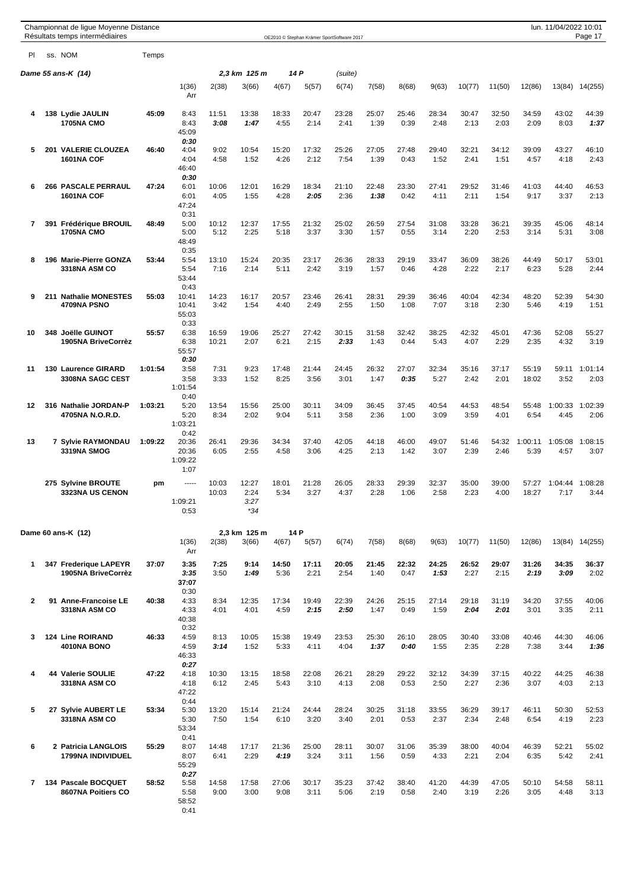|              | Championnat de ligue Moyenne Distance<br>Résultats temps intermédiaires |         |                                       |                |                                |               |               | OE2010 © Stephan Krämer SportSoftware 2017 |               |               |               |               |               |                 | lun. 11/04/2022 10:01 | Page 17         |
|--------------|-------------------------------------------------------------------------|---------|---------------------------------------|----------------|--------------------------------|---------------|---------------|--------------------------------------------|---------------|---------------|---------------|---------------|---------------|-----------------|-----------------------|-----------------|
| <b>PI</b>    | ss. NOM                                                                 | Temps   |                                       |                |                                |               |               |                                            |               |               |               |               |               |                 |                       |                 |
|              | Dame 55 ans-K (14)                                                      |         |                                       |                | 2,3 km 125 m                   |               | 14 P          | (suite)                                    |               |               |               |               |               |                 |                       |                 |
|              |                                                                         |         | 1(36)<br>Arr                          | 2(38)          | 3(66)                          | 4(67)         | 5(57)         | 6(74)                                      | 7(58)         | 8(68)         | 9(63)         | 10(77)        | 11(50)        | 12(86)          |                       | 13(84) 14(255)  |
| 4            | 138 Lydie JAULIN<br><b>1705NA CMO</b>                                   | 45:09   | 8:43<br>8:43<br>45:09                 | 11:51<br>3:08  | 13:38<br>1:47                  | 18:33<br>4:55 | 20:47<br>2:14 | 23:28<br>2:41                              | 25:07<br>1:39 | 25:46<br>0:39 | 28:34<br>2:48 | 30:47<br>2:13 | 32:50<br>2:03 | 34:59<br>2:09   | 43:02<br>8:03         | 44:39<br>1:37   |
| 5            | 201 VALERIE CLOUZEA<br><b>1601NA COF</b>                                | 46:40   | 0:30<br>4:04<br>4:04<br>46:40<br>0:30 | 9:02<br>4:58   | 10:54<br>1:52                  | 15:20<br>4:26 | 17:32<br>2:12 | 25:26<br>7:54                              | 27:05<br>1:39 | 27:48<br>0:43 | 29:40<br>1:52 | 32:21<br>2:41 | 34:12<br>1:51 | 39:09<br>4:57   | 43:27<br>4:18         | 46:10<br>2:43   |
| 6            | <b>266 PASCALE PERRAUL</b><br>1601NA COF                                | 47.24   | 6:01<br>6:01<br>47:24<br>0:31         | 10:06<br>4:05  | 12:01<br>1:55                  | 16:29<br>4:28 | 18:34<br>2:05 | 21:10<br>2:36                              | 22:48<br>1:38 | 23:30<br>0:42 | 27:41<br>4:11 | 29:52<br>2:11 | 31:46<br>1:54 | 41:03<br>9:17   | 44:40<br>3:37         | 46:53<br>2:13   |
| 7            | 391 Frédérique BROUIL<br><b>1705NA CMO</b>                              | 48:49   | 5:00<br>5:00<br>48:49<br>0:35         | 10:12<br>5:12  | 12:37<br>2:25                  | 17:55<br>5:18 | 21:32<br>3:37 | 25:02<br>3:30                              | 26:59<br>1:57 | 27:54<br>0:55 | 31:08<br>3:14 | 33:28<br>2:20 | 36:21<br>2:53 | 39:35<br>3:14   | 45:06<br>5:31         | 48:14<br>3:08   |
| 8            | 196 Marie-Pierre GONZA<br>3318NA ASM CO                                 | 53:44   | 5:54<br>5:54<br>53:44<br>0:43         | 13:10<br>7:16  | 15:24<br>2:14                  | 20:35<br>5:11 | 23:17<br>2:42 | 26:36<br>3:19                              | 28:33<br>1:57 | 29:19<br>0:46 | 33:47<br>4:28 | 36:09<br>2:22 | 38:26<br>2:17 | 44:49<br>6:23   | 50:17<br>5:28         | 53:01<br>2:44   |
| 9            | 211 Nathalie MONESTES<br>4709NA PSNO                                    | 55:03   | 10:41<br>10:41<br>55:03<br>0:33       | 14:23<br>3:42  | 16:17<br>1:54                  | 20:57<br>4:40 | 23:46<br>2:49 | 26:41<br>2:55                              | 28:31<br>1:50 | 29:39<br>1:08 | 36:46<br>7:07 | 40:04<br>3:18 | 42:34<br>2:30 | 48:20<br>5:46   | 52:39<br>4:19         | 54:30<br>1:51   |
| 10           | 348 Joëlle GUINOT<br>1905NA BriveCorrèz                                 | 55:57   | 6:38<br>6:38<br>55:57<br>0:30         | 16:59<br>10:21 | 19:06<br>2:07                  | 25:27<br>6:21 | 27:42<br>2:15 | 30:15<br>2:33                              | 31:58<br>1:43 | 32:42<br>0:44 | 38:25<br>5:43 | 42:32<br>4:07 | 45:01<br>2:29 | 47:36<br>2:35   | 52:08<br>4:32         | 55:27<br>3:19   |
| 11           | 130 Laurence GIRARD<br>3308NA SAGC CEST                                 | 1:01:54 | 3:58<br>3:58<br>1:01:54<br>0:40       | 7:31<br>3:33   | 9:23<br>1:52                   | 17:48<br>8:25 | 21:44<br>3:56 | 24:45<br>3:01                              | 26:32<br>1:47 | 27:07<br>0:35 | 32:34<br>5:27 | 35:16<br>2:42 | 37:17<br>2:01 | 55:19<br>18:02  | 59:11<br>3:52         | 1:01:14<br>2:03 |
| 12           | 316 Nathalie JORDAN-P<br>4705NA N.O.R.D.                                | 1:03:21 | 5:20<br>5:20<br>1:03:21<br>0:42       | 13:54<br>8:34  | 15:56<br>2:02                  | 25:00<br>9:04 | 30:11<br>5:11 | 34:09<br>3:58                              | 36:45<br>2:36 | 37:45<br>1:00 | 40:54<br>3:09 | 44:53<br>3:59 | 48:54<br>4:01 | 55:48<br>6:54   | 1:00:33<br>4:45       | 1:02:39<br>2:06 |
| 13           | 7 Sylvie RAYMONDAU<br>3319NA SMOG                                       | 1:09:22 | 20:36<br>20:36<br>1:09:22<br>1:07     | 26:41<br>6:05  | 29:36<br>2:55                  | 34:34<br>4:58 | 37:40<br>3:06 | 42:05<br>4:25                              | 44:18<br>2:13 | 46:00<br>1:42 | 49:07<br>3:07 | 51:46<br>2:39 | 54:32<br>2:46 | 1:00:11<br>5:39 | 1:05:08<br>4:57       | 1:08:15<br>3:07 |
|              | 275 Sylvine BROUTE<br>3323NA US CENON                                   | pm      | -----<br>1:09:21<br>0:53              | 10:03<br>10:03 | 12:27<br>2:24<br>3:27<br>$*34$ | 18:01<br>5:34 | 21:28<br>3:27 | 26:05<br>4:37                              | 28:33<br>2:28 | 29:39<br>1:06 | 32:37<br>2:58 | 35:00<br>2:23 | 39:00<br>4:00 | 57:27<br>18:27  | 1:04:44<br>7:17       | 1:08:28<br>3:44 |
|              | Dame 60 ans-K (12)                                                      |         | 1(36)                                 | 2(38)          | 2,3 km 125 m<br>3(66)          | 4(67)         | 14 P<br>5(57) | 6(74)                                      | 7(58)         | 8(68)         | 9(63)         | 10(77)        | 11(50)        | 12(86)          |                       | 13(84) 14(255)  |
| 1            | 347 Frederique LAPEYR<br>1905NA BriveCorrèz                             | 37:07   | Arr<br>3:35<br>3:35<br>37:07          | 7:25<br>3:50   | 9:14<br>1:49                   | 14:50<br>5:36 | 17:11<br>2:21 | 20:05<br>2:54                              | 21:45<br>1:40 | 22:32<br>0:47 | 24:25<br>1:53 | 26:52<br>2:27 | 29:07<br>2:15 | 31:26<br>2:19   | 34:35<br>3:09         | 36:37<br>2:02   |
| $\mathbf{2}$ | 91 Anne-Francoise LE<br>3318NA ASM CO                                   | 40:38   | 0:30<br>4:33<br>4:33<br>40:38<br>0:32 | 8:34<br>4:01   | 12:35<br>4:01                  | 17:34<br>4:59 | 19:49<br>2:15 | 22:39<br>2:50                              | 24:26<br>1:47 | 25:15<br>0:49 | 27:14<br>1:59 | 29:18<br>2:04 | 31:19<br>2:01 | 34:20<br>3:01   | 37:55<br>3:35         | 40:06<br>2:11   |
| 3            | <b>124 Line ROIRAND</b><br>4010NA BONO                                  | 46:33   | 4:59<br>4:59<br>46:33<br>0:27         | 8:13<br>3:14   | 10:05<br>1:52                  | 15:38<br>5:33 | 19:49<br>4:11 | 23:53<br>4:04                              | 25:30<br>1:37 | 26:10<br>0:40 | 28:05<br>1:55 | 30:40<br>2:35 | 33:08<br>2:28 | 40:46<br>7:38   | 44:30<br>3:44         | 46:06<br>1:36   |
| 4            | 44 Valerie SOULIE<br>3318NA ASM CO                                      | 47:22   | 4:18<br>4:18<br>47:22<br>0:44         | 10:30<br>6:12  | 13:15<br>2:45                  | 18:58<br>5:43 | 22:08<br>3:10 | 26:21<br>4:13                              | 28:29<br>2:08 | 29:22<br>0:53 | 32:12<br>2:50 | 34:39<br>2:27 | 37:15<br>2:36 | 40:22<br>3:07   | 44:25<br>4:03         | 46:38<br>2:13   |
| 5            | 27 Sylvie AUBERT LE<br>3318NA ASM CO                                    | 53:34   | 5:30<br>5:30<br>53:34<br>0:41         | 13:20<br>7:50  | 15:14<br>1:54                  | 21:24<br>6:10 | 24:44<br>3:20 | 28:24<br>3:40                              | 30:25<br>2:01 | 31:18<br>0:53 | 33:55<br>2:37 | 36:29<br>2:34 | 39:17<br>2:48 | 46:11<br>6:54   | 50:30<br>4:19         | 52:53<br>2:23   |
| 6            | 2 Patricia LANGLOIS<br><b>1799NA INDIVIDUEL</b>                         | 55:29   | 8:07<br>8:07<br>55:29<br>0:27         | 14:48<br>6:41  | 17:17<br>2:29                  | 21:36<br>4:19 | 25:00<br>3:24 | 28:11<br>3:11                              | 30:07<br>1:56 | 31:06<br>0:59 | 35:39<br>4:33 | 38:00<br>2:21 | 40:04<br>2:04 | 46:39<br>6:35   | 52:21<br>5:42         | 55:02<br>2:41   |
| 7            | 134 Pascale BOCQUET<br>8607NA Poitiers CO                               | 58:52   | 5:58<br>5:58<br>58:52<br>0:41         | 14:58<br>9:00  | 17:58<br>3:00                  | 27:06<br>9:08 | 30:17<br>3:11 | 35:23<br>5:06                              | 37:42<br>2:19 | 38:40<br>0:58 | 41:20<br>2:40 | 44:39<br>3:19 | 47:05<br>2:26 | 50:10<br>3:05   | 54:58<br>4:48         | 58:11<br>3:13   |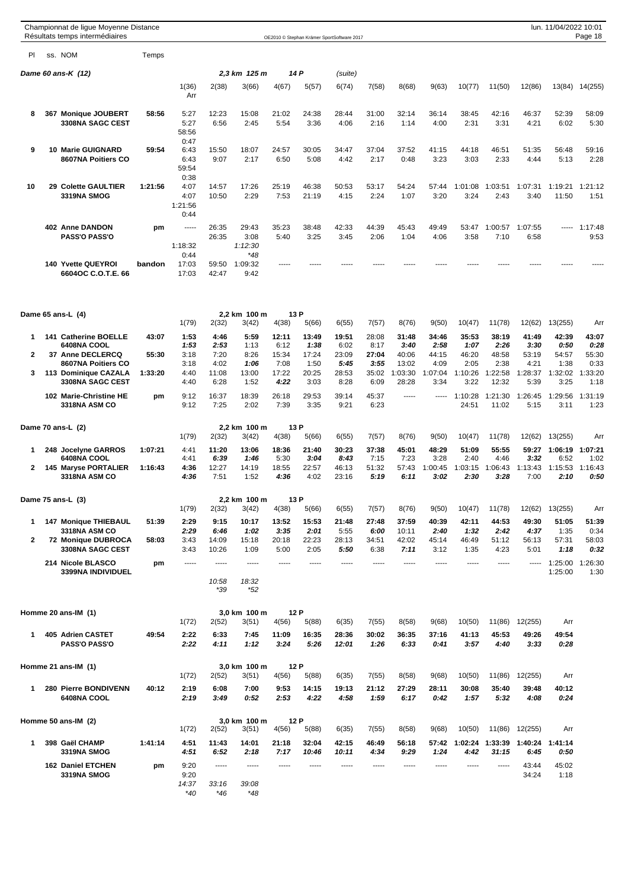|              | Championnat de ligue Moyenne Distance<br>Résultats temps intermédiaires |         |                 |                |                       |                |                | OE2010 © Stephan Krämer SportSoftware 2017 |                |                  |                 |                  |                  |                                           | lun. 11/04/2022 10:01 | Page 18         |
|--------------|-------------------------------------------------------------------------|---------|-----------------|----------------|-----------------------|----------------|----------------|--------------------------------------------|----------------|------------------|-----------------|------------------|------------------|-------------------------------------------|-----------------------|-----------------|
| PI.          | ss. NOM                                                                 | Temps   |                 |                |                       |                |                |                                            |                |                  |                 |                  |                  |                                           |                       |                 |
|              | Dame 60 ans-K (12)                                                      |         |                 |                | 2,3 km 125 m          |                | 14 P           | (suite)                                    |                |                  |                 |                  |                  |                                           |                       |                 |
|              |                                                                         |         | 1(36)<br>Arr    | 2(38)          | 3(66)                 | 4(67)          | 5(57)          | 6(74)                                      | 7(58)          | 8(68)            | 9(63)           | 10(77)           | 11(50)           | 12(86)                                    | 13(84)                | 14(255)         |
|              |                                                                         |         |                 |                |                       |                |                |                                            |                |                  |                 |                  |                  |                                           |                       |                 |
| 8            | 367 Monique JOUBERT<br><b>3308NA SAGC CEST</b>                          | 58:56   | 5:27<br>5:27    | 12:23<br>6:56  | 15:08<br>2:45         | 21:02<br>5:54  | 24:38<br>3:36  | 28:44<br>4:06                              | 31:00<br>2:16  | 32:14<br>1:14    | 36:14<br>4:00   | 38:45<br>2:31    | 42:16<br>3:31    | 46:37<br>4:21                             | 52:39<br>6:02         | 58:09<br>5:30   |
|              |                                                                         |         | 58:56<br>0:47   |                |                       |                |                |                                            |                |                  |                 |                  |                  |                                           |                       |                 |
| 9            | <b>10 Marie GUIGNARD</b>                                                | 59:54   | 6:43            | 15:50          | 18:07                 | 24:57          | 30:05          | 34:47                                      | 37:04          | 37:52            | 41:15           | 44:18            | 46:51            | 51:35                                     | 56:48                 | 59:16           |
|              | 8607NA Poitiers CO                                                      |         | 6:43<br>59:54   | 9:07           | 2:17                  | 6:50           | 5:08           | 4:42                                       | 2:17           | 0:48             | 3:23            | 3:03             | 2:33             | 4:44                                      | 5:13                  | 2:28            |
| 10           | 29 Colette GAULTIER                                                     | 1:21:56 | 0:38<br>4:07    | 14:57          | 17:26                 | 25:19          | 46:38          | 50:53                                      | 53:17          | 54:24            | 57:44           | 1:01:08          | 1:03:51          | 1:07:31                                   | 1:19:21               | 1:21:12         |
|              | <b>3319NA SMOG</b>                                                      |         | 4:07<br>1:21:56 | 10:50          | 2:29                  | 7:53           | 21:19          | 4:15                                       | 2:24           | 1:07             | 3:20            | 3:24             | 2:43             | 3:40                                      | 11:50                 | 1:51            |
|              |                                                                         |         | 0:44            |                |                       |                |                |                                            |                |                  |                 |                  |                  |                                           |                       |                 |
|              | 402 Anne DANDON<br><b>PASS'O PASS'O</b>                                 | pm      | -----           | 26:35<br>26:35 | 29:43<br>3:08         | 35:23<br>5:40  | 38:48<br>3:25  | 42:33<br>3:45                              | 44:39<br>2:06  | 45:43<br>1:04    | 49:49<br>4:06   | 53:47<br>3:58    | 1:00:57<br>7:10  | 1:07:55<br>6:58                           |                       | 1:17:48<br>9:53 |
|              |                                                                         |         | 1:18:32         |                | 1:12:30               |                |                |                                            |                |                  |                 |                  |                  |                                           |                       |                 |
|              | 140 Yvette QUEYROI                                                      | bandon  | 0:44<br>17:03   | 59:50          | *48<br>1:09:32        | -----          |                |                                            |                |                  |                 |                  |                  |                                           |                       |                 |
|              | 6604OC C.O.T.E. 66                                                      |         | 17:03           | 42:47          | 9:42                  |                |                |                                            |                |                  |                 |                  |                  |                                           |                       |                 |
|              |                                                                         |         |                 |                | 2.2 km 100 m          |                | 13 P           |                                            |                |                  |                 |                  |                  |                                           |                       |                 |
|              | Dame 65 ans-L (4)                                                       |         | 1(79)           | 2(32)          | 3(42)                 | 4(38)          | 5(66)          | 6(55)                                      | 7(57)          | 8(76)            | 9(50)           | 10(47)           | 11(78)           | 12(62)                                    | 13(255)               | Arr             |
| 1            | 141 Catherine BOELLE                                                    | 43:07   | 1:53            | 4:46           | 5:59                  | 12:11          | 13:49          | 19:51                                      | 28:08          | 31:48            | 34:46           | 35:53            | 38:19            | 41:49                                     | 42:39                 | 43:07           |
| $\mathbf{2}$ | 6408NA COOL<br>37 Anne DECLERCQ                                         | 55:30   | 1:53<br>3:18    | 2:53<br>7:20   | 1:13<br>8:26          | 6:12<br>15:34  | 1:38<br>17:24  | 6:02<br>23:09                              | 8:17<br>27:04  | 3:40<br>40:06    | 2:58<br>44:15   | 1:07<br>46:20    | 2:26<br>48:58    | 3:30<br>53:19                             | 0:50<br>54:57         | 0:28<br>55:30   |
| 3            | 8607NA Poitiers CO<br>113 Dominique CAZALA                              | 1:33:20 | 3:18<br>4:40    | 4:02<br>11:08  | 1:06<br>13:00         | 7:08<br>17:22  | 1:50<br>20:25  | 5:45<br>28:53                              | 3:55<br>35:02  | 13:02<br>1:03:30 | 4:09<br>1:07:04 | 2:05<br>1:10:26  | 2:38<br>1:22:58  | 4:21<br>1:28:37                           | 1:38<br>1:32:02       | 0:33<br>1:33:20 |
|              | 3308NA SAGC CEST                                                        |         | 4:40            | 6:28           | 1:52                  | 4:22           | 3:03           | 8:28                                       | 6:09           | 28:28            | 3:34            | 3:22             | 12:32            | 5:39                                      | 3:25                  | 1:18            |
|              | 102 Marie-Christine HE<br><b>3318NA ASM CO</b>                          | pm      | 9:12<br>9:12    | 16:37<br>7:25  | 18:39<br>2:02         | 26:18<br>7:39  | 29:53<br>3:35  | 39:14<br>9:21                              | 45:37<br>6:23  | -----            | -----           | 1:10:28<br>24:51 | 1:21:30<br>11:02 | 1:26:45<br>5:15                           | 1:29:56<br>3:11       | 1:31:19<br>1:23 |
|              | Dame 70 ans-L (2)                                                       |         | 1(79)           | 2(32)          | 2.2 km 100 m<br>3(42) | 4(38)          | 13 P<br>5(66)  | 6(55)                                      | 7(57)          | 8(76)            | 9(50)           | 10(47)           | 11(78)           | 12(62)                                    | 13(255)               | Arr             |
| 1            | 248 Jocelyne GARROS                                                     | 1:07:21 | 4:41            | 11:20          | 13:06                 | 18:36          | 21:40          | 30:23                                      | 37:38          | 45:01            | 48:29           | 51:09            | 55:55            | 59:27                                     | 1:06:19               | 1:07:21         |
| $\mathbf{2}$ | 6408NA COOL<br>145 Maryse PORTALIER                                     | 1:16:43 | 4:41<br>4:36    | 6:39<br>12:27  | 1:46<br>14:19         | 5:30<br>18:55  | 3:04<br>22:57  | 8:43<br>46:13                              | 7:15<br>51:32  | 7:23<br>57:43    | 3:28<br>1:00:45 | 2:40<br>1:03:15  | 4:46<br>1:06:43  | 3:32<br>1:13:43                           | 6:52<br>1:15:53       | 1:02<br>1:16:43 |
|              | <b>3318NA ASM CO</b>                                                    |         | 4:36            | 7:51           | 1:52                  | 4:36           | 4:02           | 23:16                                      | 5:19           | 6:11             | 3:02            | 2:30             | 3:28             | 7:00                                      | 2:10                  | 0:50            |
|              | Dame 75 ans-L (3)                                                       |         | 1(79)           | 2(32)          | 2,2 km 100 m<br>3(42) | 4(38)          | 13 P<br>5(66)  | 6(55)                                      | 7(57)          | 8(76)            | 9(50)           | 10(47)           | 11(78)           | 12(62)                                    | 13(255)               | Arr             |
| 1            | <b>147 Monique THIEBAUL</b>                                             | 51:39   | 2:29            | 9:15           | 10:17                 | 13:52          | 15:53          | 21:48                                      | 27:48          | 37:59            | 40:39           | 42:11            | 44:53            | 49:30                                     | 51:05                 | 51:39           |
| 2            | 3318NA ASM CO<br>72 Monique DUBROCA                                     | 58:03   | 2:29<br>3:43    | 6:46<br>14:09  | 1:02<br>15:18         | 3:35<br>20:18  | 2:01<br>22:23  | 5:55<br>28:13                              | 6:00<br>34:51  | 10:11<br>42:02   | 2:40<br>45:14   | 1:32<br>46:49    | 2:42<br>51:12    | 4:37<br>56:13                             | 1:35<br>57:31         | 0:34<br>58:03   |
|              | 3308NA SAGC CEST                                                        |         | 3:43            | 10:26          | 1:09                  | 5:00           | 2:05           | 5:50                                       | 6:38           | 7:11             | 3:12            | 1:35             | 4:23             | 5:01                                      | 1:18                  | 0:32            |
|              | 214 Nicole BLASCO                                                       | pm      | -----           | -----          | -----                 | -----          | -----          | -----                                      | -----          | -----            | -----           | -----            | -----            | -----                                     | 1:25:00               | 1:26:30         |
|              | 3399NA INDIVIDUEL                                                       |         |                 | 10:58<br>*39   | 18:32<br>$*52$        |                |                |                                            |                |                  |                 |                  |                  |                                           | 1:25:00               | 1:30            |
|              | Homme 20 ans-IM (1)                                                     |         |                 |                | 3,0 km 100 m          |                | 12 P           |                                            |                |                  |                 |                  |                  |                                           |                       |                 |
| 1            | 405 Adrien CASTET                                                       | 49:54   | 1(72)<br>2:22   | 2(52)<br>6:33  | 3(51)<br>7:45         | 4(56)<br>11:09 | 5(88)<br>16:35 | 6(35)<br>28:36                             | 7(55)<br>30:02 | 8(58)<br>36:35   | 9(68)<br>37:16  | 10(50)<br>41:13  | 11(86)<br>45:53  | 12(255)<br>49:26                          | Arr<br>49:54          |                 |
|              | <b>PASS'O PASS'O</b>                                                    |         | 2:22            | 4:11           | 1:12                  | 3:24           | 5:26           | 12:01                                      | 1:26           | 6:33             | 0:41            | 3:57             | 4:40             | 3:33                                      | 0:28                  |                 |
|              | Homme 21 ans-IM (1)                                                     |         | 1(72)           | 2(52)          | 3,0 km 100 m<br>3(51) | 4(56)          | 12 P<br>5(88)  | 6(35)                                      | 7(55)          | 8(58)            | 9(68)           | 10(50)           | 11(86)           | 12(255)                                   | Arr                   |                 |
| 1            | 280 Pierre BONDIVENN<br>6408NA COOL                                     | 40:12   | 2:19<br>2:19    | 6:08<br>3:49   | 7:00<br>0:52          | 9:53<br>2:53   | 14:15<br>4:22  | 19:13<br>4:58                              | 21:12<br>1:59  | 27:29<br>6:17    | 28:11<br>0:42   | 30:08<br>1:57    | 35:40<br>5:32    | 39:48<br>4:08                             | 40:12<br>0:24         |                 |
|              | Homme 50 ans-IM (2)                                                     |         |                 |                | 3,0 km 100 m          |                | 12 P           |                                            |                |                  |                 |                  |                  |                                           |                       |                 |
| 1            | 398 Gaël CHAMP                                                          | 1:41:14 | 1(72)<br>4:51   | 2(52)<br>11:43 | 3(51)<br>14:01        | 4(56)<br>21:18 | 5(88)<br>32:04 | 6(35)<br>42:15                             | 7(55)<br>46:49 | 8(58)<br>56:18   | 9(68)<br>57:42  | 10(50)           |                  | 11(86) 12(255)<br>1:02:24 1:33:39 1:40:24 | Arr<br>1:41:14        |                 |
|              | 3319NA SMOG                                                             |         | 4:51            | 6:52           | 2:18                  | 7:17           | 10:46          | 10:11                                      | 4:34           | 9:29             | 1:24            | 4:42             | 31:15            | 6:45                                      | 0:50                  |                 |
|              | <b>162 Daniel ETCHEN</b><br>3319NA SMOG                                 | pm      | 9:20<br>9:20    | -----          | -----                 | -----          | -----          | -----                                      | -----          | -----            | -----           | -----            | -----            | 43:44<br>34:24                            | 45:02<br>1:18         |                 |
|              |                                                                         |         | 14:37<br>$*40$  | 33:16          | 39:08                 |                |                |                                            |                |                  |                 |                  |                  |                                           |                       |                 |
|              |                                                                         |         |                 | $*46$          | $*48$                 |                |                |                                            |                |                  |                 |                  |                  |                                           |                       |                 |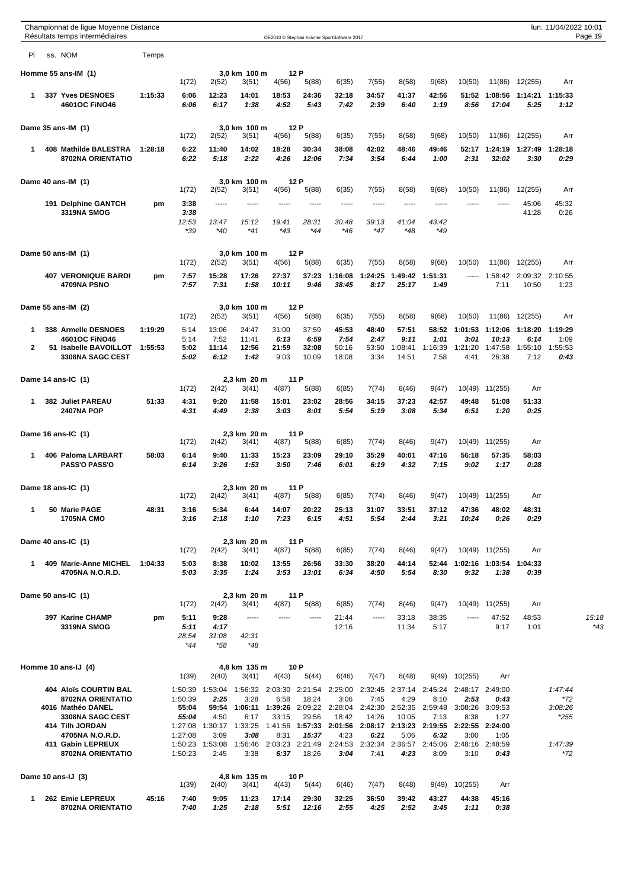|              | Championnat de ligue Moyenne Distance<br>Résultats temps intermédiaires |         |                      |                       |                        |                         |                        | OE2010 © Stephan Krämer SportSoftware 2017 |                       |                          |                         |                         |                           |                         | lun. 11/04/2022 10:01   | Page 19 |
|--------------|-------------------------------------------------------------------------|---------|----------------------|-----------------------|------------------------|-------------------------|------------------------|--------------------------------------------|-----------------------|--------------------------|-------------------------|-------------------------|---------------------------|-------------------------|-------------------------|---------|
| PI           | ss. NOM                                                                 | Temps   |                      |                       |                        |                         |                        |                                            |                       |                          |                         |                         |                           |                         |                         |         |
|              | Homme 55 ans-IM (1)                                                     |         | 1(72)                | 2(52)                 | 3,0 km 100 m<br>3(51)  | 4(56)                   | 12 P<br>5(88)          | 6(35)                                      | 7(55)                 | 8(58)                    | 9(68)                   | 10(50)                  | 11(86)                    | 12(255)                 | Arr                     |         |
| 1            | 337 Yves DESNOES<br>4601OC FINO46                                       | 1:15:33 | 6:06<br>6:06         | 12:23<br>6:17         | 14:01<br>1:38          | 18:53<br>4:52           | 24:36<br>5:43          | 32:18<br>7:42                              | 34:57<br>2:39         | 41:37<br>6:40            | 42:56<br>1:19           | 51:52<br>8:56           | 1:08:56<br>17:04          | 1:14:21<br>5:25         | 1:15:33<br>1:12         |         |
|              | Dame 35 ans-IM (1)                                                      |         | 1(72)                | 2(52)                 | 3,0 km 100 m<br>3(51)  | 4(56)                   | 12 P<br>5(88)          | 6(35)                                      | 7(55)                 | 8(58)                    | 9(68)                   | 10(50)                  | 11(86)                    | 12(255)                 | Arr                     |         |
| 1            | 408 Mathilde BALESTRA<br>8702NA ORIENTATIO                              | 1:28:18 | 6:22<br>6:22         | 11:40<br>5:18         | 14:02<br>2:22          | 18:28<br>4:26           | 30:34<br>12:06         | 38:08<br>7:34                              | 42:02<br>3:54         | 48:46<br>6:44            | 49:46<br>1:00           | 52:17<br>2:31           | 1:24:19<br>32:02          | 1:27:49<br>3:30         | 1:28:18<br>0:29         |         |
|              | Dame 40 ans-IM (1)                                                      |         |                      |                       | 3,0 km 100 m           |                         | 12 P                   |                                            |                       |                          |                         |                         |                           |                         |                         |         |
|              | 191 Delphine GANTCH                                                     | pm      | 1(72)<br>3:38        | 2(52)<br>$- - - - -$  | 3(51)<br>-----         | 4(56)<br>-----          | 5(88)<br>-----         | 6(35)<br>-----                             | 7(55)<br>-----        | 8(58)<br>-----           | 9(68)<br>-----          | 10(50)<br>$- - - - -$   | 11(86)                    | 12(255)<br>45:06        | Arr<br>45:32            |         |
|              | 3319NA SMOG                                                             |         | 3:38<br>12:53<br>*39 | 13:47<br>$*40$        | 15:12<br>$*41$         | 19:41<br>*43            | 28:31<br>$*44$         | 30:48<br>*46                               | 39:13<br>$*47$        | 41:04<br>*48             | 43:42<br>*49            |                         |                           | 41:28                   | 0:26                    |         |
|              | Dame 50 ans-IM (1)                                                      |         | 1(72)                | 2(52)                 | 3,0 km 100 m<br>3(51)  | 4(56)                   | 12 P<br>5(88)          | 6(35)                                      | 7(55)                 | 8(58)                    | 9(68)                   | 10(50)                  | 11(86)                    | 12(255)                 | Arr                     |         |
|              | <b>407 VERONIQUE BARDI</b><br>4709NA PSNO                               | pm      | 7:57<br>7:57         | 15:28<br>7:31         | 17:26<br>1:58          | 27:37<br>10:11          | 37:23<br>9:46          | 1:16:08<br>38:45                           | 1:24:25<br>8:17       | 1:49:42<br>25:17         | 1:51:31<br>1:49         | $- - - - -$             | 1:58:42<br>7:11           | 2:09:32<br>10:50        | 2:10:55<br>1:23         |         |
|              | Dame 55 ans-IM (2)                                                      |         | 1(72)                | 2(52)                 | 3,0 km 100 m<br>3(51)  | 4(56)                   | 12 P<br>5(88)          | 6(35)                                      | 7(55)                 | 8(58)                    | 9(68)                   | 10(50)                  | 11(86)                    | 12(255)                 | Arr                     |         |
| 1            | 338 Armelle DESNOES                                                     | 1:19:29 | 5:14                 | 13:06                 | 24:47                  | 31:00                   | 37:59                  | 45:53                                      | 48:40                 | 57:51                    | 58:52                   | 1:01:53                 | 1:12:06                   | 1:18:20                 | 1:19:29                 |         |
| $\mathbf{2}$ | 4601OC FINO46<br>51 Isabelle BAVOILLOT<br>3308NA SAGC CEST              | 1:55:53 | 5:14<br>5:02<br>5:02 | 7:52<br>11:14<br>6:12 | 11:41<br>12:56<br>1:42 | 6:13<br>21:59<br>9:03   | 6:59<br>32:08<br>10:09 | 7:54<br>50:16<br>18:08                     | 2:47<br>53:50<br>3:34 | 9:11<br>1:08:41<br>14:51 | 1:01<br>1:16:39<br>7:58 | 3:01<br>1:21:20<br>4:41 | 10:13<br>1:47:58<br>26:38 | 6:14<br>1:55:10<br>7:12 | 1:09<br>1:55:53<br>0:43 |         |
|              | Dame 14 ans-IC (1)                                                      |         | 1(72)                | 2(42)                 | 2,3 km 20 m<br>3(41)   | 4(87)                   | 11 P<br>5(88)          | 6(85)                                      | 7(74)                 | 8(46)                    | 9(47)                   |                         | 10(49) 11(255)            | Arr                     |                         |         |
| 1            | <b>382 Juliet PAREAU</b><br><b>2407NA POP</b>                           | 51:33   | 4:31<br>4:31         | 9:20<br>4:49          | 11:58<br>2:38          | 15:01<br>3:03           | 23:02<br>8:01          | 28:56<br>5:54                              | 34:15<br>5:19         | 37:23<br>3:08            | 42:57<br>5:34           | 49:48<br>6:51           | 51:08<br>1:20             | 51:33<br>0:25           |                         |         |
|              | Dame 16 ans-IC (1)                                                      |         | 1(72)                | 2(42)                 | 2,3 km 20 m<br>3(41)   | 4(87)                   | 11 P<br>5(88)          | 6(85)                                      | 7(74)                 | 8(46)                    | 9(47)                   | 10(49)                  | 11(255)                   | Arr                     |                         |         |
| 1            | 406 Paloma LARBART<br><b>PASS'O PASS'O</b>                              | 58:03   | 6:14<br>6:14         | 9:40<br>3:26          | 11:33<br>1:53          | 15:23<br>3:50           | 23:09<br>7:46          | 29:10<br>6:01                              | 35:29<br>6:19         | 40:01<br>4:32            | 47:16<br>7:15           | 56:18<br>9:02           | 57:35<br>1:17             | 58:03<br>0:28           |                         |         |
|              | Dame 18 ans-IC (1)                                                      |         |                      |                       | 2,3 km 20 m            | 4(87)                   | 11 P                   |                                            |                       |                          |                         |                         |                           |                         |                         |         |
| 1            | 50 Marie PAGE                                                           | 48:31   | 1(72)<br>3:16        | 2(42)<br>5:34         | 3(41)<br>6:44          | 14:07                   | 5(88)<br>20:22         | 6(85)<br>25:13                             | 7(74)<br>31:07        | 8(46)<br>33:51           | 9(47)<br>37:12          | 47:36                   | 10(49) 11(255)<br>48:02   | Arr<br>48:31            |                         |         |
|              | <b>1705NA CMO</b>                                                       |         | 3:16                 | 2:18                  | 1:10                   | 7:23                    | 6:15                   | 4:51                                       | 5:54                  | 2:44                     | 3:21                    | 10:24                   | 0:26                      | 0:29                    |                         |         |
|              | Dame 40 ans-IC (1)                                                      |         | 1(72)                | 2(42)                 | 2.3 km 20 m<br>3(41)   | 4(87)                   | 11 P<br>5(88)          | 6(85)                                      | 7(74)                 | 8(46)                    | 9(47)                   |                         | 10(49) 11(255)            | Arr                     |                         |         |
| 1            | 409 Marie-Anne MICHEL<br>4705NA N.O.R.D.                                | 1:04:33 | 5:03<br>5:03         | 8:38<br>3:35          | 10:02<br>1:24          | 13:55<br>3:53           | 26:56<br>13:01         | 33:30<br>6:34                              | 38:20<br>4:50         | 44:14<br>5:54            | 52:44<br>8:30           | 9:32                    | 1:02:16 1:03:54<br>1:38   | 1:04:33<br>0:39         |                         |         |
|              | Dame 50 ans-IC (1)                                                      |         |                      |                       | 2.3 km 20 m            |                         | 11 P                   |                                            |                       |                          |                         |                         |                           |                         |                         |         |
|              | 397 Karine CHAMP                                                        | pm      | 1(72)<br>5:11        | 2(42)<br>9:28         | 3(41)<br>-----         | 4(87)                   | 5(88)<br>-----         | 6(85)<br>21:44                             | 7(74)<br>-----        | 8(46)<br>33:18           | 9(47)<br>38:35          | 10(49)                  | 11(255)<br>47:52          | Arr<br>48:53            |                         | 15:18   |
|              | 3319NA SMOG                                                             |         | 5:11<br>28:54<br>*44 | 4:17<br>31:08<br>*58  | 42:31<br>$*48$         |                         |                        | 12:16                                      |                       | 11:34                    | 5:17                    |                         | 9:17                      | 1:01                    |                         | *43     |
|              | Homme 10 ans-IJ (4)                                                     |         | 1(39)                | 2(40)                 | 4,8 km 135 m<br>3(41)  | 4(43)                   | 10 P<br>5(44)          | 6(46)                                      | 7(47)                 | 8(48)                    | 9(49)                   | 10(255)                 | Arr                       |                         |                         |         |
|              | <b>404 Aloïs COURTIN BAL</b>                                            |         | 1:50:39              | 1:53:04               |                        | 1:56:32 2:03:30 2:21:54 |                        | 2:25:00                                    |                       | 2:32:45 2:37:14          | 2:45:24                 |                         | 2:48:17 2:49:00           |                         | 1:47:44                 |         |
|              | 8702NA ORIENTATIO<br>4016 Mathéo DANEL                                  |         | 1:50:39<br>55:04     | 2:25<br>59:54         | 3:28<br>1:06:11        | 6:58<br>1:39:26         | 18:24<br>2:09:22       | 3:06<br>2:28:04                            | 7:45<br>2:42:30       | 4:29<br>2:52:35          | 8:10<br>2:59:48         | 2:53<br>3:08:26         | 0:43<br>3:09:53           |                         | *72<br>3:08:26          |         |
|              | 3308NA SAGC CEST<br>414 Tilh JORDAN                                     |         | 55:04<br>1:27:08     | 4:50<br>1:30:17       | 6:17<br>1:33:25        | 33:15<br>1:41:56        | 29:56<br>1:57:33       | 18:42<br>2:01:56                           | 14:26<br>2:08:17      | 10:05<br>2:13:23         | 7:13<br>2:19:55         | 8:38<br>2:22:55         | 1:27<br>2:24:00           |                         | *255                    |         |
|              | 4705NA N.O.R.D.                                                         |         | 1:27:08              | 3:09                  | 3:08                   | 8:31                    | 15:37                  | 4:23                                       | 6:21                  | 5:06                     | 6:32                    | 3:00                    | 1:05                      |                         |                         |         |
|              | 411 Gabin LEPREUX<br>8702NA ORIENTATIO                                  |         | 1:50:23<br>1:50:23   | 1:53:08<br>2:45       | 1:56:46<br>3:38        | 2:03:23<br>6:37         | 2:21:49<br>18:26       | 2:24:53<br>3:04                            | 2:32:34<br>7:41       | 2:36:57<br>4:23          | 2:45:06<br>8:09         | 2:48:16<br>3:10         | 2:48:59<br>0:43           |                         | 1:47:39<br>*72          |         |
|              | Dame 10 ans-IJ (3)                                                      |         | 1(39)                | 2(40)                 | 4,8 km 135 m<br>3(41)  | 4(43)                   | 10 P<br>5(44)          | 6(46)                                      | 7(47)                 | 8(48)                    | 9(49)                   | 10(255)                 | Arr                       |                         |                         |         |
| 1            | 262 Emie LEPREUX<br>8702NA ORIENTATIO                                   | 45:16   | 7:40<br>7:40         | 9:05<br>1:25          | 11:23<br>2:18          | 17:14<br>5:51           | 29:30<br>12:16         | 32:25<br>2:55                              | 36:50<br>4:25         | 39:42<br>2:52            | 43:27<br>3:45           | 44:38<br>1:11           | 45:16<br>0:38             |                         |                         |         |